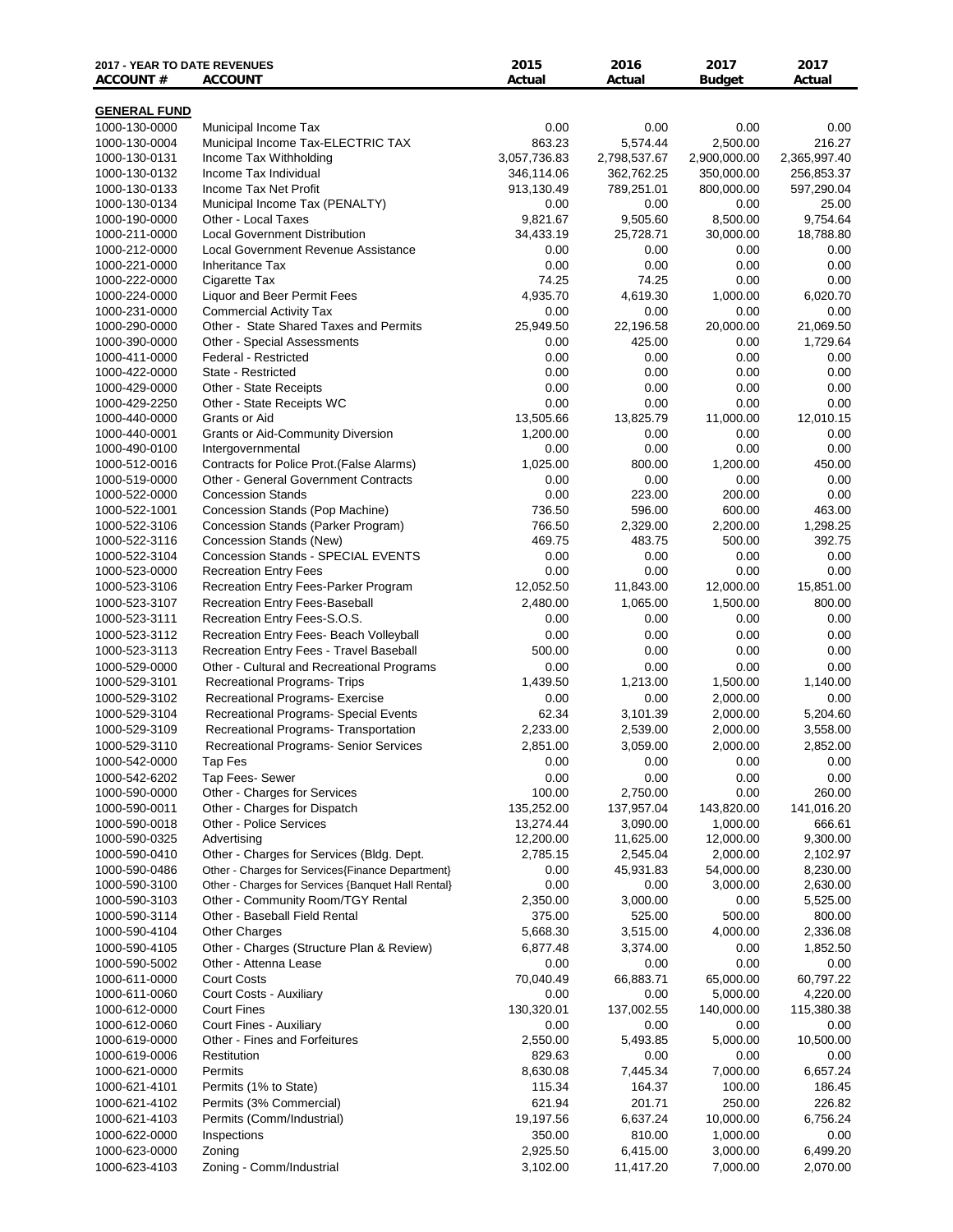| <b>2017 - YEAR TO DATE REVENUES</b><br><b>ACCOUNT#</b> | <b>ACCOUNT</b>                                                                           | 2015<br>Actual    | 2016<br>Actual       | 2017<br><b>Budget</b> | 2017<br>Actual        |
|--------------------------------------------------------|------------------------------------------------------------------------------------------|-------------------|----------------------|-----------------------|-----------------------|
| <b>GENERAL FUND</b>                                    |                                                                                          |                   |                      |                       |                       |
| 1000-130-0000                                          | Municipal Income Tax                                                                     | 0.00              | 0.00                 | 0.00                  | 0.00                  |
| 1000-130-0004                                          | Municipal Income Tax-ELECTRIC TAX                                                        | 863.23            | 5,574.44             | 2,500.00              | 216.27                |
| 1000-130-0131                                          | Income Tax Withholding                                                                   | 3,057,736.83      | 2,798,537.67         | 2,900,000.00          | 2,365,997.40          |
| 1000-130-0132                                          | Income Tax Individual                                                                    | 346,114.06        | 362,762.25           | 350,000.00            | 256,853.37            |
| 1000-130-0133                                          | Income Tax Net Profit                                                                    | 913,130.49        | 789,251.01           | 800,000.00            | 597,290.04            |
| 1000-130-0134                                          | Municipal Income Tax (PENALTY)                                                           | 0.00              | 0.00                 | 0.00                  | 25.00                 |
| 1000-190-0000                                          | Other - Local Taxes                                                                      | 9,821.67          | 9,505.60             | 8,500.00              | 9,754.64              |
| 1000-211-0000                                          | <b>Local Government Distribution</b>                                                     | 34,433.19         | 25,728.71            | 30,000.00             | 18,788.80             |
| 1000-212-0000                                          | <b>Local Government Revenue Assistance</b>                                               | 0.00              | 0.00                 | 0.00                  | 0.00                  |
| 1000-221-0000                                          | <b>Inheritance Tax</b>                                                                   | 0.00              | 0.00                 | 0.00                  | 0.00                  |
| 1000-222-0000<br>1000-224-0000                         | Cigarette Tax<br>Liquor and Beer Permit Fees                                             | 74.25<br>4,935.70 | 74.25<br>4,619.30    | 0.00<br>1,000.00      | 0.00<br>6,020.70      |
| 1000-231-0000                                          | <b>Commercial Activity Tax</b>                                                           | 0.00              | 0.00                 | 0.00                  | 0.00                  |
| 1000-290-0000                                          | Other - State Shared Taxes and Permits                                                   | 25,949.50         | 22,196.58            | 20,000.00             | 21,069.50             |
| 1000-390-0000                                          | Other - Special Assessments                                                              | 0.00              | 425.00               | 0.00                  | 1,729.64              |
| 1000-411-0000                                          | <b>Federal - Restricted</b>                                                              | 0.00              | 0.00                 | 0.00                  | 0.00                  |
| 1000-422-0000                                          | State - Restricted                                                                       | 0.00              | 0.00                 | 0.00                  | 0.00                  |
| 1000-429-0000                                          | Other - State Receipts                                                                   | 0.00              | 0.00                 | 0.00                  | 0.00                  |
| 1000-429-2250                                          | Other - State Receipts WC                                                                | 0.00              | 0.00                 | 0.00                  | 0.00                  |
| 1000-440-0000                                          | Grants or Aid                                                                            | 13,505.66         | 13,825.79            | 11,000.00             | 12,010.15             |
| 1000-440-0001                                          | <b>Grants or Aid-Community Diversion</b>                                                 | 1,200.00          | 0.00                 | 0.00                  | 0.00                  |
| 1000-490-0100                                          | Intergovernmental                                                                        | 0.00              | 0.00                 | 0.00                  | 0.00                  |
| 1000-512-0016                                          | Contracts for Police Prot. (False Alarms)<br><b>Other - General Government Contracts</b> | 1,025.00<br>0.00  | 800.00<br>0.00       | 1,200.00<br>0.00      | 450.00<br>0.00        |
| 1000-519-0000<br>1000-522-0000                         | <b>Concession Stands</b>                                                                 | 0.00              | 223.00               | 200.00                | 0.00                  |
| 1000-522-1001                                          | Concession Stands (Pop Machine)                                                          | 736.50            | 596.00               | 600.00                | 463.00                |
| 1000-522-3106                                          | Concession Stands (Parker Program)                                                       | 766.50            | 2,329.00             | 2,200.00              | 1,298.25              |
| 1000-522-3116                                          | Concession Stands (New)                                                                  | 469.75            | 483.75               | 500.00                | 392.75                |
| 1000-522-3104                                          | Concession Stands - SPECIAL EVENTS                                                       | 0.00              | 0.00                 | 0.00                  | 0.00                  |
| 1000-523-0000                                          | <b>Recreation Entry Fees</b>                                                             | 0.00              | 0.00                 | 0.00                  | 0.00                  |
| 1000-523-3106                                          | Recreation Entry Fees-Parker Program                                                     | 12,052.50         | 11,843.00            | 12,000.00             | 15,851.00             |
| 1000-523-3107                                          | Recreation Entry Fees-Baseball                                                           | 2,480.00          | 1,065.00             | 1,500.00              | 800.00                |
| 1000-523-3111                                          | Recreation Entry Fees-S.O.S.                                                             | 0.00              | 0.00                 | 0.00                  | 0.00                  |
| 1000-523-3112                                          | Recreation Entry Fees- Beach Volleyball                                                  | 0.00              | 0.00                 | 0.00                  | 0.00                  |
| 1000-523-3113                                          | Recreation Entry Fees - Travel Baseball                                                  | 500.00            | 0.00                 | 0.00                  | 0.00                  |
| 1000-529-0000                                          | Other - Cultural and Recreational Programs                                               | 0.00              | 0.00                 | 0.00                  | 0.00                  |
| 1000-529-3101                                          | Recreational Programs- Trips                                                             | 1,439.50          | 1,213.00             | 1,500.00              | 1,140.00              |
| 1000-529-3102                                          | Recreational Programs- Exercise                                                          | 0.00              | 0.00                 | 2,000.00              | 0.00                  |
| 1000-529-3104<br>1000-529-3109                         | Recreational Programs- Special Events                                                    | 62.34             | 3,101.39             | 2,000.00              | 5,204.60<br>3,558.00  |
|                                                        | Recreational Programs- Transportation                                                    | 2,233.00          | 2,539.00<br>3,059.00 | 2,000.00              |                       |
| 1000-529-3110<br>1000-542-0000                         | Recreational Programs- Senior Services<br>Tap Fes                                        | 2,851.00<br>0.00  | 0.00                 | 2,000.00<br>0.00      | 2,852.00<br>0.00      |
| 1000-542-6202                                          | Tap Fees- Sewer                                                                          | 0.00              | 0.00                 | 0.00                  | 0.00                  |
| 1000-590-0000                                          | Other - Charges for Services                                                             | 100.00            | 2,750.00             | 0.00                  | 260.00                |
| 1000-590-0011                                          | Other - Charges for Dispatch                                                             | 135,252.00        | 137,957.04           | 143,820.00            | 141,016.20            |
| 1000-590-0018                                          | <b>Other - Police Services</b>                                                           | 13,274.44         | 3,090.00             | 1,000.00              | 666.61                |
| 1000-590-0325                                          | Advertising                                                                              | 12,200.00         | 11,625.00            | 12,000.00             | 9,300.00              |
| 1000-590-0410                                          | Other - Charges for Services (Bldg. Dept.                                                | 2,785.15          | 2,545.04             | 2,000.00              | 2,102.97              |
| 1000-590-0486                                          | Other - Charges for Services {Finance Department}                                        | 0.00              | 45,931.83            | 54,000.00             | 8,230.00              |
| 1000-590-3100                                          | Other - Charges for Services {Banquet Hall Rental}                                       | 0.00              | 0.00                 | 3,000.00              | 2,630.00              |
| 1000-590-3103                                          | Other - Community Room/TGY Rental                                                        | 2,350.00          | 3,000.00             | 0.00                  | 5,525.00              |
| 1000-590-3114                                          | Other - Baseball Field Rental                                                            | 375.00            | 525.00               | 500.00                | 800.00                |
| 1000-590-4104                                          | <b>Other Charges</b>                                                                     | 5,668.30          | 3,515.00             | 4,000.00              | 2,336.08              |
| 1000-590-4105                                          | Other - Charges (Structure Plan & Review)                                                | 6,877.48          | 3,374.00             | 0.00                  | 1,852.50              |
| 1000-590-5002                                          | Other - Attenna Lease                                                                    | 0.00              | 0.00                 | 0.00                  | 0.00                  |
| 1000-611-0000<br>1000-611-0060                         | <b>Court Costs</b><br>Court Costs - Auxiliary                                            | 70,040.49<br>0.00 | 66,883.71<br>0.00    | 65,000.00<br>5,000.00 | 60,797.22<br>4,220.00 |
| 1000-612-0000                                          | <b>Court Fines</b>                                                                       | 130,320.01        | 137,002.55           | 140,000.00            | 115,380.38            |
| 1000-612-0060                                          | Court Fines - Auxiliary                                                                  | 0.00              | 0.00                 | 0.00                  | 0.00                  |
| 1000-619-0000                                          | Other - Fines and Forfeitures                                                            | 2,550.00          | 5,493.85             | 5,000.00              | 10,500.00             |
| 1000-619-0006                                          | Restitution                                                                              | 829.63            | 0.00                 | 0.00                  | 0.00                  |
| 1000-621-0000                                          | Permits                                                                                  | 8,630.08          | 7,445.34             | 7,000.00              | 6,657.24              |
| 1000-621-4101                                          | Permits (1% to State)                                                                    | 115.34            | 164.37               | 100.00                | 186.45                |
| 1000-621-4102                                          | Permits (3% Commercial)                                                                  | 621.94            | 201.71               | 250.00                | 226.82                |
| 1000-621-4103                                          | Permits (Comm/Industrial)                                                                | 19,197.56         | 6,637.24             | 10,000.00             | 6,756.24              |
| 1000-622-0000                                          | Inspections                                                                              | 350.00            | 810.00               | 1,000.00              | 0.00                  |
| 1000-623-0000                                          | Zoning                                                                                   | 2,925.50          | 6,415.00             | 3,000.00              | 6,499.20              |
| 1000-623-4103                                          | Zoning - Comm/Industrial                                                                 | 3,102.00          | 11,417.20            | 7,000.00              | 2,070.00              |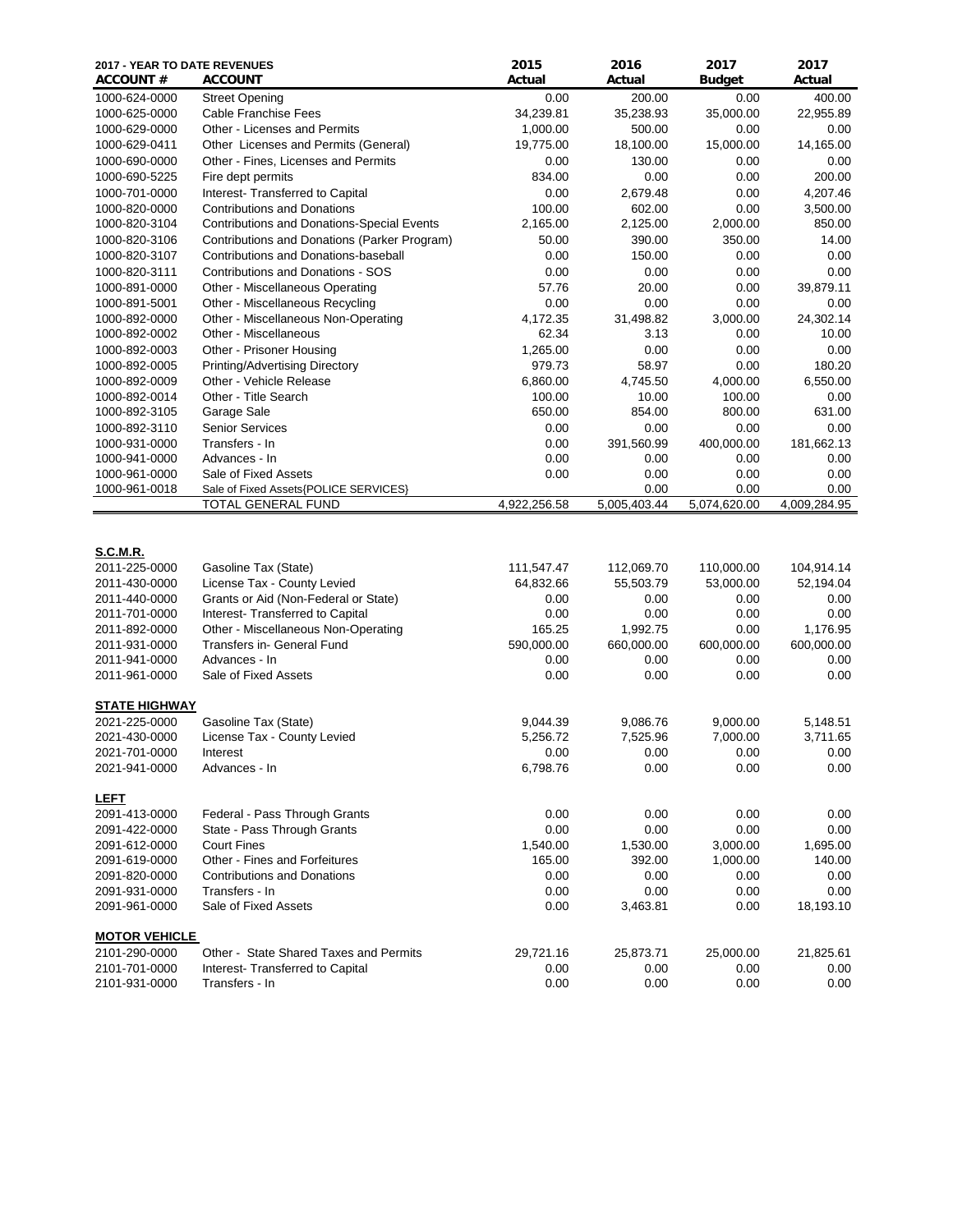| 2017 - YEAR TO DATE REVENUES<br><b>ACCOUNT #</b> | <b>ACCOUNT</b>                                                      | 2015<br>Actual    | 2016<br>Actual    | 2017<br><b>Budget</b> | 2017<br>Actual    |
|--------------------------------------------------|---------------------------------------------------------------------|-------------------|-------------------|-----------------------|-------------------|
| 1000-624-0000                                    | <b>Street Opening</b>                                               | 0.00              | 200.00            | 0.00                  | 400.00            |
| 1000-625-0000                                    | Cable Franchise Fees                                                | 34,239.81         | 35,238.93         | 35,000.00             | 22,955.89         |
| 1000-629-0000                                    | Other - Licenses and Permits                                        | 1,000.00          | 500.00            | 0.00                  | 0.00              |
| 1000-629-0411                                    | Other Licenses and Permits (General)                                | 19,775.00         | 18,100.00         | 15,000.00             | 14,165.00         |
| 1000-690-0000                                    | Other - Fines, Licenses and Permits                                 | 0.00              | 130.00            | 0.00                  | 0.00              |
| 1000-690-5225                                    | Fire dept permits                                                   | 834.00            | 0.00              | 0.00                  | 200.00            |
| 1000-701-0000                                    | Interest- Transferred to Capital                                    | 0.00              | 2,679.48          | 0.00                  | 4,207.46          |
| 1000-820-0000                                    | <b>Contributions and Donations</b>                                  | 100.00            | 602.00            | 0.00                  | 3,500.00          |
| 1000-820-3104                                    | Contributions and Donations-Special Events                          | 2,165.00          | 2,125.00          | 2,000.00              | 850.00            |
| 1000-820-3106                                    | Contributions and Donations (Parker Program)                        | 50.00             | 390.00            | 350.00                | 14.00             |
| 1000-820-3107                                    | Contributions and Donations-baseball                                | 0.00              | 150.00            | 0.00                  | 0.00              |
| 1000-820-3111                                    | <b>Contributions and Donations - SOS</b>                            | 0.00              | 0.00              | 0.00                  | 0.00              |
| 1000-891-0000                                    | Other - Miscellaneous Operating                                     | 57.76             | 20.00             | 0.00                  | 39,879.11         |
| 1000-891-5001                                    | Other - Miscellaneous Recycling                                     | 0.00              | 0.00              | 0.00                  | 0.00              |
| 1000-892-0000                                    | Other - Miscellaneous Non-Operating                                 | 4,172.35          | 31,498.82         | 3,000.00              | 24,302.14         |
| 1000-892-0002                                    | Other - Miscellaneous                                               | 62.34             | 3.13              | 0.00                  | 10.00             |
| 1000-892-0003                                    | Other - Prisoner Housing                                            | 1,265.00          | 0.00              | 0.00                  | 0.00              |
| 1000-892-0005                                    | Printing/Advertising Directory                                      | 979.73            | 58.97             | 0.00                  | 180.20            |
| 1000-892-0009                                    | Other - Vehicle Release                                             | 6,860.00          | 4,745.50          | 4,000.00              | 6,550.00          |
| 1000-892-0014                                    | Other - Title Search                                                | 100.00            | 10.00             | 100.00                | 0.00              |
| 1000-892-3105                                    | Garage Sale                                                         | 650.00            | 854.00            | 800.00                | 631.00            |
| 1000-892-3110                                    | <b>Senior Services</b>                                              | 0.00              | 0.00              | 0.00                  | 0.00              |
| 1000-931-0000                                    | Transfers - In                                                      | 0.00              | 391,560.99        | 400,000.00            | 181,662.13        |
| 1000-941-0000                                    | Advances - In                                                       | 0.00              | 0.00              | 0.00                  | 0.00              |
| 1000-961-0000                                    | Sale of Fixed Assets                                                | 0.00              | 0.00              | 0.00                  | 0.00              |
| 1000-961-0018                                    | Sale of Fixed Assets{POLICE SERVICES}                               |                   | 0.00              | 0.00                  | 0.00              |
|                                                  | TOTAL GENERAL FUND                                                  | 4,922,256.58      | 5,005,403.44      | 5,074,620.00          | 4,009,284.95      |
| S.C.M.R.                                         |                                                                     |                   |                   |                       |                   |
| 2011-225-0000                                    | Gasoline Tax (State)                                                | 111,547.47        | 112,069.70        | 110,000.00            | 104,914.14        |
| 2011-430-0000<br>2011-440-0000                   | License Tax - County Levied<br>Grants or Aid (Non-Federal or State) | 64,832.66<br>0.00 | 55,503.79<br>0.00 | 53,000.00<br>0.00     | 52,194.04<br>0.00 |
| 2011-701-0000                                    | Interest- Transferred to Capital                                    | 0.00              | 0.00              | 0.00                  | 0.00              |
| 2011-892-0000                                    | Other - Miscellaneous Non-Operating                                 | 165.25            | 1,992.75          | 0.00                  | 1,176.95          |
| 2011-931-0000                                    | Transfers in- General Fund                                          | 590,000.00        | 660,000.00        | 600,000.00            | 600,000.00        |
| 2011-941-0000                                    | Advances - In                                                       | 0.00              | 0.00              | 0.00                  | 0.00              |
| 2011-961-0000                                    | Sale of Fixed Assets                                                | 0.00              | 0.00              | 0.00                  | 0.00              |
|                                                  |                                                                     |                   |                   |                       |                   |
| <b>STATE HIGHWAY</b>                             |                                                                     |                   |                   |                       |                   |
| 2021-225-0000                                    | Gasoline Tax (State)                                                | 9,044.39          | 9,086.76          | 9,000.00              | 5,148.51          |
| 2021-430-0000                                    | License Tax - County Levied                                         | 5,256.72          | 7,525.96          | 7,000.00              | 3,711.65          |
| 2021-701-0000                                    | Interest                                                            | 0.00              | 0.00              | 0.00                  | 0.00              |
| 2021-941-0000                                    | Advances - In                                                       | 6,798.76          | 0.00              | 0.00                  | 0.00              |
| <b>LEFT</b>                                      |                                                                     |                   |                   |                       |                   |
| 2091-413-0000                                    | Federal - Pass Through Grants                                       | 0.00              | 0.00              | 0.00                  | 0.00              |
| 2091-422-0000                                    | State - Pass Through Grants                                         | 0.00              | 0.00              | 0.00                  | 0.00              |
| 2091-612-0000                                    | <b>Court Fines</b>                                                  | 1,540.00          | 1,530.00          | 3,000.00              | 1,695.00          |
| 2091-619-0000                                    | Other - Fines and Forfeitures                                       | 165.00            | 392.00            | 1,000.00              | 140.00            |
| 2091-820-0000                                    | <b>Contributions and Donations</b>                                  | 0.00              | 0.00              | 0.00                  | 0.00              |
| 2091-931-0000                                    | Transfers - In                                                      | 0.00              | 0.00              | 0.00                  | 0.00              |
| 2091-961-0000                                    | Sale of Fixed Assets                                                | 0.00              | 3,463.81          | 0.00                  | 18,193.10         |
| <b>MOTOR VEHICLE</b>                             |                                                                     |                   |                   |                       |                   |
| 2101-290-0000                                    | Other - State Shared Taxes and Permits                              | 29,721.16         | 25,873.71         | 25,000.00             | 21,825.61         |
| 2101-701-0000                                    | Interest- Transferred to Capital                                    | 0.00              | 0.00              | 0.00                  | 0.00              |
| 2101-931-0000                                    | Transfers - In                                                      | 0.00              | 0.00              | 0.00                  | 0.00              |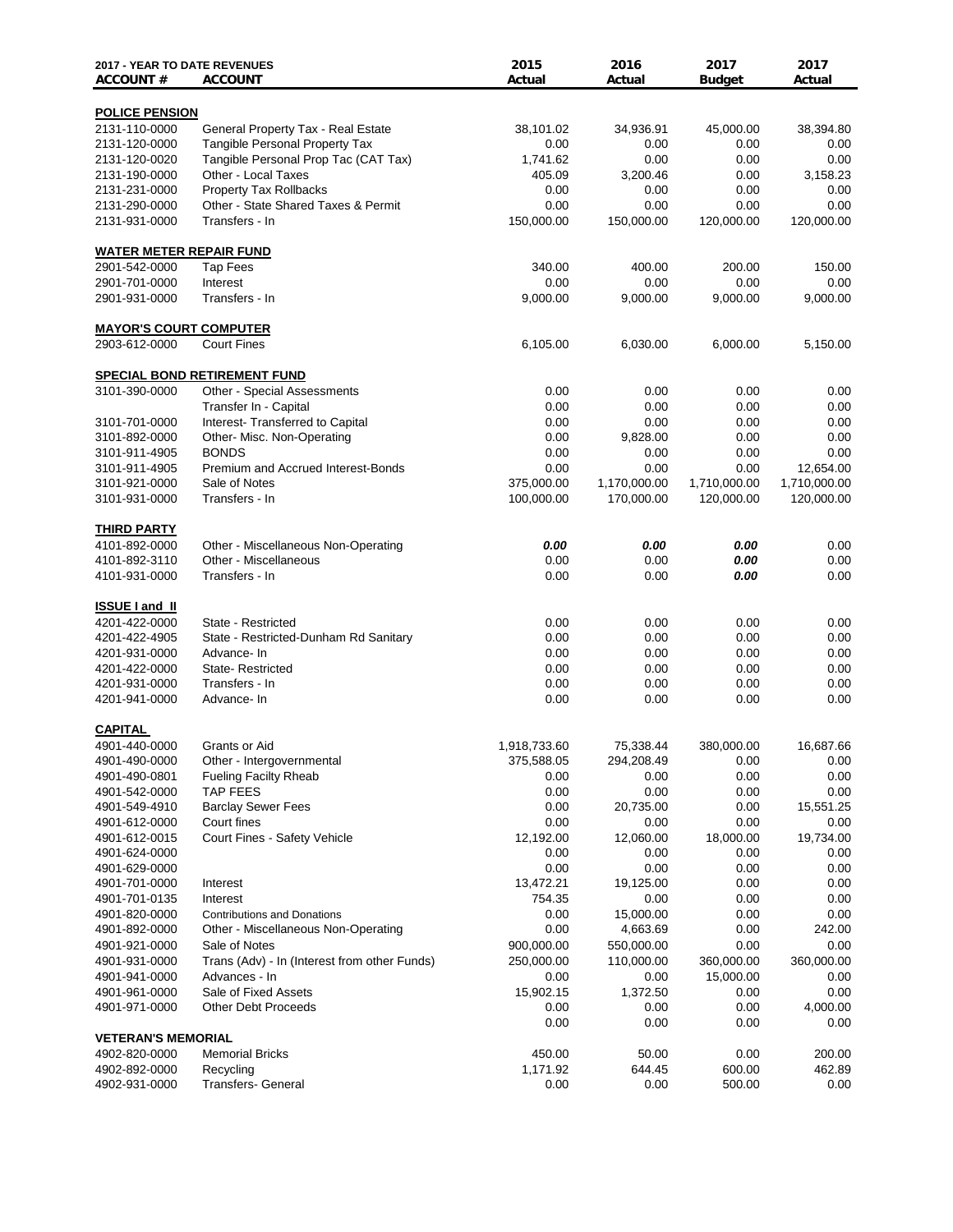| <b>2017 - YEAR TO DATE REVENUES</b><br><b>ACCOUNT#</b> | <b>ACCOUNT</b>                               | 2015<br>Actual | 2016<br>Actual | 2017<br><b>Budget</b> | 2017<br>Actual   |
|--------------------------------------------------------|----------------------------------------------|----------------|----------------|-----------------------|------------------|
| <b>POLICE PENSION</b>                                  |                                              |                |                |                       |                  |
| 2131-110-0000                                          | General Property Tax - Real Estate           | 38,101.02      | 34,936.91      | 45,000.00             | 38,394.80        |
| 2131-120-0000                                          | <b>Tangible Personal Property Tax</b>        | 0.00           | 0.00           | 0.00                  | 0.00             |
| 2131-120-0020                                          | Tangible Personal Prop Tac (CAT Tax)         | 1,741.62       | 0.00           | 0.00                  | 0.00             |
| 2131-190-0000                                          | Other - Local Taxes                          | 405.09         | 3,200.46       | 0.00                  | 3,158.23         |
| 2131-231-0000                                          | <b>Property Tax Rollbacks</b>                | 0.00           | 0.00           | 0.00                  | 0.00             |
| 2131-290-0000                                          | Other - State Shared Taxes & Permit          | 0.00           | 0.00           | 0.00                  | 0.00             |
| 2131-931-0000                                          | Transfers - In                               | 150,000.00     | 150,000.00     | 120,000.00            | 120,000.00       |
| <b>WATER METER REPAIR FUND</b>                         |                                              |                |                |                       |                  |
| 2901-542-0000                                          | <b>Tap Fees</b>                              | 340.00         | 400.00         | 200.00                | 150.00           |
| 2901-701-0000                                          | Interest                                     | 0.00           | 0.00           | 0.00                  | 0.00             |
| 2901-931-0000                                          | Transfers - In                               | 9,000.00       | 9,000.00       | 9,000.00              | 9,000.00         |
| <b>MAYOR'S COURT COMPUTER</b>                          |                                              |                |                |                       |                  |
| 2903-612-0000                                          | <b>Court Fines</b>                           | 6,105.00       | 6,030.00       | 6,000.00              | 5,150.00         |
|                                                        | <b>SPECIAL BOND RETIREMENT FUND</b>          |                |                |                       |                  |
| 3101-390-0000                                          | <b>Other - Special Assessments</b>           | 0.00           | 0.00           | 0.00                  | 0.00             |
|                                                        | Transfer In - Capital                        | 0.00           | 0.00           | 0.00                  | 0.00             |
| 3101-701-0000                                          | Interest- Transferred to Capital             | 0.00           | 0.00           | 0.00                  | 0.00             |
| 3101-892-0000                                          | Other- Misc. Non-Operating                   | 0.00           | 9,828.00       | 0.00                  | 0.00             |
| 3101-911-4905                                          | <b>BONDS</b>                                 | 0.00           | 0.00           | 0.00                  | 0.00             |
| 3101-911-4905                                          | Premium and Accrued Interest-Bonds           | 0.00           | 0.00           | 0.00                  | 12,654.00        |
| 3101-921-0000                                          | Sale of Notes                                | 375,000.00     | 1,170,000.00   | 1,710,000.00          | 1,710,000.00     |
| 3101-931-0000                                          | Transfers - In                               | 100,000.00     | 170,000.00     | 120,000.00            | 120,000.00       |
| <b>THIRD PARTY</b>                                     |                                              |                |                |                       |                  |
| 4101-892-0000                                          | Other - Miscellaneous Non-Operating          | 0.00           | 0.00           | 0.00                  | 0.00             |
| 4101-892-3110                                          | Other - Miscellaneous                        | 0.00           | 0.00           | 0.00                  | 0.00             |
| 4101-931-0000                                          | Transfers - In                               | 0.00           | 0.00           | 0.00                  | 0.00             |
| <b>ISSUE I and II</b>                                  |                                              |                |                |                       |                  |
| 4201-422-0000                                          | State - Restricted                           | 0.00           | 0.00           | 0.00                  | 0.00             |
| 4201-422-4905                                          | State - Restricted-Dunham Rd Sanitary        | 0.00           | 0.00           | 0.00                  | 0.00             |
| 4201-931-0000                                          | Advance- In                                  | 0.00           | 0.00           | 0.00                  | 0.00             |
| 4201-422-0000                                          | State-Restricted                             | 0.00           | 0.00           | 0.00                  | 0.00             |
| 4201-931-0000                                          | Transfers - In                               | 0.00           | 0.00           | 0.00                  | 0.00             |
| 4201-941-0000                                          | Advance- In                                  | 0.00           | 0.00           | 0.00                  | 0.00             |
| <b>CAPITAL</b>                                         |                                              |                |                |                       |                  |
| 4901-440-0000                                          | Grants or Aid                                | 1,918,733.60   | 75,338.44      | 380,000.00            | 16,687.66        |
| 4901-490-0000                                          | Other - Intergovernmental                    | 375,588.05     | 294,208.49     | 0.00                  | $0.00\,$         |
| 4901-490-0801                                          | <b>Fueling Facilty Rheab</b>                 | 0.00           | 0.00           | 0.00                  | 0.00             |
| 4901-542-0000                                          | <b>TAP FEES</b>                              | 0.00           | 0.00           | 0.00                  | 0.00             |
| 4901-549-4910                                          | <b>Barclay Sewer Fees</b>                    | 0.00           | 20,735.00      | 0.00                  | 15,551.25        |
| 4901-612-0000                                          | Court fines                                  | 0.00           | 0.00           | 0.00                  | 0.00             |
| 4901-612-0015                                          | Court Fines - Safety Vehicle                 | 12,192.00      | 12,060.00      | 18,000.00             | 19,734.00        |
| 4901-624-0000                                          |                                              | 0.00           | 0.00           | 0.00                  | 0.00             |
| 4901-629-0000                                          |                                              | 0.00           | 0.00           | 0.00                  | 0.00             |
| 4901-701-0000                                          | Interest                                     | 13,472.21      | 19,125.00      | 0.00                  | 0.00             |
| 4901-701-0135                                          | Interest                                     | 754.35         | 0.00           | 0.00                  | 0.00             |
| 4901-820-0000                                          | <b>Contributions and Donations</b>           | 0.00           | 15,000.00      | 0.00                  | 0.00             |
| 4901-892-0000                                          | Other - Miscellaneous Non-Operating          | 0.00           | 4,663.69       | 0.00                  | 242.00           |
| 4901-921-0000                                          | Sale of Notes                                | 900,000.00     | 550,000.00     | 0.00                  | 0.00             |
| 4901-931-0000                                          | Trans (Adv) - In (Interest from other Funds) | 250,000.00     | 110,000.00     | 360,000.00            | 360,000.00       |
| 4901-941-0000                                          | Advances - In                                | 0.00           | 0.00           | 15,000.00             | 0.00             |
| 4901-961-0000                                          | Sale of Fixed Assets                         | 15,902.15      | 1,372.50       | 0.00                  | 0.00             |
| 4901-971-0000                                          | <b>Other Debt Proceeds</b>                   | 0.00<br>0.00   | 0.00<br>0.00   | 0.00<br>0.00          | 4,000.00<br>0.00 |
| <b>VETERAN'S MEMORIAL</b>                              |                                              |                |                |                       |                  |
| 4902-820-0000                                          | <b>Memorial Bricks</b>                       | 450.00         | 50.00          | 0.00                  | 200.00           |
| 4902-892-0000                                          | Recycling                                    | 1,171.92       | 644.45         | 600.00                | 462.89           |
| 4902-931-0000                                          | Transfers- General                           | 0.00           | 0.00           | 500.00                | 0.00             |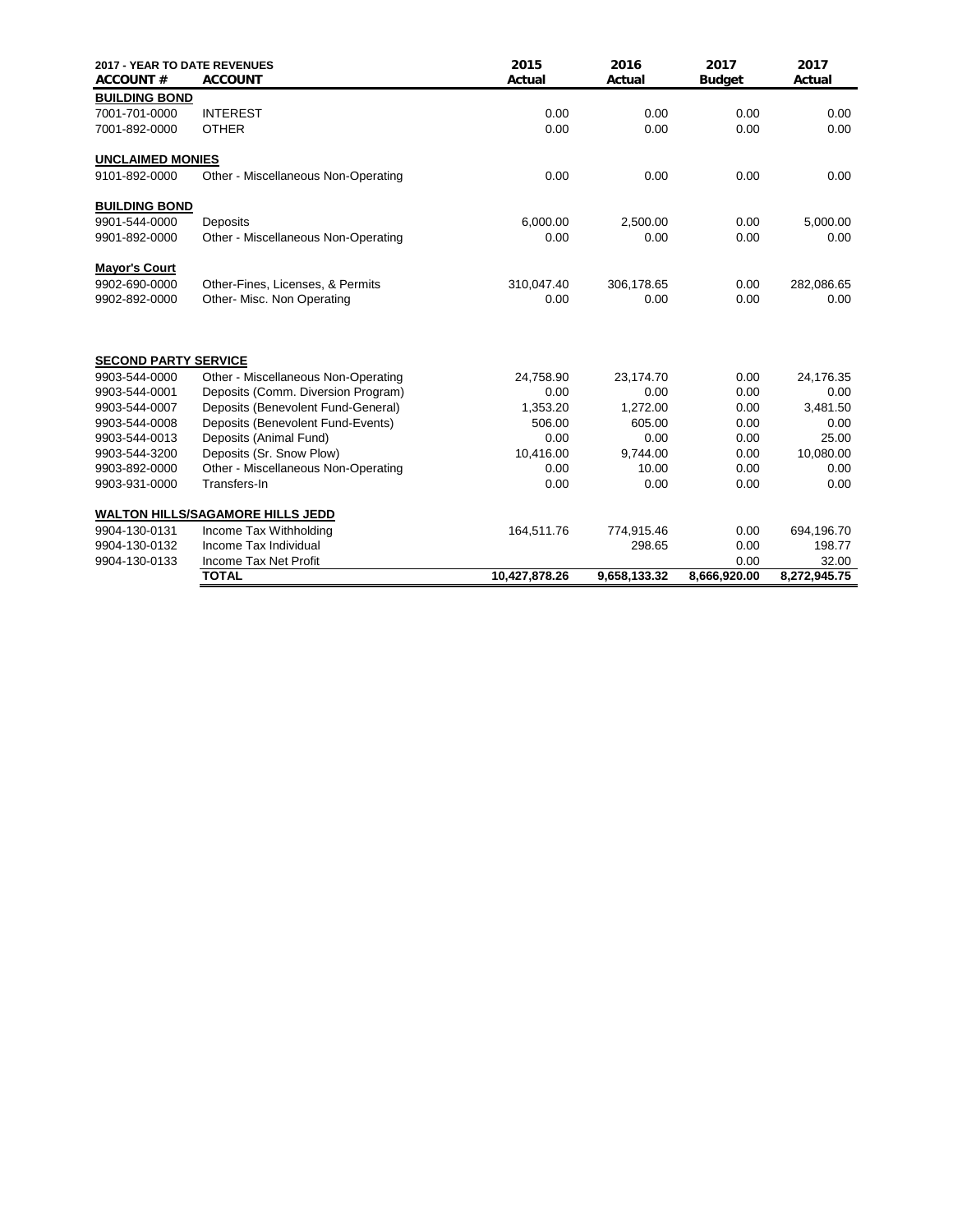| <b>2017 - YEAR TO DATE REVENUES</b><br><b>ACCOUNT#</b> | <b>ACCOUNT</b>                          | 2015<br>Actual | 2016<br>Actual | 2017<br><b>Budget</b> | 2017<br>Actual |
|--------------------------------------------------------|-----------------------------------------|----------------|----------------|-----------------------|----------------|
| <b>BUILDING BOND</b>                                   |                                         |                |                |                       |                |
| 7001-701-0000                                          | <b>INTEREST</b>                         | 0.00           | 0.00           | 0.00                  | 0.00           |
| 7001-892-0000                                          | <b>OTHER</b>                            | 0.00           | 0.00           | 0.00                  | 0.00           |
| <b>UNCLAIMED MONIES</b>                                |                                         |                |                |                       |                |
| 9101-892-0000                                          | Other - Miscellaneous Non-Operating     | 0.00           | 0.00           | 0.00                  | 0.00           |
| <b>BUILDING BOND</b>                                   |                                         |                |                |                       |                |
| 9901-544-0000                                          | Deposits                                | 6,000.00       | 2,500.00       | 0.00                  | 5,000.00       |
| 9901-892-0000                                          | Other - Miscellaneous Non-Operating     | 0.00           | 0.00           | 0.00                  | 0.00           |
| <b>Mayor's Court</b>                                   |                                         |                |                |                       |                |
| 9902-690-0000                                          | Other-Fines, Licenses, & Permits        | 310,047.40     | 306,178.65     | 0.00                  | 282,086.65     |
| 9902-892-0000                                          | Other- Misc. Non Operating              | 0.00           | 0.00           | 0.00                  | 0.00           |
| <b>SECOND PARTY SERVICE</b>                            |                                         |                |                |                       |                |
| 9903-544-0000                                          | Other - Miscellaneous Non-Operating     | 24,758.90      | 23,174.70      | 0.00                  | 24,176.35      |
| 9903-544-0001                                          | Deposits (Comm. Diversion Program)      | 0.00           | 0.00           | 0.00                  | 0.00           |
| 9903-544-0007                                          | Deposits (Benevolent Fund-General)      | 1,353.20       | 1,272.00       | 0.00                  | 3,481.50       |
| 9903-544-0008                                          | Deposits (Benevolent Fund-Events)       | 506.00         | 605.00         | 0.00                  | 0.00           |
| 9903-544-0013                                          | Deposits (Animal Fund)                  | 0.00           | 0.00           | 0.00                  | 25.00          |
| 9903-544-3200                                          | Deposits (Sr. Snow Plow)                | 10,416.00      | 9.744.00       | 0.00                  | 10,080.00      |
| 9903-892-0000                                          | Other - Miscellaneous Non-Operating     | 0.00           | 10.00          | 0.00                  | 0.00           |
| 9903-931-0000                                          | Transfers-In                            | 0.00           | 0.00           | 0.00                  | 0.00           |
|                                                        | <b>WALTON HILLS/SAGAMORE HILLS JEDD</b> |                |                |                       |                |
| 9904-130-0131                                          | Income Tax Withholding                  | 164,511.76     | 774,915.46     | 0.00                  | 694,196.70     |
| 9904-130-0132                                          | Income Tax Individual                   |                | 298.65         | 0.00                  | 198.77         |
| 9904-130-0133                                          | Income Tax Net Profit                   |                |                | 0.00                  | 32.00          |
|                                                        | <b>TOTAL</b>                            | 10,427,878.26  | 9,658,133.32   | 8,666,920.00          | 8,272,945.75   |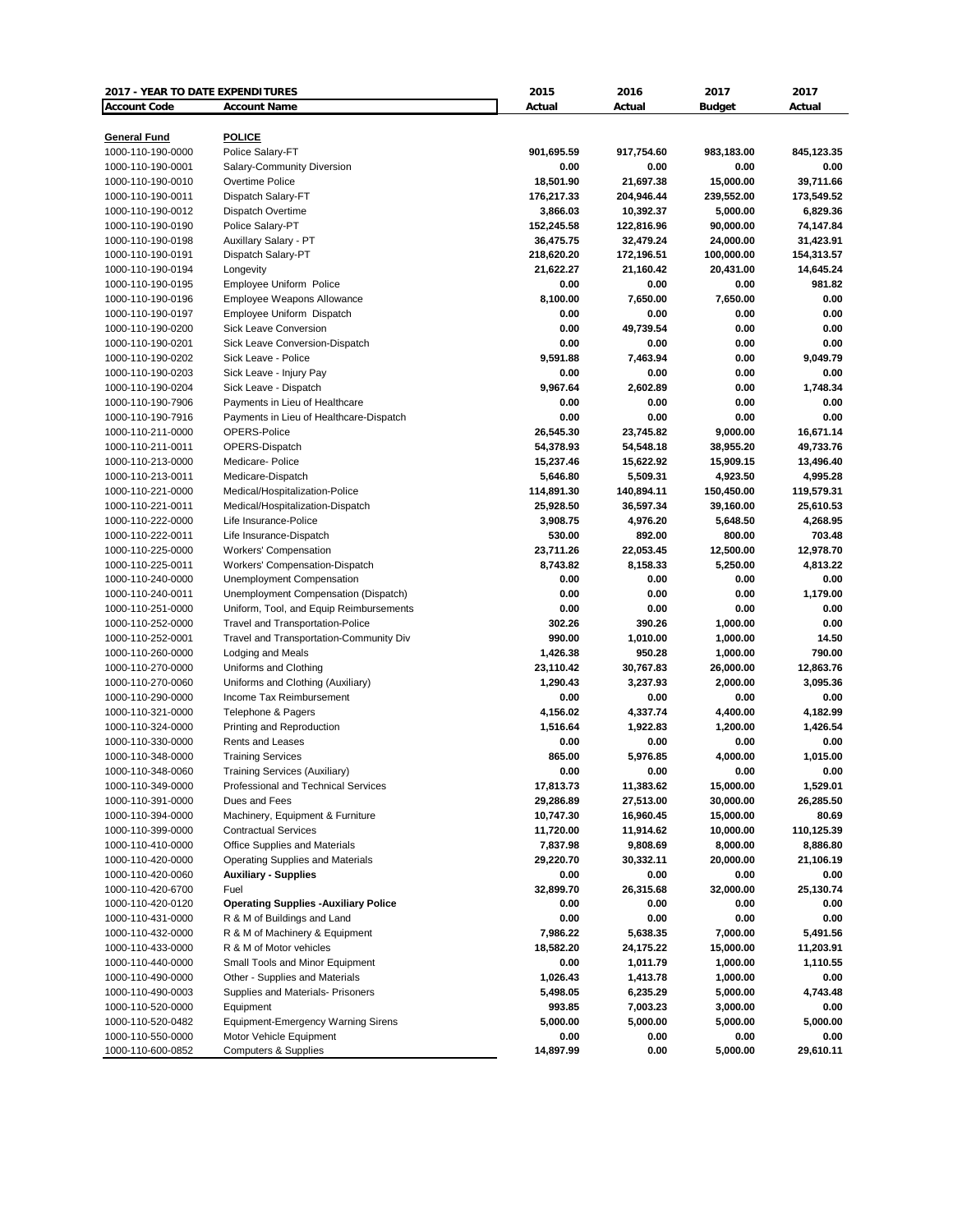| 2017 - YEAR TO DATE EXPENDITURES |                                              | 2015       | 2016       | 2017          | 2017       |
|----------------------------------|----------------------------------------------|------------|------------|---------------|------------|
| <b>Account Code</b>              | <b>Account Name</b>                          | Actual     | Actual     | <b>Budget</b> | Actual     |
|                                  |                                              |            |            |               |            |
| <b>General Fund</b>              | <b>POLICE</b>                                |            |            |               |            |
| 1000-110-190-0000                | Police Salary-FT                             | 901,695.59 | 917,754.60 | 983,183.00    | 845,123.35 |
| 1000-110-190-0001                | Salary-Community Diversion                   | 0.00       | 0.00       | 0.00          | 0.00       |
| 1000-110-190-0010                | Overtime Police                              | 18,501.90  | 21,697.38  | 15,000.00     | 39,711.66  |
| 1000-110-190-0011                | Dispatch Salary-FT                           | 176,217.33 | 204,946.44 | 239,552.00    | 173,549.52 |
| 1000-110-190-0012                | Dispatch Overtime                            | 3,866.03   | 10,392.37  | 5,000.00      | 6,829.36   |
| 1000-110-190-0190                | Police Salary-PT                             | 152,245.58 | 122,816.96 | 90,000.00     | 74,147.84  |
| 1000-110-190-0198                | Auxillary Salary - PT                        | 36,475.75  | 32,479.24  | 24,000.00     | 31,423.91  |
| 1000-110-190-0191                | Dispatch Salary-PT                           | 218,620.20 | 172,196.51 | 100,000.00    | 154,313.57 |
| 1000-110-190-0194                | Longevity                                    | 21,622.27  | 21,160.42  | 20,431.00     | 14,645.24  |
| 1000-110-190-0195                | Employee Uniform Police                      | 0.00       | 0.00       | 0.00          | 981.82     |
| 1000-110-190-0196                | Employee Weapons Allowance                   | 8,100.00   | 7.650.00   | 7,650.00      | 0.00       |
| 1000-110-190-0197                | Employee Uniform Dispatch                    | 0.00       | 0.00       | 0.00          | 0.00       |
| 1000-110-190-0200                | <b>Sick Leave Conversion</b>                 | 0.00       | 49,739.54  | 0.00          | 0.00       |
| 1000-110-190-0201                | Sick Leave Conversion-Dispatch               | 0.00       | 0.00       | 0.00          | 0.00       |
| 1000-110-190-0202                | Sick Leave - Police                          | 9,591.88   | 7,463.94   | 0.00          | 9,049.79   |
| 1000-110-190-0203                | Sick Leave - Injury Pay                      | 0.00       | 0.00       | 0.00          | 0.00       |
| 1000-110-190-0204                | Sick Leave - Dispatch                        | 9.967.64   | 2,602.89   | 0.00          | 1,748.34   |
| 1000-110-190-7906                | Payments in Lieu of Healthcare               | 0.00       | 0.00       | 0.00          | 0.00       |
| 1000-110-190-7916                | Payments in Lieu of Healthcare-Dispatch      | 0.00       | 0.00       | 0.00          | 0.00       |
| 1000-110-211-0000                | OPERS-Police                                 | 26,545.30  | 23,745.82  | 9,000.00      | 16,671.14  |
| 1000-110-211-0011                | OPERS-Dispatch                               | 54,378.93  | 54,548.18  | 38,955.20     | 49,733.76  |
| 1000-110-213-0000                | Medicare-Police                              | 15,237.46  | 15,622.92  | 15,909.15     | 13,496.40  |
| 1000-110-213-0011                | Medicare-Dispatch                            | 5,646.80   | 5,509.31   | 4,923.50      | 4,995.28   |
| 1000-110-221-0000                | Medical/Hospitalization-Police               | 114,891.30 | 140,894.11 | 150,450.00    | 119,579.31 |
| 1000-110-221-0011                | Medical/Hospitalization-Dispatch             | 25,928.50  | 36,597.34  | 39,160.00     | 25,610.53  |
| 1000-110-222-0000                | Life Insurance-Police                        | 3,908.75   | 4,976.20   | 5,648.50      | 4,268.95   |
| 1000-110-222-0011                | Life Insurance-Dispatch                      | 530.00     | 892.00     | 800.00        | 703.48     |
| 1000-110-225-0000                | <b>Workers' Compensation</b>                 | 23,711.26  | 22,053.45  | 12,500.00     | 12,978.70  |
| 1000-110-225-0011                | Workers' Compensation-Dispatch               | 8,743.82   | 8,158.33   | 5,250.00      | 4,813.22   |
| 1000-110-240-0000                | Unemployment Compensation                    | 0.00       | 0.00       | 0.00          | 0.00       |
| 1000-110-240-0011                | Unemployment Compensation (Dispatch)         | 0.00       | 0.00       | 0.00          | 1,179.00   |
| 1000-110-251-0000                | Uniform, Tool, and Equip Reimbursements      | 0.00       | 0.00       | 0.00          | 0.00       |
| 1000-110-252-0000                | <b>Travel and Transportation-Police</b>      | 302.26     | 390.26     | 1,000.00      | 0.00       |
| 1000-110-252-0001                | Travel and Transportation-Community Div      | 990.00     | 1,010.00   | 1,000.00      | 14.50      |
| 1000-110-260-0000                | Lodging and Meals                            | 1,426.38   | 950.28     | 1,000.00      | 790.00     |
| 1000-110-270-0000                | Uniforms and Clothing                        | 23,110.42  | 30,767.83  | 26,000.00     | 12,863.76  |
| 1000-110-270-0060                | Uniforms and Clothing (Auxiliary)            | 1,290.43   | 3,237.93   | 2,000.00      | 3,095.36   |
| 1000-110-290-0000                | Income Tax Reimbursement                     | 0.00       | 0.00       | 0.00          | 0.00       |
| 1000-110-321-0000                | Telephone & Pagers                           | 4,156.02   | 4,337.74   | 4,400.00      | 4,182.99   |
| 1000-110-324-0000                | Printing and Reproduction                    | 1,516.64   | 1,922.83   | 1,200.00      | 1,426.54   |
| 1000-110-330-0000                | Rents and Leases                             | 0.00       | 0.00       | 0.00          | 0.00       |
| 1000-110-348-0000                | <b>Training Services</b>                     | 865.00     | 5.976.85   | 4,000.00      | 1,015.00   |
| 1000-110-348-0060                | <b>Training Services (Auxiliary)</b>         | 0.00       | 0.00       | 0.00          | 0.00       |
| 1000-110-349-0000                | Professional and Technical Services          | 17,813.73  | 11,383.62  | 15,000.00     | 1,529.01   |
| 1000-110-391-0000                | Dues and Fees                                | 29,286.89  | 27,513.00  | 30,000.00     | 26,285.50  |
| 1000-110-394-0000                | Machinery, Equipment & Furniture             | 10,747.30  | 16,960.45  | 15,000.00     | 80.69      |
| 1000-110-399-0000                | <b>Contractual Services</b>                  | 11,720.00  | 11,914.62  | 10,000.00     | 110,125.39 |
| 1000-110-410-0000                | <b>Office Supplies and Materials</b>         | 7,837.98   | 9,808.69   | 8,000.00      | 8,886.80   |
| 1000-110-420-0000                | <b>Operating Supplies and Materials</b>      | 29,220.70  | 30,332.11  | 20,000.00     | 21,106.19  |
| 1000-110-420-0060                | <b>Auxiliary - Supplies</b>                  | 0.00       | 0.00       | 0.00          | 0.00       |
| 1000-110-420-6700                | Fuel                                         | 32,899.70  | 26,315.68  | 32,000.00     | 25,130.74  |
| 1000-110-420-0120                | <b>Operating Supplies - Auxiliary Police</b> | 0.00       | 0.00       | 0.00          | 0.00       |
| 1000-110-431-0000                | R & M of Buildings and Land                  | 0.00       | 0.00       | 0.00          | 0.00       |
| 1000-110-432-0000                | R & M of Machinery & Equipment               | 7,986.22   | 5,638.35   | 7,000.00      | 5,491.56   |
| 1000-110-433-0000                | R & M of Motor vehicles                      | 18,582.20  | 24,175.22  | 15,000.00     | 11,203.91  |
| 1000-110-440-0000                | Small Tools and Minor Equipment              | 0.00       | 1,011.79   | 1,000.00      | 1,110.55   |
| 1000-110-490-0000                | Other - Supplies and Materials               | 1,026.43   | 1,413.78   | 1,000.00      | 0.00       |
| 1000-110-490-0003                | Supplies and Materials- Prisoners            | 5,498.05   | 6,235.29   | 5,000.00      | 4,743.48   |
| 1000-110-520-0000                | Equipment                                    | 993.85     | 7,003.23   | 3,000.00      | 0.00       |
| 1000-110-520-0482                | Equipment-Emergency Warning Sirens           | 5,000.00   | 5,000.00   | 5,000.00      | 5,000.00   |
| 1000-110-550-0000                | Motor Vehicle Equipment                      | 0.00       | 0.00       | 0.00          | 0.00       |
| 1000-110-600-0852                | <b>Computers &amp; Supplies</b>              | 14,897.99  | 0.00       | 5,000.00      | 29,610.11  |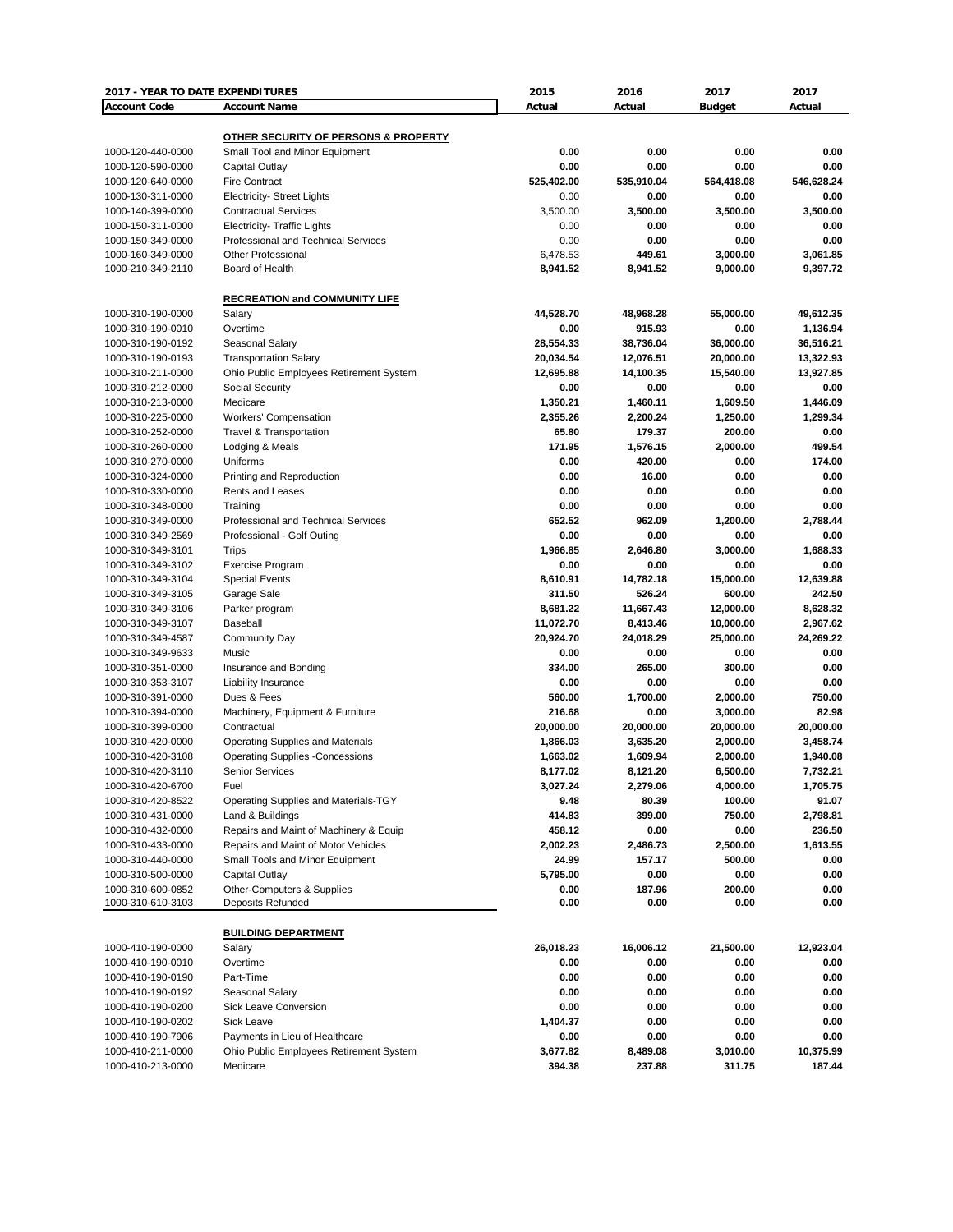| 2017 - YEAR TO DATE EXPENDITURES |                                         | 2015       | 2016       | 2017                 | 2017       |
|----------------------------------|-----------------------------------------|------------|------------|----------------------|------------|
| <b>Account Code</b>              | <b>Account Name</b>                     | Actual     | Actual     | <b>Budget</b>        | Actual     |
|                                  |                                         |            |            |                      |            |
|                                  | OTHER SECURITY OF PERSONS & PROPERTY    |            |            |                      |            |
| 1000-120-440-0000                | Small Tool and Minor Equipment          | 0.00       | 0.00       | 0.00                 | 0.00       |
| 1000-120-590-0000                | Capital Outlay                          | 0.00       | 0.00       | 0.00                 | 0.00       |
| 1000-120-640-0000                | <b>Fire Contract</b>                    | 525,402.00 | 535,910.04 | 564,418.08           | 546,628.24 |
| 1000-130-311-0000                | <b>Electricity- Street Lights</b>       | 0.00       | 0.00       | 0.00                 | 0.00       |
| 1000-140-399-0000                | <b>Contractual Services</b>             | 3,500.00   | 3,500.00   | 3,500.00             | 3,500.00   |
| 1000-150-311-0000                | <b>Electricity- Traffic Lights</b>      | 0.00       | 0.00       | 0.00                 | 0.00       |
| 1000-150-349-0000                | Professional and Technical Services     | 0.00       | 0.00       | 0.00                 | 0.00       |
| 1000-160-349-0000                | <b>Other Professional</b>               | 6,478.53   | 449.61     | 3,000.00             | 3,061.85   |
| 1000-210-349-2110                | Board of Health                         | 8,941.52   | 8,941.52   | 9,000.00             | 9,397.72   |
|                                  |                                         |            |            |                      |            |
|                                  | <b>RECREATION and COMMUNITY LIFE</b>    |            |            |                      |            |
| 1000-310-190-0000                | Salary                                  | 44,528.70  | 48,968.28  | 55,000.00            | 49,612.35  |
| 1000-310-190-0010                | Overtime                                | 0.00       | 915.93     | 0.00                 | 1,136.94   |
| 1000-310-190-0192                | Seasonal Salary                         | 28,554.33  | 38,736.04  | 36,000.00            | 36,516.21  |
| 1000-310-190-0193                | <b>Transportation Salary</b>            | 20,034.54  | 12,076.51  | 20,000.00            | 13,322.93  |
| 1000-310-211-0000                | Ohio Public Employees Retirement System | 12,695.88  | 14,100.35  | 15,540.00            | 13,927.85  |
| 1000-310-212-0000                | Social Security                         | 0.00       | 0.00       | 0.00                 | 0.00       |
| 1000-310-213-0000                | Medicare                                | 1,350.21   | 1,460.11   | 1,609.50             | 1,446.09   |
| 1000-310-225-0000                | <b>Workers' Compensation</b>            | 2,355.26   | 2,200.24   | 1,250.00             | 1,299.34   |
| 1000-310-252-0000                | <b>Travel &amp; Transportation</b>      | 65.80      | 179.37     | 200.00               | 0.00       |
| 1000-310-260-0000                | Lodging & Meals                         | 171.95     | 1,576.15   | 2,000.00             | 499.54     |
| 1000-310-270-0000                | Uniforms                                | 0.00       | 420.00     | 0.00                 | 174.00     |
| 1000-310-324-0000                | Printing and Reproduction               | 0.00       | 16.00      | 0.00                 | 0.00       |
| 1000-310-330-0000                | Rents and Leases                        | 0.00       | 0.00       | 0.00                 | 0.00       |
| 1000-310-348-0000                | Training                                | 0.00       | 0.00       | 0.00                 | 0.00       |
| 1000-310-349-0000                | Professional and Technical Services     | 652.52     | 962.09     | 1,200.00             | 2.788.44   |
| 1000-310-349-2569                | Professional - Golf Outing              | 0.00       | 0.00       | 0.00                 | 0.00       |
| 1000-310-349-3101                | Trips                                   | 1,966.85   | 2,646.80   | 3,000.00             | 1,688.33   |
| 1000-310-349-3102                | <b>Exercise Program</b>                 | 0.00       | 0.00       | 0.00                 | 0.00       |
| 1000-310-349-3104                | <b>Special Events</b>                   | 8,610.91   | 14,782.18  | 15,000.00            | 12,639.88  |
| 1000-310-349-3105                | Garage Sale                             | 311.50     | 526.24     | 600.00               | 242.50     |
| 1000-310-349-3106                | Parker program                          | 8,681.22   | 11,667.43  | 12,000.00            | 8,628.32   |
| 1000-310-349-3107                | Baseball                                | 11,072.70  | 8,413.46   | 10,000.00            | 2,967.62   |
| 1000-310-349-4587                | <b>Community Day</b>                    | 20,924.70  | 24,018.29  | 25,000.00            | 24,269.22  |
| 1000-310-349-9633                | Music                                   | 0.00       | 0.00       | 0.00                 | 0.00       |
| 1000-310-351-0000                | Insurance and Bonding                   | 334.00     | 265.00     | 300.00               | 0.00       |
| 1000-310-353-3107                | Liability Insurance                     | 0.00       | 0.00       | 0.00                 | 0.00       |
| 1000-310-391-0000                | Dues & Fees                             | 560.00     | 1,700.00   | 2,000.00             | 750.00     |
| 1000-310-394-0000                | Machinery, Equipment & Furniture        | 216.68     | 0.00       | 3,000.00             | 82.98      |
| 1000-310-399-0000                | Contractual                             | 20,000.00  | 20,000.00  | 20,000.00            | 20,000.00  |
| 1000-310-420-0000                | <b>Operating Supplies and Materials</b> | 1,866.03   | 3,635.20   | 2,000.00             | 3,458.74   |
| 1000-310-420-3108                | <b>Operating Supplies -Concessions</b>  | 1,663.02   | 1,609.94   |                      | 1,940.08   |
| 1000-310-420-3110                | <b>Senior Services</b>                  | 8,177.02   |            | 2,000.00<br>6,500.00 | 7,732.21   |
|                                  |                                         |            | 8,121.20   | 4,000.00             |            |
| 1000-310-420-6700                | Fuel                                    | 3,027.24   | 2,279.06   |                      | 1,705.75   |
| 1000-310-420-8522                | Operating Supplies and Materials-TGY    | 9.48       | 80.39      | 100.00               | 91.07      |
| 1000-310-431-0000                | Land & Buildings                        | 414.83     | 399.00     | 750.00               | 2,798.81   |
| 1000-310-432-0000                | Repairs and Maint of Machinery & Equip  | 458.12     | 0.00       | 0.00                 | 236.50     |
| 1000-310-433-0000                | Repairs and Maint of Motor Vehicles     | 2,002.23   | 2,486.73   | 2,500.00             | 1,613.55   |
| 1000-310-440-0000                | Small Tools and Minor Equipment         | 24.99      | 157.17     | 500.00               | 0.00       |
| 1000-310-500-0000                | Capital Outlay                          | 5,795.00   | 0.00       | 0.00                 | 0.00       |
| 1000-310-600-0852                | Other-Computers & Supplies              | 0.00       | 187.96     | 200.00               | 0.00       |
| 1000-310-610-3103                | Deposits Refunded                       | 0.00       | 0.00       | 0.00                 | 0.00       |
|                                  |                                         |            |            |                      |            |
|                                  | <b>BUILDING DEPARTMENT</b>              |            |            |                      |            |
| 1000-410-190-0000                | Salary                                  | 26,018.23  | 16,006.12  | 21,500.00            | 12,923.04  |
| 1000-410-190-0010                | Overtime                                | 0.00       | 0.00       | 0.00                 | 0.00       |
| 1000-410-190-0190                | Part-Time                               | 0.00       | 0.00       | 0.00                 | 0.00       |
| 1000-410-190-0192                | Seasonal Salary                         | 0.00       | 0.00       | 0.00                 | 0.00       |
| 1000-410-190-0200                | Sick Leave Conversion                   | 0.00       | 0.00       | 0.00                 | 0.00       |
| 1000-410-190-0202                | Sick Leave                              | 1,404.37   | 0.00       | 0.00                 | 0.00       |
| 1000-410-190-7906                | Payments in Lieu of Healthcare          | 0.00       | 0.00       | 0.00                 | 0.00       |
| 1000-410-211-0000                | Ohio Public Employees Retirement System | 3,677.82   | 8,489.08   | 3,010.00             | 10,375.99  |
| 1000-410-213-0000                | Medicare                                | 394.38     | 237.88     | 311.75               | 187.44     |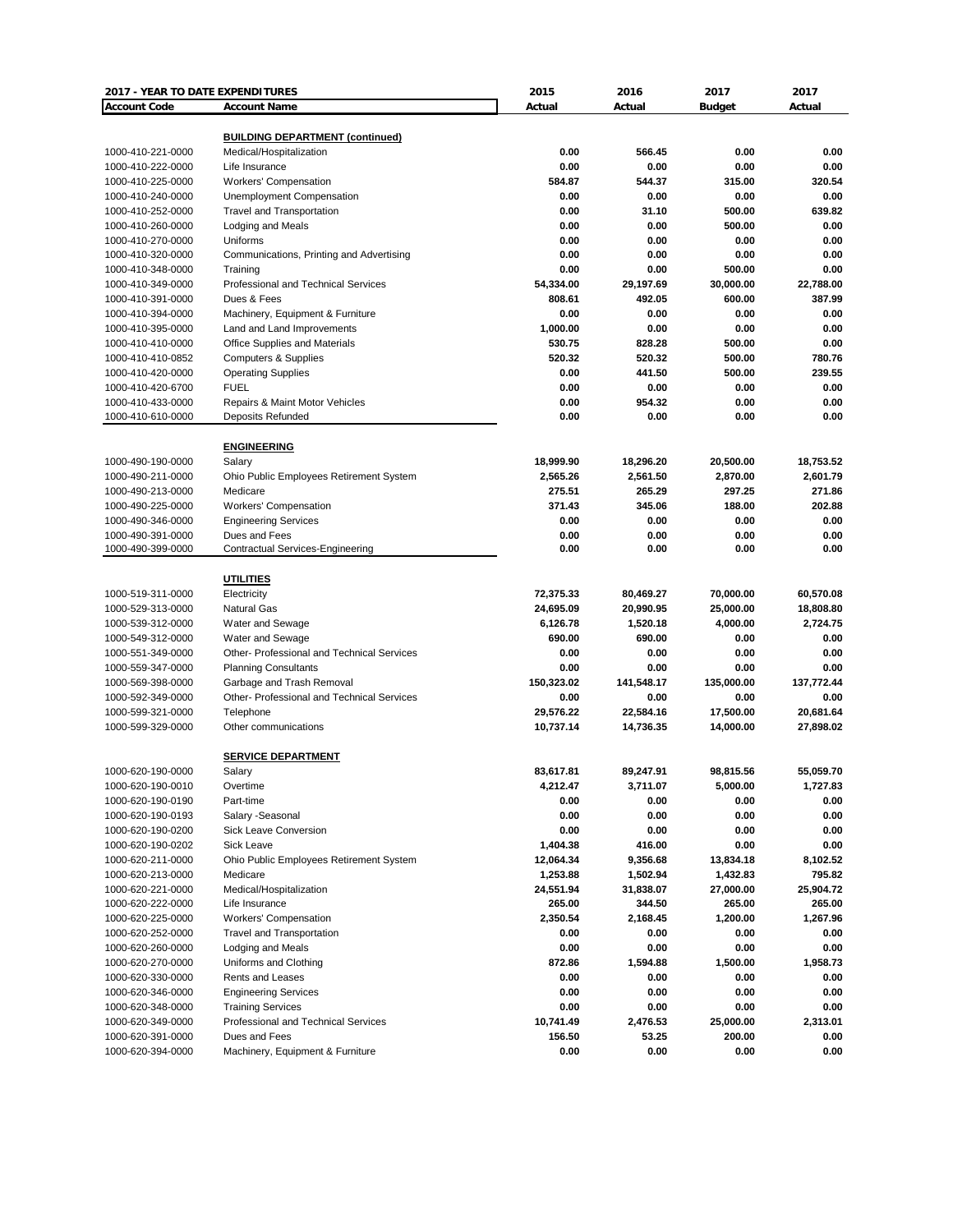| 2017 - YEAR TO DATE EXPENDITURES       |                                                        | 2015           | 2016           | 2017           | 2017           |
|----------------------------------------|--------------------------------------------------------|----------------|----------------|----------------|----------------|
| <b>Account Code</b>                    | <b>Account Name</b>                                    | Actual         | Actual         | <b>Budget</b>  | Actual         |
|                                        |                                                        |                |                |                |                |
|                                        | <b>BUILDING DEPARTMENT (continued)</b>                 |                |                |                |                |
| 1000-410-221-0000                      | Medical/Hospitalization                                | 0.00           | 566.45         | 0.00           | 0.00           |
| 1000-410-222-0000                      | Life Insurance<br><b>Workers' Compensation</b>         | 0.00<br>584.87 | 0.00<br>544.37 | 0.00           | 0.00<br>320.54 |
| 1000-410-225-0000                      |                                                        |                | 0.00           | 315.00         | 0.00           |
| 1000-410-240-0000<br>1000-410-252-0000 | Unemployment Compensation<br>Travel and Transportation | 0.00<br>0.00   | 31.10          | 0.00<br>500.00 | 639.82         |
| 1000-410-260-0000                      | Lodging and Meals                                      | 0.00           | 0.00           | 500.00         | 0.00           |
| 1000-410-270-0000                      | Uniforms                                               | 0.00           | 0.00           | 0.00           | 0.00           |
| 1000-410-320-0000                      | Communications, Printing and Advertising               | 0.00           | 0.00           | 0.00           | 0.00           |
| 1000-410-348-0000                      | Training                                               | 0.00           | 0.00           | 500.00         | 0.00           |
| 1000-410-349-0000                      | Professional and Technical Services                    | 54,334.00      | 29,197.69      | 30,000.00      | 22,788.00      |
| 1000-410-391-0000                      | Dues & Fees                                            | 808.61         | 492.05         | 600.00         | 387.99         |
| 1000-410-394-0000                      | Machinery, Equipment & Furniture                       | 0.00           | 0.00           | 0.00           | 0.00           |
| 1000-410-395-0000                      | Land and Land Improvements                             | 1,000.00       | 0.00           | 0.00           | 0.00           |
| 1000-410-410-0000                      | Office Supplies and Materials                          | 530.75         | 828.28         | 500.00         | 0.00           |
| 1000-410-410-0852                      | <b>Computers &amp; Supplies</b>                        | 520.32         | 520.32         | 500.00         | 780.76         |
| 1000-410-420-0000                      | <b>Operating Supplies</b>                              | 0.00           | 441.50         | 500.00         | 239.55         |
| 1000-410-420-6700                      | <b>FUEL</b>                                            | 0.00           | 0.00           | 0.00           | 0.00           |
| 1000-410-433-0000                      | Repairs & Maint Motor Vehicles                         | 0.00           | 954.32         | 0.00           | 0.00           |
| 1000-410-610-0000                      | Deposits Refunded                                      | 0.00           | 0.00           | 0.00           | 0.00           |
|                                        |                                                        |                |                |                |                |
|                                        | <b>ENGINEERING</b>                                     |                |                |                |                |
| 1000-490-190-0000                      | Salary                                                 | 18,999.90      | 18,296.20      | 20,500.00      | 18,753.52      |
| 1000-490-211-0000                      | Ohio Public Employees Retirement System                | 2,565.26       | 2,561.50       | 2,870.00       | 2,601.79       |
| 1000-490-213-0000                      | Medicare                                               | 275.51         | 265.29         | 297.25         | 271.86         |
| 1000-490-225-0000                      | Workers' Compensation                                  | 371.43         | 345.06         | 188.00         | 202.88         |
| 1000-490-346-0000                      | <b>Engineering Services</b>                            | 0.00           | 0.00           | 0.00           | 0.00           |
| 1000-490-391-0000                      | Dues and Fees                                          | 0.00           | 0.00           | 0.00           | 0.00           |
| 1000-490-399-0000                      | <b>Contractual Services-Engineering</b>                | 0.00           | 0.00           | 0.00           | 0.00           |
|                                        |                                                        |                |                |                |                |
|                                        | <b>UTILITIES</b>                                       |                |                |                |                |
| 1000-519-311-0000                      | Electricity                                            | 72,375.33      | 80,469.27      | 70,000.00      | 60,570.08      |
| 1000-529-313-0000                      | <b>Natural Gas</b>                                     | 24,695.09      | 20,990.95      | 25,000.00      | 18,808.80      |
| 1000-539-312-0000                      | Water and Sewage                                       | 6,126.78       | 1,520.18       | 4,000.00       | 2,724.75       |
| 1000-549-312-0000                      | Water and Sewage                                       | 690.00         | 690.00         | 0.00           | 0.00           |
| 1000-551-349-0000                      | Other- Professional and Technical Services             | 0.00           | 0.00           | 0.00           | 0.00           |
| 1000-559-347-0000                      | <b>Planning Consultants</b>                            | 0.00           | 0.00           | 0.00           | 0.00           |
| 1000-569-398-0000                      | Garbage and Trash Removal                              | 150,323.02     | 141,548.17     | 135,000.00     | 137,772.44     |
| 1000-592-349-0000                      | <b>Other-Professional and Technical Services</b>       | 0.00           | 0.00           | 0.00           | 0.00           |
| 1000-599-321-0000                      | Telephone                                              | 29,576.22      | 22,584.16      | 17,500.00      | 20,681.64      |
| 1000-599-329-0000                      | Other communications                                   | 10,737.14      | 14,736.35      | 14,000.00      | 27,898.02      |
|                                        |                                                        |                |                |                |                |
|                                        | <b>SERVICE DEPARTMENT</b>                              |                |                |                |                |
| 1000-620-190-0000                      | Salary                                                 | 83,617.81      | 89,247.91      | 98,815.56      | 55,059.70      |
| 1000-620-190-0010                      | Overtime                                               | 4,212.47       | 3,711.07       | 5,000.00       | 1,727.83       |
| 1000-620-190-0190                      | Part-time                                              | 0.00           | 0.00           | 0.00           | 0.00           |
| 1000-620-190-0193                      | Salary -Seasonal                                       | 0.00           | 0.00           | 0.00           | 0.00           |
| 1000-620-190-0200                      | Sick Leave Conversion                                  | 0.00           | 0.00           | 0.00           | 0.00           |
| 1000-620-190-0202                      | Sick Leave                                             | 1,404.38       | 416.00         | 0.00           | 0.00           |
| 1000-620-211-0000                      | Ohio Public Employees Retirement System                | 12,064.34      | 9,356.68       | 13,834.18      | 8,102.52       |
| 1000-620-213-0000                      | Medicare                                               | 1,253.88       | 1,502.94       | 1,432.83       | 795.82         |
| 1000-620-221-0000                      | Medical/Hospitalization                                | 24,551.94      | 31,838.07      | 27,000.00      | 25,904.72      |
| 1000-620-222-0000                      | Life Insurance                                         | 265.00         | 344.50         | 265.00         | 265.00         |
| 1000-620-225-0000                      | <b>Workers' Compensation</b>                           | 2,350.54       | 2,168.45       | 1,200.00       | 1,267.96       |
| 1000-620-252-0000                      | <b>Travel and Transportation</b>                       | 0.00           | 0.00           | 0.00           | 0.00           |
| 1000-620-260-0000                      | Lodging and Meals                                      | 0.00           | 0.00           | 0.00           | 0.00           |
| 1000-620-270-0000                      | Uniforms and Clothing                                  | 872.86         | 1,594.88       | 1,500.00       | 1,958.73       |
| 1000-620-330-0000                      | Rents and Leases                                       | 0.00           | 0.00           | 0.00           | 0.00           |
| 1000-620-346-0000                      | <b>Engineering Services</b>                            | 0.00           | 0.00           | 0.00           | 0.00           |
| 1000-620-348-0000                      | <b>Training Services</b>                               | 0.00           | 0.00           | 0.00           | 0.00           |
| 1000-620-349-0000                      | Professional and Technical Services                    | 10,741.49      | 2,476.53       | 25,000.00      | 2,313.01       |
| 1000-620-391-0000                      | Dues and Fees                                          | 156.50         | 53.25          | 200.00         | 0.00           |
| 1000-620-394-0000                      | Machinery, Equipment & Furniture                       | 0.00           | 0.00           | 0.00           | 0.00           |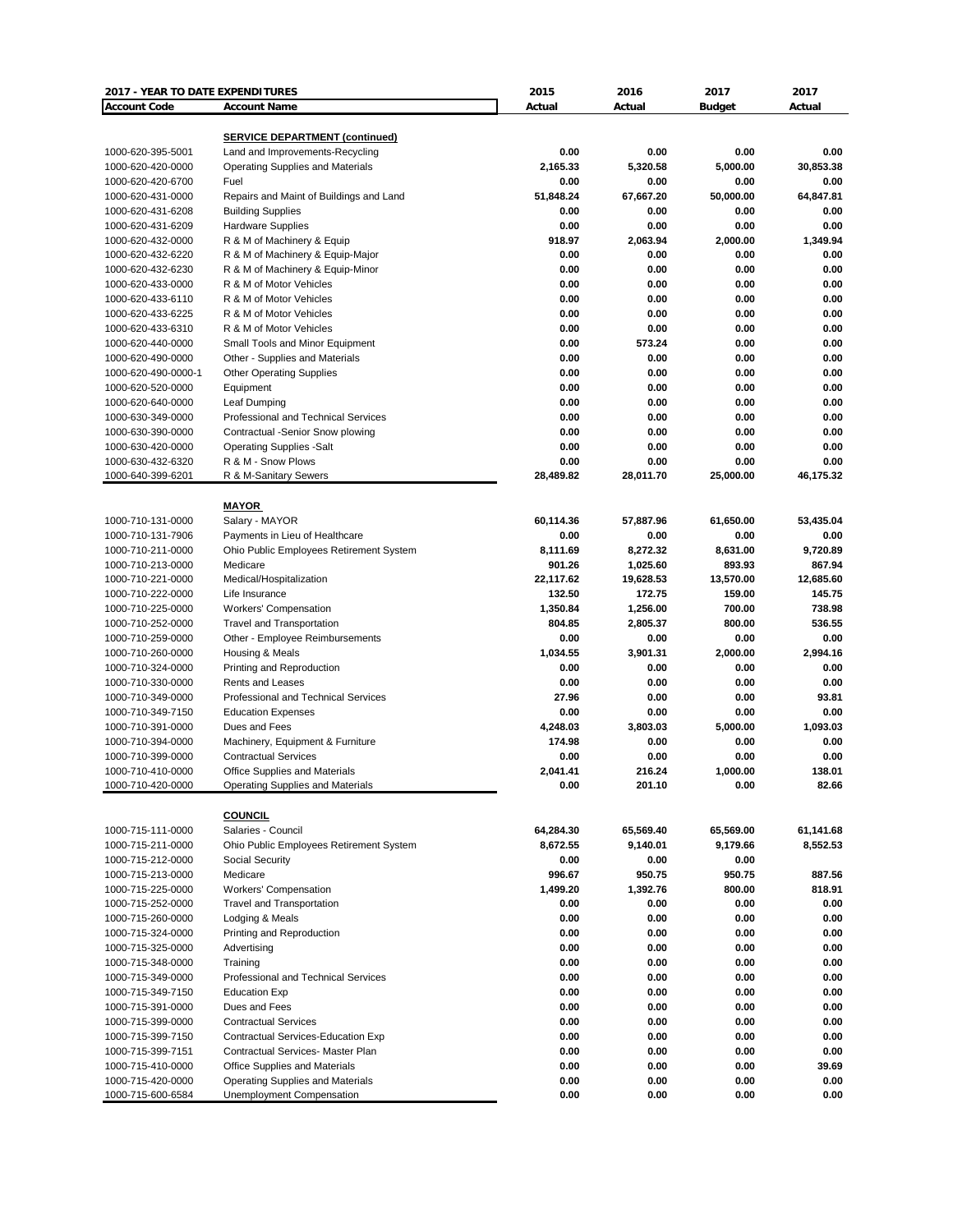| 2017 - YEAR TO DATE EXPENDITURES       |                                                             | 2015                | 2016                | 2017                | 2017               |
|----------------------------------------|-------------------------------------------------------------|---------------------|---------------------|---------------------|--------------------|
| <b>Account Code</b>                    | <b>Account Name</b>                                         | Actual              | Actual              | <b>Budget</b>       | Actual             |
|                                        |                                                             |                     |                     |                     |                    |
|                                        | <b>SERVICE DEPARTMENT (continued)</b>                       |                     |                     |                     |                    |
| 1000-620-395-5001                      | Land and Improvements-Recycling                             | 0.00                | 0.00                | 0.00                | 0.00               |
| 1000-620-420-0000                      | <b>Operating Supplies and Materials</b>                     | 2,165.33            | 5,320.58            | 5.000.00            | 30,853.38          |
| 1000-620-420-6700                      | Fuel                                                        | 0.00                | 0.00                | 0.00                | 0.00               |
| 1000-620-431-0000                      | Repairs and Maint of Buildings and Land                     | 51,848.24           | 67,667.20           | 50,000.00           | 64,847.81          |
| 1000-620-431-6208                      | <b>Building Supplies</b>                                    | 0.00                | 0.00                | 0.00                | 0.00               |
| 1000-620-431-6209                      | <b>Hardware Supplies</b>                                    | 0.00                | 0.00                | 0.00                | 0.00               |
| 1000-620-432-0000                      | R & M of Machinery & Equip                                  | 918.97              | 2,063.94            | 2,000.00            | 1,349.94           |
| 1000-620-432-6220                      | R & M of Machinery & Equip-Major                            | 0.00                | 0.00                | 0.00                | 0.00               |
| 1000-620-432-6230                      | R & M of Machinery & Equip-Minor<br>R & M of Motor Vehicles | 0.00                | 0.00                | 0.00                | 0.00               |
| 1000-620-433-0000                      |                                                             | 0.00                | 0.00                | 0.00                | 0.00               |
| 1000-620-433-6110                      | R & M of Motor Vehicles                                     | 0.00                | 0.00                | 0.00                | 0.00               |
| 1000-620-433-6225                      | R & M of Motor Vehicles                                     | 0.00                | 0.00                | 0.00                | 0.00               |
| 1000-620-433-6310                      | R & M of Motor Vehicles                                     | 0.00<br>0.00        | 0.00                | 0.00                | 0.00<br>0.00       |
| 1000-620-440-0000                      | Small Tools and Minor Equipment                             | 0.00                | 573.24<br>0.00      | 0.00                | 0.00               |
| 1000-620-490-0000                      | Other - Supplies and Materials                              | 0.00                | 0.00                | 0.00<br>0.00        | 0.00               |
| 1000-620-490-0000-1                    | <b>Other Operating Supplies</b>                             | 0.00                | 0.00                | 0.00                | 0.00               |
| 1000-620-520-0000                      | Equipment                                                   |                     |                     |                     |                    |
| 1000-620-640-0000                      | Leaf Dumping                                                | 0.00                | 0.00                | 0.00                | 0.00               |
| 1000-630-349-0000                      | Professional and Technical Services                         | 0.00                | 0.00                | 0.00                | 0.00               |
| 1000-630-390-0000                      | Contractual -Senior Snow plowing                            | 0.00                | 0.00                | 0.00                | 0.00               |
| 1000-630-420-0000                      | <b>Operating Supplies -Salt</b>                             | 0.00                | 0.00                | 0.00                | 0.00               |
| 1000-630-432-6320                      | R & M - Snow Plows                                          | 0.00<br>28,489.82   | 0.00                | 0.00                | 0.00               |
| 1000-640-399-6201                      | R & M-Sanitary Sewers                                       |                     | 28,011.70           | 25,000.00           | 46,175.32          |
|                                        | <b>MAYOR</b>                                                |                     |                     |                     |                    |
| 1000-710-131-0000                      | Salary - MAYOR                                              | 60,114.36           | 57,887.96           | 61,650.00           | 53,435.04          |
| 1000-710-131-7906                      | Payments in Lieu of Healthcare                              | 0.00                | 0.00                | 0.00                | 0.00               |
|                                        |                                                             | 8,111.69            |                     |                     |                    |
| 1000-710-211-0000<br>1000-710-213-0000 | Ohio Public Employees Retirement System                     | 901.26              | 8,272.32            | 8,631.00<br>893.93  | 9,720.89<br>867.94 |
| 1000-710-221-0000                      | Medicare                                                    |                     | 1,025.60            |                     | 12,685.60          |
| 1000-710-222-0000                      | Medical/Hospitalization<br>Life Insurance                   | 22,117.62<br>132.50 | 19,628.53<br>172.75 | 13,570.00<br>159.00 | 145.75             |
|                                        |                                                             |                     | 1,256.00            | 700.00              | 738.98             |
| 1000-710-225-0000                      | <b>Workers' Compensation</b>                                | 1,350.84            |                     |                     | 536.55             |
| 1000-710-252-0000                      | <b>Travel and Transportation</b>                            | 804.85<br>0.00      | 2,805.37<br>0.00    | 800.00<br>0.00      | 0.00               |
| 1000-710-259-0000                      | Other - Employee Reimbursements                             |                     |                     |                     |                    |
| 1000-710-260-0000                      | Housing & Meals                                             | 1,034.55            | 3,901.31            | 2,000.00            | 2,994.16           |
| 1000-710-324-0000                      | Printing and Reproduction                                   | 0.00                | 0.00                | 0.00                | 0.00               |
| 1000-710-330-0000<br>1000-710-349-0000 | Rents and Leases<br>Professional and Technical Services     | 0.00<br>27.96       | 0.00<br>0.00        | 0.00<br>0.00        | 0.00<br>93.81      |
| 1000-710-349-7150                      |                                                             | 0.00                | 0.00                | 0.00                | 0.00               |
|                                        | <b>Education Expenses</b>                                   | 4,248.03            |                     | 5,000.00            |                    |
| 1000-710-391-0000                      | Dues and Fees                                               | 174.98              | 3,803.03            | 0.00                | 1,093.03<br>0.00   |
| 1000-710-394-0000                      | Machinery, Equipment & Furniture                            |                     | 0.00                |                     |                    |
| 1000-710-399-0000                      | <b>Contractual Services</b>                                 | 0.00                | 0.00                | 0.00                | 0.00               |
| 1000-710-410-0000<br>1000-710-420-0000 | <b>Office Supplies and Materials</b>                        | 2,041.41<br>0.00    | 216.24<br>201.10    | 1,000.00<br>0.00    | 138.01<br>82.66    |
|                                        | Operating Supplies and Materials                            |                     |                     |                     |                    |
|                                        | <b>COUNCIL</b>                                              |                     |                     |                     |                    |
| 1000-715-111-0000                      | Salaries - Council                                          | 64,284.30           | 65,569.40           | 65,569.00           | 61,141.68          |
| 1000-715-211-0000                      | Ohio Public Employees Retirement System                     | 8,672.55            | 9,140.01            | 9,179.66            | 8,552.53           |
| 1000-715-212-0000                      | Social Security                                             | 0.00                | 0.00                | 0.00                |                    |
| 1000-715-213-0000                      | Medicare                                                    | 996.67              | 950.75              | 950.75              | 887.56             |
| 1000-715-225-0000                      | <b>Workers' Compensation</b>                                | 1,499.20            | 1,392.76            | 800.00              | 818.91             |
| 1000-715-252-0000                      | <b>Travel and Transportation</b>                            | 0.00                | 0.00                | 0.00                | 0.00               |
| 1000-715-260-0000                      | Lodging & Meals                                             | 0.00                | 0.00                | 0.00                | 0.00               |
| 1000-715-324-0000                      | Printing and Reproduction                                   | 0.00                | 0.00                | 0.00                | 0.00               |
| 1000-715-325-0000                      | Advertising                                                 | 0.00                | 0.00                | 0.00                | 0.00               |
| 1000-715-348-0000                      | Training                                                    | 0.00                | 0.00                | 0.00                | 0.00               |
| 1000-715-349-0000                      | Professional and Technical Services                         | 0.00                | 0.00                | 0.00                | 0.00               |
|                                        | <b>Education Exp</b>                                        | 0.00                | 0.00                | 0.00                | 0.00               |
| 1000-715-349-7150                      |                                                             |                     |                     |                     |                    |
| 1000-715-391-0000                      | Dues and Fees                                               | 0.00                | 0.00                | 0.00                | 0.00               |
| 1000-715-399-0000                      | <b>Contractual Services</b>                                 | 0.00                | 0.00                | 0.00                | 0.00               |
| 1000-715-399-7150                      | Contractual Services-Education Exp                          | 0.00                | 0.00                | 0.00                | 0.00               |
| 1000-715-399-7151                      | Contractual Services- Master Plan                           | 0.00                | 0.00                | 0.00                | 0.00               |
| 1000-715-410-0000                      | Office Supplies and Materials                               | 0.00                | 0.00                | 0.00                | 39.69              |
| 1000-715-420-0000                      | Operating Supplies and Materials                            | 0.00<br>0.00        | 0.00<br>0.00        | 0.00<br>0.00        | 0.00<br>0.00       |
| 1000-715-600-6584                      | Unemployment Compensation                                   |                     |                     |                     |                    |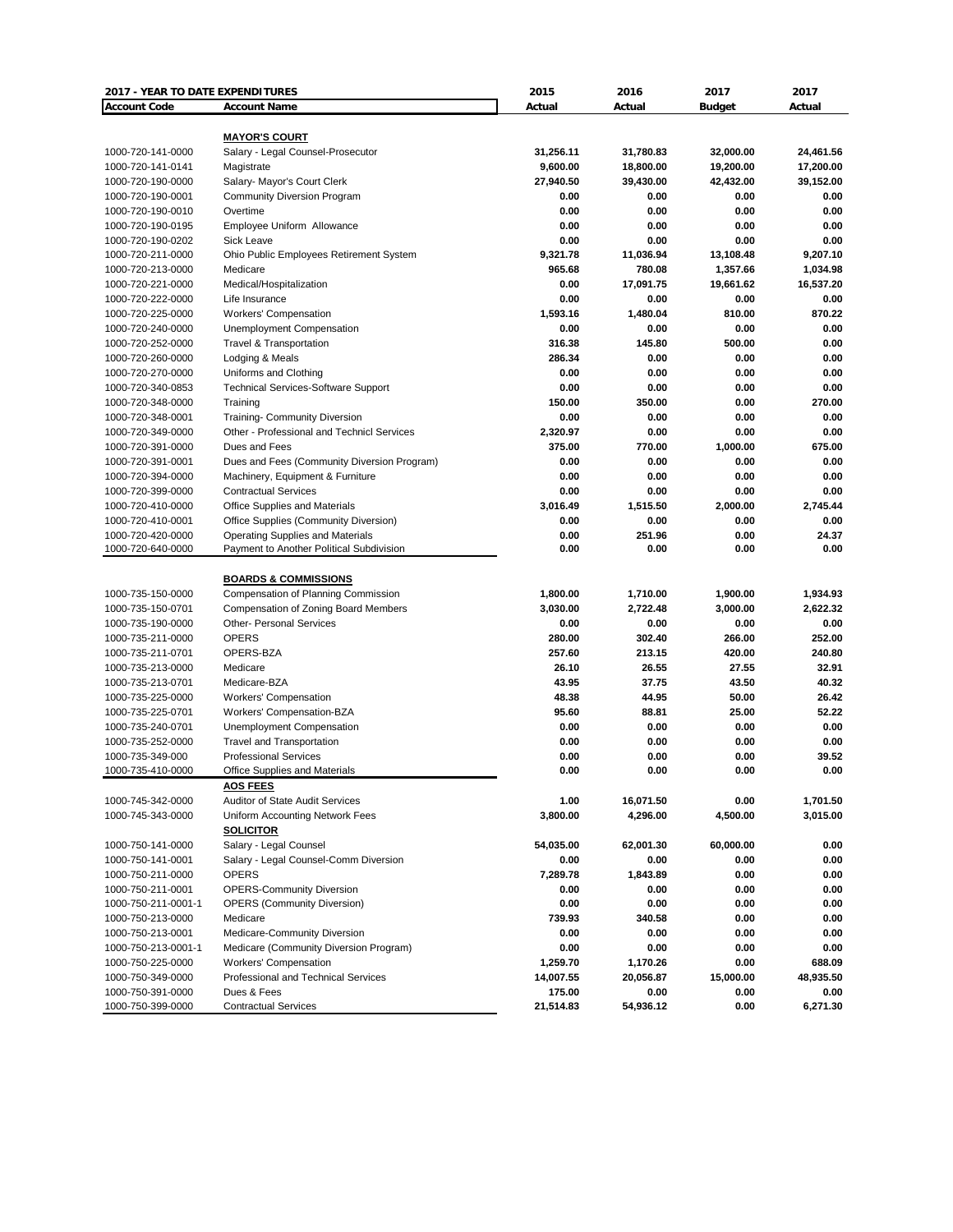| 2017 - YEAR TO DATE EXPENDITURES |                                                           | 2015      | 2016      | 2017          | 2017      |
|----------------------------------|-----------------------------------------------------------|-----------|-----------|---------------|-----------|
| <b>Account Code</b>              | <b>Account Name</b>                                       | Actual    | Actual    | <b>Budget</b> | Actual    |
|                                  |                                                           |           |           |               |           |
| 1000-720-141-0000                | <b>MAYOR'S COURT</b><br>Salary - Legal Counsel-Prosecutor | 31,256.11 | 31,780.83 | 32,000.00     | 24,461.56 |
| 1000-720-141-0141                | Magistrate                                                | 9,600.00  | 18,800.00 | 19,200.00     | 17,200.00 |
| 1000-720-190-0000                | Salary- Mayor's Court Clerk                               | 27,940.50 | 39,430.00 | 42,432.00     | 39,152.00 |
| 1000-720-190-0001                | <b>Community Diversion Program</b>                        | 0.00      | 0.00      | 0.00          | 0.00      |
| 1000-720-190-0010                | Overtime                                                  | 0.00      | 0.00      | 0.00          | 0.00      |
| 1000-720-190-0195                | Employee Uniform Allowance                                | 0.00      | 0.00      | 0.00          | 0.00      |
| 1000-720-190-0202                | Sick Leave                                                | 0.00      | 0.00      | 0.00          | 0.00      |
| 1000-720-211-0000                | Ohio Public Employees Retirement System                   | 9,321.78  | 11,036.94 | 13,108.48     | 9,207.10  |
| 1000-720-213-0000                | Medicare                                                  | 965.68    | 780.08    | 1,357.66      | 1,034.98  |
| 1000-720-221-0000                | Medical/Hospitalization                                   | 0.00      | 17,091.75 | 19,661.62     | 16,537.20 |
| 1000-720-222-0000                | Life Insurance                                            | 0.00      | 0.00      | 0.00          | 0.00      |
| 1000-720-225-0000                | <b>Workers' Compensation</b>                              | 1,593.16  | 1,480.04  | 810.00        | 870.22    |
| 1000-720-240-0000                | Unemployment Compensation                                 | 0.00      | 0.00      | 0.00          | 0.00      |
| 1000-720-252-0000                | Travel & Transportation                                   | 316.38    | 145.80    | 500.00        | 0.00      |
| 1000-720-260-0000                | Lodging & Meals                                           | 286.34    | 0.00      | 0.00          | 0.00      |
| 1000-720-270-0000                | Uniforms and Clothing                                     | 0.00      | 0.00      | 0.00          | 0.00      |
| 1000-720-340-0853                | <b>Technical Services-Software Support</b>                | 0.00      | 0.00      | 0.00          | 0.00      |
| 1000-720-348-0000                | Training                                                  | 150.00    | 350.00    | 0.00          | 270.00    |
| 1000-720-348-0001                | <b>Training- Community Diversion</b>                      | 0.00      | 0.00      | 0.00          | 0.00      |
| 1000-720-349-0000                | Other - Professional and Technicl Services                | 2,320.97  | 0.00      | 0.00          | 0.00      |
| 1000-720-391-0000                | Dues and Fees                                             | 375.00    | 770.00    | 1,000.00      | 675.00    |
| 1000-720-391-0001                | Dues and Fees (Community Diversion Program)               | 0.00      | 0.00      | 0.00          | 0.00      |
| 1000-720-394-0000                | Machinery, Equipment & Furniture                          | 0.00      | 0.00      | 0.00          | 0.00      |
| 1000-720-399-0000                | <b>Contractual Services</b>                               | 0.00      | 0.00      | 0.00          | 0.00      |
| 1000-720-410-0000                | Office Supplies and Materials                             | 3,016.49  | 1,515.50  | 2,000.00      | 2,745.44  |
| 1000-720-410-0001                | Office Supplies (Community Diversion)                     | 0.00      | 0.00      | 0.00          | 0.00      |
| 1000-720-420-0000                | <b>Operating Supplies and Materials</b>                   | 0.00      | 251.96    | 0.00          | 24.37     |
| 1000-720-640-0000                | Payment to Another Political Subdivision                  | 0.00      | 0.00      | 0.00          | 0.00      |
|                                  |                                                           |           |           |               |           |
|                                  | <b>BOARDS &amp; COMMISSIONS</b>                           |           |           |               |           |
| 1000-735-150-0000                | Compensation of Planning Commission                       | 1,800.00  | 1,710.00  | 1,900.00      | 1,934.93  |
| 1000-735-150-0701                | Compensation of Zoning Board Members                      | 3,030.00  | 2,722.48  | 3,000.00      | 2,622.32  |
| 1000-735-190-0000                | <b>Other- Personal Services</b>                           | 0.00      | 0.00      | 0.00          | 0.00      |
| 1000-735-211-0000                | <b>OPERS</b>                                              | 280.00    | 302.40    | 266.00        | 252.00    |
| 1000-735-211-0701                | OPERS-BZA                                                 | 257.60    | 213.15    | 420.00        | 240.80    |
| 1000-735-213-0000                | Medicare                                                  | 26.10     | 26.55     | 27.55         | 32.91     |
| 1000-735-213-0701                | Medicare-BZA                                              | 43.95     | 37.75     | 43.50         | 40.32     |
| 1000-735-225-0000                | <b>Workers' Compensation</b>                              | 48.38     | 44.95     | 50.00         | 26.42     |
| 1000-735-225-0701                | Workers' Compensation-BZA                                 | 95.60     | 88.81     | 25.00         | 52.22     |
| 1000-735-240-0701                | <b>Unemployment Compensation</b>                          | 0.00      | 0.00      | 0.00          | 0.00      |
| 1000-735-252-0000                | <b>Travel and Transportation</b>                          | 0.00      | 0.00      | 0.00          | 0.00      |
| 1000-735-349-000                 | <b>Professional Services</b>                              | 0.00      | 0.00      | 0.00          | 39.52     |
| 1000-735-410-0000                | <b>Office Supplies and Materials</b>                      | 0.00      | 0.00      | 0.00          | 0.00      |
|                                  | <b>AOS FEES</b>                                           |           |           |               |           |
| 1000-745-342-0000                | <b>Auditor of State Audit Services</b>                    | 1.00      | 16,071.50 | 0.00          | 1,701.50  |
| 1000-745-343-0000                | Uniform Accounting Network Fees                           | 3,800.00  | 4,296.00  | 4,500.00      | 3,015.00  |
|                                  | <b>SOLICITOR</b>                                          |           |           |               |           |
| 1000-750-141-0000                | Salary - Legal Counsel                                    | 54,035.00 | 62,001.30 | 60,000.00     | 0.00      |
| 1000-750-141-0001                | Salary - Legal Counsel-Comm Diversion                     | 0.00      | 0.00      | 0.00          | 0.00      |
| 1000-750-211-0000                | <b>OPERS</b>                                              | 7,289.78  | 1,843.89  | 0.00          | 0.00      |
| 1000-750-211-0001                | <b>OPERS-Community Diversion</b>                          | 0.00      | 0.00      | 0.00          | 0.00      |
| 1000-750-211-0001-1              | <b>OPERS (Community Diversion)</b>                        | 0.00      | 0.00      | 0.00          | 0.00      |
| 1000-750-213-0000                | Medicare                                                  | 739.93    | 340.58    | 0.00          | 0.00      |
| 1000-750-213-0001                | Medicare-Community Diversion                              | 0.00      | 0.00      | 0.00          | 0.00      |
| 1000-750-213-0001-1              | Medicare (Community Diversion Program)                    | 0.00      | 0.00      | 0.00          | 0.00      |
| 1000-750-225-0000                | <b>Workers' Compensation</b>                              | 1,259.70  | 1,170.26  | 0.00          | 688.09    |
| 1000-750-349-0000                | Professional and Technical Services                       | 14,007.55 | 20,056.87 | 15,000.00     | 48,935.50 |
| 1000-750-391-0000                | Dues & Fees                                               | 175.00    | 0.00      | 0.00          | 0.00      |
| 1000-750-399-0000                | <b>Contractual Services</b>                               | 21,514.83 | 54,936.12 | 0.00          | 6,271.30  |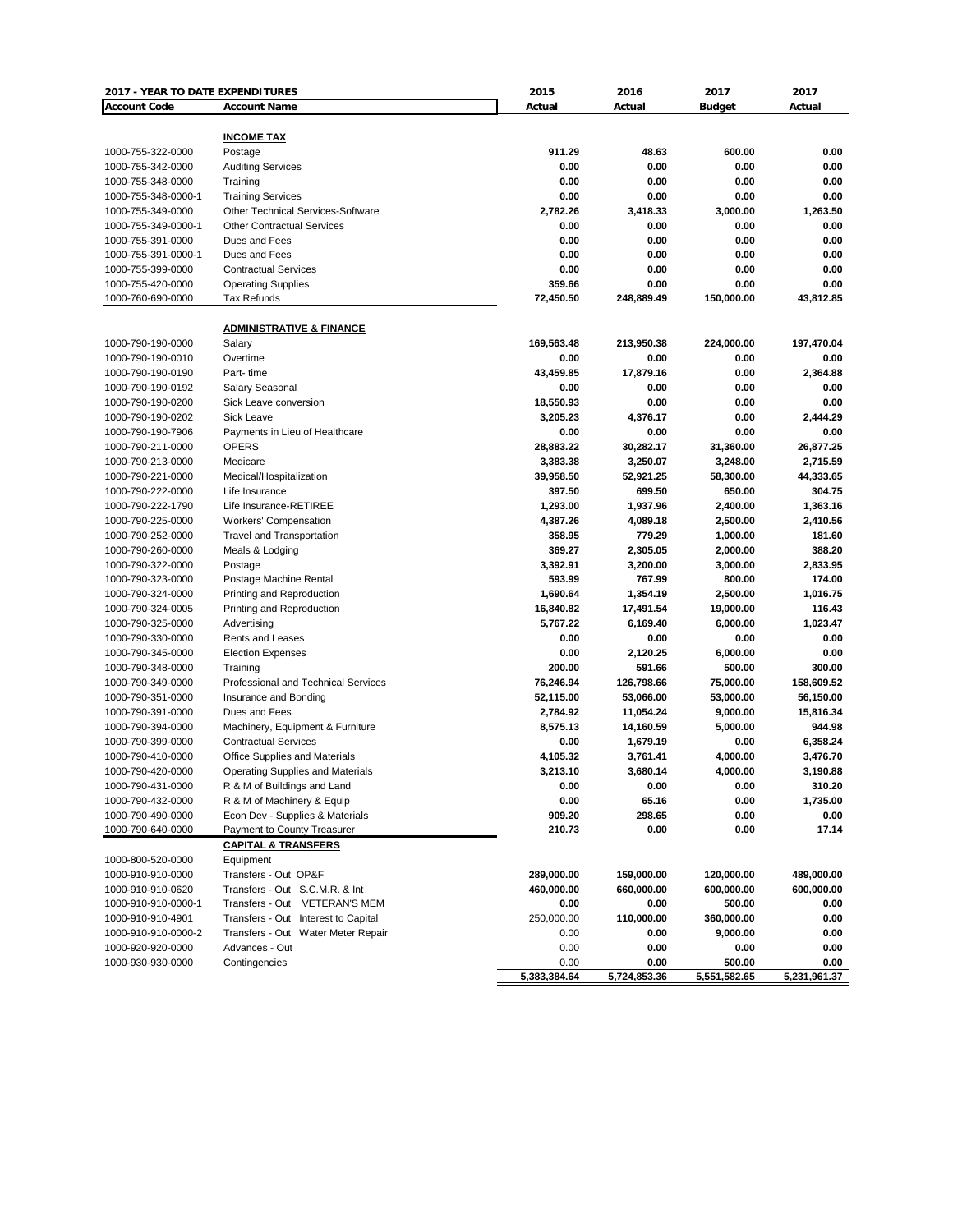| 2017 - YEAR TO DATE EXPENDITURES       |                                                                        | 2015                 | 2016                   | 2017                 | 2017               |
|----------------------------------------|------------------------------------------------------------------------|----------------------|------------------------|----------------------|--------------------|
| <b>Account Code</b>                    | <b>Account Name</b>                                                    | Actual               | Actual                 | <b>Budget</b>        | Actual             |
|                                        |                                                                        |                      |                        |                      |                    |
|                                        | <b>INCOME TAX</b>                                                      |                      |                        |                      |                    |
| 1000-755-322-0000                      | Postage                                                                | 911.29               | 48.63                  | 600.00               | 0.00               |
| 1000-755-342-0000                      | <b>Auditing Services</b>                                               | 0.00                 | 0.00                   | 0.00                 | 0.00               |
| 1000-755-348-0000                      | Training                                                               | 0.00                 | 0.00                   | 0.00                 | 0.00               |
| 1000-755-348-0000-1                    | <b>Training Services</b>                                               | 0.00                 | 0.00                   | 0.00                 | 0.00               |
| 1000-755-349-0000                      | <b>Other Technical Services-Software</b>                               | 2,782.26             | 3,418.33               | 3,000.00             | 1,263.50           |
| 1000-755-349-0000-1                    | <b>Other Contractual Services</b>                                      | 0.00                 | 0.00                   | 0.00                 | 0.00               |
| 1000-755-391-0000                      | Dues and Fees                                                          | 0.00                 | 0.00                   | 0.00                 | 0.00               |
| 1000-755-391-0000-1                    | Dues and Fees                                                          | 0.00                 | 0.00                   | 0.00                 | 0.00               |
| 1000-755-399-0000                      | <b>Contractual Services</b>                                            | 0.00                 | 0.00                   | 0.00                 | 0.00               |
| 1000-755-420-0000                      | <b>Operating Supplies</b>                                              | 359.66               | 0.00                   | 0.00                 | 0.00               |
| 1000-760-690-0000                      | Tax Refunds                                                            | 72,450.50            | 248,889.49             | 150,000.00           | 43,812.85          |
|                                        | <b>ADMINISTRATIVE &amp; FINANCE</b>                                    |                      |                        |                      |                    |
| 1000-790-190-0000                      | Salary                                                                 | 169,563.48           | 213,950.38             | 224,000.00           | 197,470.04         |
| 1000-790-190-0010                      | Overtime                                                               | 0.00                 | 0.00                   | 0.00                 | 0.00               |
| 1000-790-190-0190                      | Part-time                                                              | 43,459.85            | 17,879.16              | 0.00                 | 2,364.88           |
| 1000-790-190-0192                      | Salary Seasonal                                                        | 0.00                 | 0.00                   | 0.00                 | 0.00               |
| 1000-790-190-0200                      | Sick Leave conversion                                                  | 18,550.93            | 0.00                   | 0.00                 | 0.00               |
| 1000-790-190-0202                      | Sick Leave                                                             | 3,205.23             | 4,376.17               | 0.00                 | 2,444.29           |
| 1000-790-190-7906                      | Payments in Lieu of Healthcare                                         | 0.00                 | 0.00                   | 0.00                 | 0.00               |
| 1000-790-211-0000                      | <b>OPERS</b>                                                           | 28,883.22            | 30,282.17              | 31,360.00            | 26,877.25          |
| 1000-790-213-0000                      | Medicare                                                               | 3,383.38             | 3,250.07               | 3,248.00             | 2,715.59           |
| 1000-790-221-0000                      | Medical/Hospitalization                                                | 39,958.50            | 52,921.25              | 58,300.00            | 44,333.65          |
| 1000-790-222-0000                      | Life Insurance                                                         | 397.50               | 699.50                 | 650.00               | 304.75             |
| 1000-790-222-1790                      | Life Insurance-RETIREE                                                 | 1,293.00             | 1,937.96               | 2,400.00             | 1,363.16           |
| 1000-790-225-0000                      | <b>Workers' Compensation</b>                                           | 4,387.26             | 4,089.18               | 2,500.00             | 2,410.56           |
| 1000-790-252-0000                      | <b>Travel and Transportation</b>                                       | 358.95               | 779.29                 | 1,000.00             | 181.60             |
| 1000-790-260-0000                      |                                                                        | 369.27               |                        |                      | 388.20             |
| 1000-790-322-0000                      | Meals & Lodging                                                        | 3,392.91             | 2,305.05<br>3,200.00   | 2,000.00<br>3,000.00 | 2,833.95           |
| 1000-790-323-0000                      | Postage                                                                | 593.99               | 767.99                 | 800.00               | 174.00             |
| 1000-790-324-0000                      | Postage Machine Rental<br>Printing and Reproduction                    | 1,690.64             | 1,354.19               | 2,500.00             | 1,016.75           |
| 1000-790-324-0005                      |                                                                        | 16,840.82            | 17,491.54              | 19,000.00            | 116.43             |
| 1000-790-325-0000                      | Printing and Reproduction                                              | 5,767.22             | 6,169.40               | 6,000.00             | 1,023.47           |
| 1000-790-330-0000                      | Advertising<br>Rents and Leases                                        | 0.00                 | 0.00                   | 0.00                 | 0.00               |
|                                        |                                                                        | 0.00                 |                        |                      | 0.00               |
| 1000-790-345-0000<br>1000-790-348-0000 | <b>Election Expenses</b><br>Training                                   | 200.00               | 2,120.25<br>591.66     | 6,000.00<br>500.00   | 300.00             |
| 1000-790-349-0000                      | <b>Professional and Technical Services</b>                             | 76,246.94            | 126,798.66             | 75,000.00            | 158,609.52         |
| 1000-790-351-0000                      |                                                                        |                      |                        |                      | 56,150.00          |
| 1000-790-391-0000                      | Insurance and Bonding<br>Dues and Fees                                 | 52,115.00            | 53,066.00              | 53,000.00            | 15,816.34          |
| 1000-790-394-0000                      | Machinery, Equipment & Furniture                                       | 2,784.92<br>8,575.13 | 11,054.24<br>14,160.59 | 9,000.00<br>5,000.00 | 944.98             |
| 1000-790-399-0000                      |                                                                        | 0.00                 | 1,679.19               | 0.00                 | 6,358.24           |
| 1000-790-410-0000                      | <b>Contractual Services</b>                                            |                      |                        |                      | 3,476.70           |
| 1000-790-420-0000                      | Office Supplies and Materials                                          | 4,105.32             | 3,761.41               | 4,000.00<br>4,000.00 |                    |
|                                        | <b>Operating Supplies and Materials</b><br>R & M of Buildings and Land | 3,213.10             | 3,680.14               | 0.00                 | 3,190.88<br>310.20 |
| 1000-790-431-0000                      |                                                                        | 0.00                 | 0.00                   |                      | 1,735.00           |
| 1000-790-432-0000<br>1000-790-490-0000 | R & M of Machinery & Equip                                             | 0.00<br>909.20       | 65.16<br>298.65        | 0.00<br>0.00         |                    |
| 1000-790-640-0000                      | Econ Dev - Supplies & Materials<br>Payment to County Treasurer         | 210.73               | 0.00                   | 0.00                 | 0.00<br>17.14      |
|                                        | <b>CAPITAL &amp; TRANSFERS</b>                                         |                      |                        |                      |                    |
| 1000-800-520-0000                      | Equipment                                                              |                      |                        |                      |                    |
| 1000-910-910-0000                      | Transfers - Out OP&F                                                   | 289,000.00           | 159,000.00             | 120,000.00           | 489,000.00         |
| 1000-910-910-0620                      | Transfers - Out S.C.M.R. & Int                                         | 460,000.00           | 660,000.00             | 600,000.00           | 600,000.00         |
| 1000-910-910-0000-1                    | Transfers - Out VETERAN'S MEM                                          | 0.00                 | 0.00                   | 500.00               | 0.00               |
| 1000-910-910-4901                      | Transfers - Out Interest to Capital                                    | 250,000.00           | 110,000.00             | 360,000.00           | 0.00               |
| 1000-910-910-0000-2                    | Transfers - Out Water Meter Repair                                     | 0.00                 | 0.00                   | 9,000.00             | 0.00               |
| 1000-920-920-0000                      | Advances - Out                                                         | 0.00                 | 0.00                   | 0.00                 | 0.00               |
| 1000-930-930-0000                      | Contingencies                                                          | 0.00                 | 0.00                   | 500.00               | 0.00               |
|                                        |                                                                        | 5,383,384.64         | 5,724,853.36           | 5,551,582.65         | 5,231,961.37       |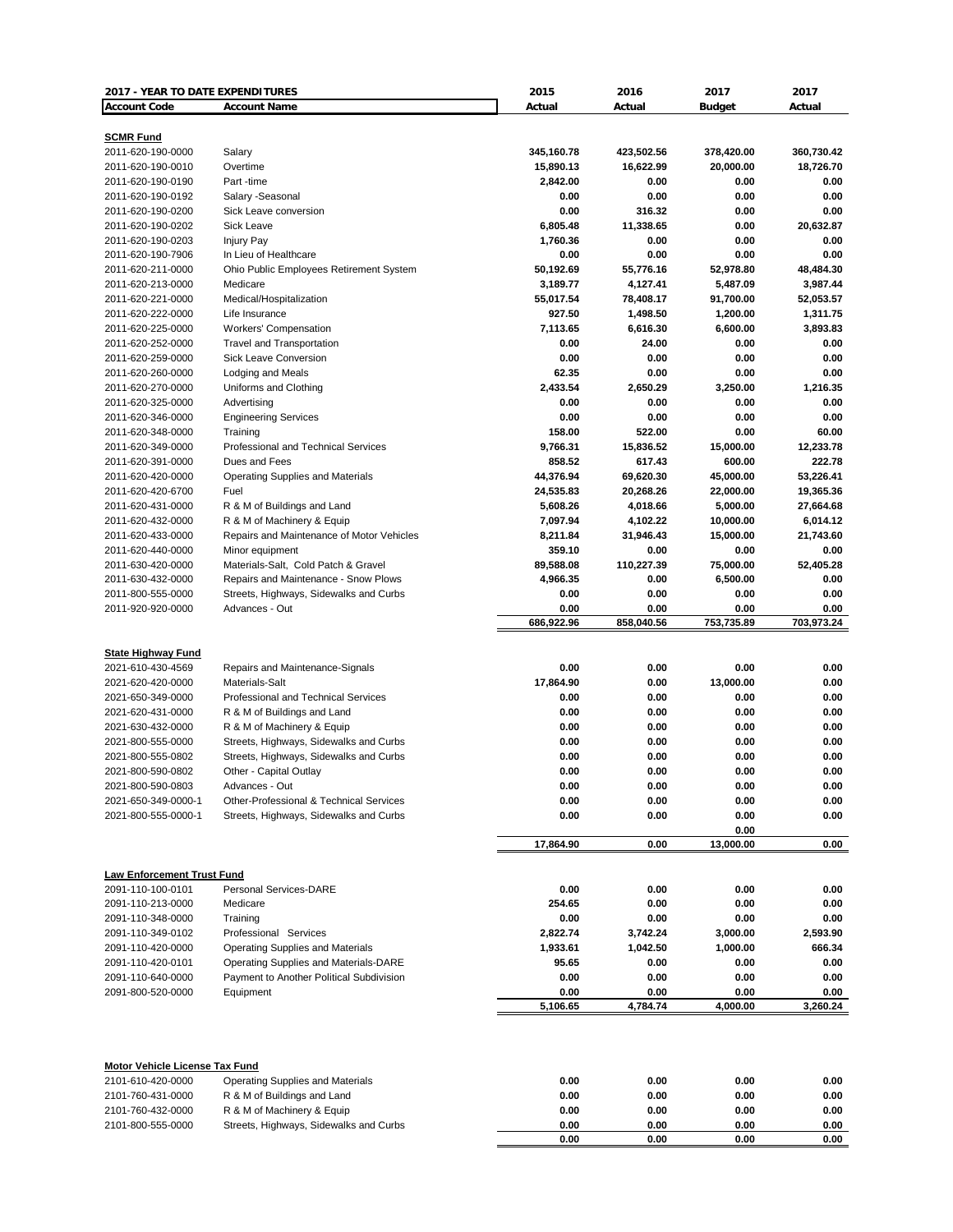| 2017 - YEAR TO DATE EXPENDITURES                    |                                                                                  | 2015                | 2016                | 2017                | 2017                |
|-----------------------------------------------------|----------------------------------------------------------------------------------|---------------------|---------------------|---------------------|---------------------|
| <b>Account Code</b>                                 | <b>Account Name</b>                                                              | Actual              | Actual              | <b>Budget</b>       | Actual              |
|                                                     |                                                                                  |                     |                     |                     |                     |
| <b>SCMR Fund</b><br>2011-620-190-0000               | Salary                                                                           | 345,160.78          | 423,502.56          | 378,420.00          | 360,730.42          |
| 2011-620-190-0010                                   | Overtime                                                                         | 15,890.13           | 16,622.99           | 20,000.00           | 18,726.70           |
| 2011-620-190-0190                                   | Part-time                                                                        | 2,842.00            | 0.00                | 0.00                | 0.00                |
| 2011-620-190-0192                                   | Salary -Seasonal                                                                 | 0.00                | 0.00                | 0.00                | 0.00                |
| 2011-620-190-0200                                   | Sick Leave conversion                                                            | 0.00                | 316.32              | 0.00                | 0.00                |
| 2011-620-190-0202                                   | Sick Leave                                                                       | 6,805.48            | 11,338.65           | 0.00                | 20,632.87           |
| 2011-620-190-0203                                   | <b>Injury Pay</b>                                                                | 1,760.36            | 0.00                | 0.00                | 0.00                |
| 2011-620-190-7906                                   | In Lieu of Healthcare                                                            | 0.00                | 0.00                | 0.00                | 0.00                |
| 2011-620-211-0000                                   | Ohio Public Employees Retirement System                                          | 50,192.69           | 55,776.16           | 52,978.80           | 48,484.30           |
| 2011-620-213-0000                                   | Medicare                                                                         | 3,189.77            | 4,127.41            | 5,487.09            | 3,987.44            |
| 2011-620-221-0000                                   | Medical/Hospitalization                                                          | 55,017.54           | 78,408.17           | 91,700.00           | 52,053.57           |
| 2011-620-222-0000                                   | Life Insurance                                                                   | 927.50              | 1,498.50            | 1,200.00            | 1,311.75            |
| 2011-620-225-0000                                   | Workers' Compensation                                                            | 7,113.65            | 6,616.30            | 6,600.00            | 3,893.83            |
| 2011-620-252-0000                                   | <b>Travel and Transportation</b>                                                 | 0.00                | 24.00               | 0.00                | 0.00                |
| 2011-620-259-0000                                   | <b>Sick Leave Conversion</b>                                                     | 0.00                | 0.00                | 0.00                | 0.00                |
| 2011-620-260-0000                                   | Lodging and Meals                                                                | 62.35               | 0.00                | 0.00                | 0.00                |
| 2011-620-270-0000                                   | Uniforms and Clothing                                                            | 2,433.54            | 2,650.29            | 3,250.00            | 1,216.35            |
| 2011-620-325-0000                                   | Advertising                                                                      | 0.00                | 0.00                | 0.00                | 0.00                |
| 2011-620-346-0000                                   | <b>Engineering Services</b>                                                      | 0.00                | 0.00                | 0.00                | 0.00                |
| 2011-620-348-0000                                   | Training<br>Professional and Technical Services                                  | 158.00              | 522.00              | 0.00                | 60.00<br>12.233.78  |
| 2011-620-349-0000                                   | Dues and Fees                                                                    | 9,766.31            | 15,836.52           | 15,000.00           |                     |
| 2011-620-391-0000<br>2011-620-420-0000              | <b>Operating Supplies and Materials</b>                                          | 858.52<br>44,376.94 | 617.43<br>69,620.30 | 600.00<br>45,000.00 | 222.78<br>53,226.41 |
| 2011-620-420-6700                                   | Fuel                                                                             | 24,535.83           | 20,268.26           | 22,000.00           | 19,365.36           |
| 2011-620-431-0000                                   | R & M of Buildings and Land                                                      | 5,608.26            | 4,018.66            | 5,000.00            | 27,664.68           |
| 2011-620-432-0000                                   | R & M of Machinery & Equip                                                       | 7,097.94            | 4,102.22            | 10,000.00           | 6,014.12            |
| 2011-620-433-0000                                   | Repairs and Maintenance of Motor Vehicles                                        | 8,211.84            | 31,946.43           | 15,000.00           | 21,743.60           |
| 2011-620-440-0000                                   | Minor equipment                                                                  | 359.10              | 0.00                | 0.00                | 0.00                |
| 2011-630-420-0000                                   | Materials-Salt, Cold Patch & Gravel                                              | 89,588.08           | 110,227.39          | 75,000.00           | 52,405.28           |
| 2011-630-432-0000                                   | Repairs and Maintenance - Snow Plows                                             | 4,966.35            | 0.00                | 6,500.00            | 0.00                |
| 2011-800-555-0000                                   | Streets, Highways, Sidewalks and Curbs                                           | 0.00                | 0.00                | 0.00                | 0.00                |
| 2011-920-920-0000                                   | Advances - Out                                                                   | 0.00                | 0.00                | 0.00                | 0.00                |
|                                                     |                                                                                  | 686,922.96          | 858,040.56          | 753,735.89          | 703,973.24          |
|                                                     |                                                                                  |                     |                     |                     |                     |
| <b>State Highway Fund</b>                           |                                                                                  |                     |                     |                     |                     |
| 2021-610-430-4569                                   | Repairs and Maintenance-Signals                                                  | 0.00                | 0.00                | 0.00                | 0.00                |
| 2021-620-420-0000                                   | Materials-Salt                                                                   | 17,864.90           | 0.00                | 13,000.00           | 0.00                |
| 2021-650-349-0000                                   | Professional and Technical Services                                              | 0.00                | 0.00                | 0.00                | 0.00                |
| 2021-620-431-0000                                   | R & M of Buildings and Land                                                      | 0.00                | 0.00                | 0.00                | 0.00                |
| 2021-630-432-0000<br>2021-800-555-0000              | R & M of Machinery & Equip                                                       | 0.00<br>0.00        | 0.00<br>0.00        | 0.00<br>0.00        | 0.00<br>0.00        |
| 2021-800-555-0802                                   | Streets, Highways, Sidewalks and Curbs<br>Streets, Highways, Sidewalks and Curbs | 0.00                | 0.00                | 0.00                | 0.00                |
| 2021-800-590-0802                                   | Other - Capital Outlay                                                           | 0.00                | 0.00                | 0.00                | 0.00                |
| 2021-800-590-0803                                   | Advances - Out                                                                   | 0.00                | 0.00                | 0.00                | 0.00                |
| 2021-650-349-0000-1                                 | Other-Professional & Technical Services                                          | 0.00                | 0.00                | 0.00                | 0.00                |
| 2021-800-555-0000-1                                 | Streets, Highways, Sidewalks and Curbs                                           | 0.00                | 0.00                | 0.00                | 0.00                |
|                                                     |                                                                                  |                     |                     | 0.00                |                     |
|                                                     |                                                                                  | 17,864.90           | 0.00                | 13,000.00           | 0.00                |
|                                                     |                                                                                  |                     |                     |                     |                     |
| <b>Law Enforcement Trust Fund</b>                   |                                                                                  |                     |                     |                     |                     |
| 2091-110-100-0101                                   | <b>Personal Services-DARE</b>                                                    | 0.00                | 0.00                | 0.00                | 0.00                |
| 2091-110-213-0000                                   | Medicare                                                                         | 254.65              | 0.00                | 0.00                | 0.00                |
| 2091-110-348-0000                                   | Training                                                                         | 0.00                | 0.00                | 0.00                | 0.00                |
| 2091-110-349-0102                                   | Professional Services                                                            | 2,822.74            | 3,742.24            | 3,000.00            | 2,593.90            |
| 2091-110-420-0000                                   | <b>Operating Supplies and Materials</b>                                          | 1,933.61            | 1,042.50            | 1,000.00            | 666.34              |
| 2091-110-420-0101<br>2091-110-640-0000              | Operating Supplies and Materials-DARE                                            | 95.65<br>0.00       | 0.00                | 0.00                | 0.00<br>0.00        |
| 2091-800-520-0000                                   | Payment to Another Political Subdivision<br>Equipment                            | 0.00                | 0.00<br>0.00        | 0.00<br>0.00        | 0.00                |
|                                                     |                                                                                  | 5,106.65            | 4,784.74            | 4,000.00            | 3,260.24            |
|                                                     |                                                                                  |                     |                     |                     |                     |
| Motor Vehicle License Tax Fund<br>2101-610-420-0000 | Operating Supplies and Materials                                                 | 0.00                | 0.00                | 0.00                | 0.00                |
| 2101-760-431-0000                                   | R & M of Buildings and Land                                                      | 0.00                | 0.00                | 0.00                | 0.00                |
| 2101-760-432-0000                                   | R & M of Machinery & Equip                                                       | 0.00                | 0.00                | 0.00                | 0.00                |
| 2101-800-555-0000                                   | Streets, Highways, Sidewalks and Curbs                                           | 0.00                | 0.00                | 0.00                | 0.00                |
|                                                     |                                                                                  | 0.00                | 0.00                | 0.00                | 0.00                |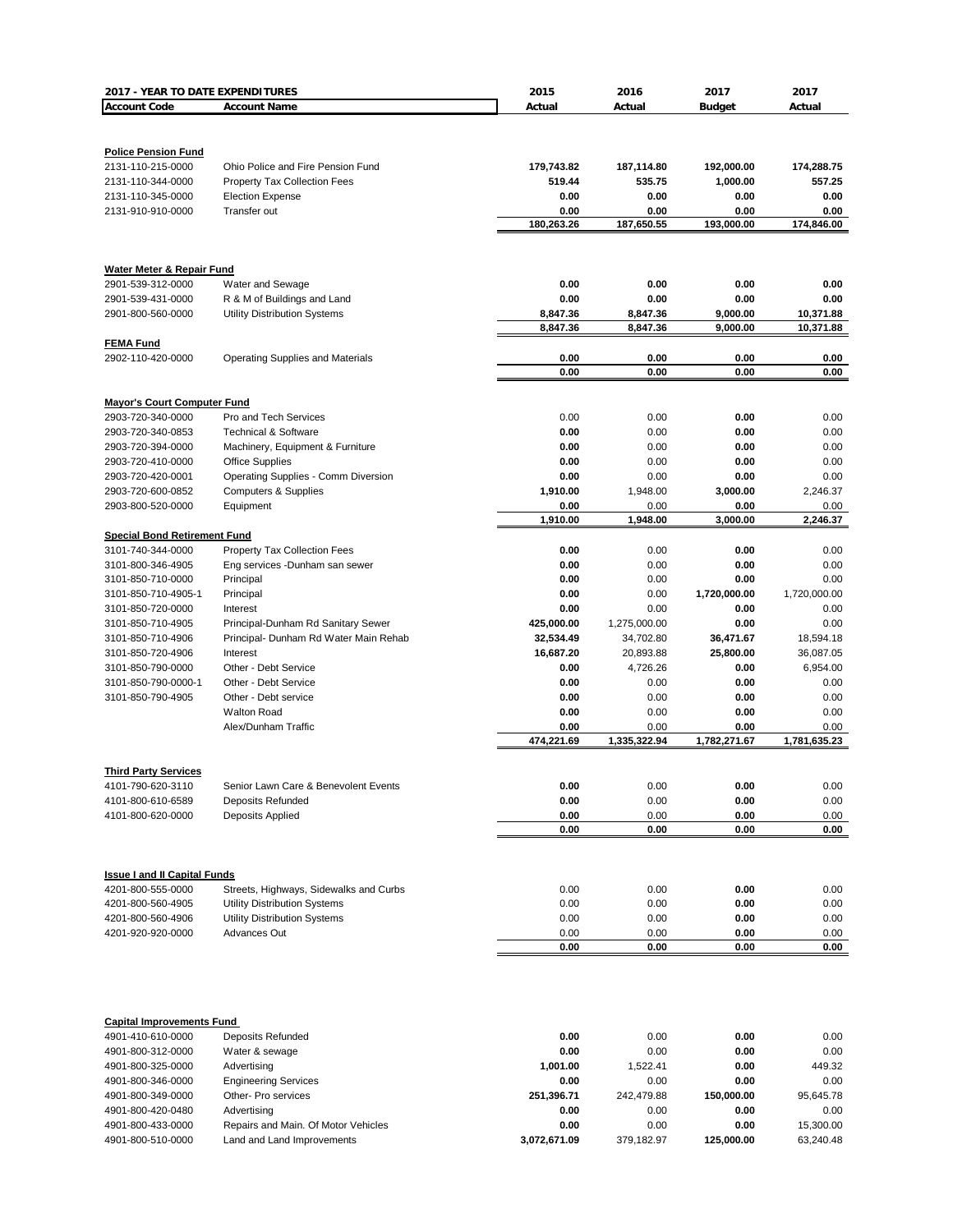| 2017 - YEAR TO DATE EXPENDITURES       |                                                                        | 2015               | 2016               | 2017               | 2017         |
|----------------------------------------|------------------------------------------------------------------------|--------------------|--------------------|--------------------|--------------|
| <b>Account Code</b>                    | <b>Account Name</b>                                                    | Actual             | Actual             | <b>Budget</b>      | Actual       |
|                                        |                                                                        |                    |                    |                    |              |
|                                        |                                                                        |                    |                    |                    |              |
| <b>Police Pension Fund</b>             |                                                                        |                    |                    |                    |              |
| 2131-110-215-0000                      | Ohio Police and Fire Pension Fund                                      | 179,743.82         | 187,114.80         | 192,000.00         | 174,288.75   |
| 2131-110-344-0000                      | <b>Property Tax Collection Fees</b>                                    | 519.44             | 535.75             | 1,000.00           | 557.25       |
| 2131-110-345-0000                      | <b>Election Expense</b>                                                | 0.00               | 0.00               | 0.00               | 0.00         |
| 2131-910-910-0000                      | Transfer out                                                           | 0.00<br>180,263.26 | 0.00<br>187,650.55 | 0.00<br>193,000.00 | 0.00         |
|                                        |                                                                        |                    |                    |                    | 174,846.00   |
|                                        |                                                                        |                    |                    |                    |              |
| <b>Water Meter &amp; Repair Fund</b>   |                                                                        |                    |                    |                    |              |
| 2901-539-312-0000                      | Water and Sewage                                                       | 0.00               | 0.00               | 0.00               | 0.00         |
| 2901-539-431-0000                      | R & M of Buildings and Land                                            | 0.00               | 0.00               | 0.00               | 0.00         |
| 2901-800-560-0000                      | <b>Utility Distribution Systems</b>                                    | 8,847.36           | 8,847.36           | 9,000.00           | 10,371.88    |
|                                        |                                                                        | 8,847.36           | 8,847.36           | 9,000.00           | 10,371.88    |
| <b>FEMA Fund</b>                       |                                                                        |                    |                    |                    |              |
| 2902-110-420-0000                      | <b>Operating Supplies and Materials</b>                                | 0.00               | 0.00               | 0.00               | 0.00         |
|                                        |                                                                        | 0.00               | 0.00               | 0.00               | 0.00         |
|                                        |                                                                        |                    |                    |                    |              |
| <b>Mayor's Court Computer Fund</b>     |                                                                        |                    |                    |                    |              |
| 2903-720-340-0000                      | Pro and Tech Services                                                  | 0.00               | 0.00               | 0.00               | 0.00         |
| 2903-720-340-0853                      | <b>Technical &amp; Software</b>                                        | 0.00               | 0.00               | 0.00               | 0.00         |
| 2903-720-394-0000                      | Machinery, Equipment & Furniture                                       | 0.00               | 0.00               | 0.00               | 0.00         |
| 2903-720-410-0000<br>2903-720-420-0001 | <b>Office Supplies</b>                                                 | 0.00<br>0.00       | 0.00               | 0.00               | 0.00<br>0.00 |
| 2903-720-600-0852                      | Operating Supplies - Comm Diversion<br><b>Computers &amp; Supplies</b> | 1,910.00           | 0.00<br>1,948.00   | 0.00<br>3,000.00   | 2,246.37     |
| 2903-800-520-0000                      | Equipment                                                              | 0.00               | 0.00               | 0.00               | 0.00         |
|                                        |                                                                        | 1,910.00           | 1,948.00           | 3,000.00           | 2,246.37     |
| <b>Special Bond Retirement Fund</b>    |                                                                        |                    |                    |                    |              |
| 3101-740-344-0000                      | <b>Property Tax Collection Fees</b>                                    | 0.00               | 0.00               | 0.00               | 0.00         |
| 3101-800-346-4905                      | Eng services -Dunham san sewer                                         | 0.00               | 0.00               | 0.00               | 0.00         |
| 3101-850-710-0000                      | Principal                                                              | 0.00               | 0.00               | 0.00               | 0.00         |
| 3101-850-710-4905-1                    | Principal                                                              | 0.00               | 0.00               | 1,720,000.00       | 1,720,000.00 |
| 3101-850-720-0000                      | Interest                                                               | 0.00               | 0.00               | 0.00               | 0.00         |
| 3101-850-710-4905                      | Principal-Dunham Rd Sanitary Sewer                                     | 425,000.00         | 1,275,000.00       | 0.00               | 0.00         |
| 3101-850-710-4906                      | Principal- Dunham Rd Water Main Rehab                                  | 32,534.49          | 34,702.80          | 36,471.67          | 18,594.18    |
| 3101-850-720-4906                      | Interest                                                               | 16,687.20          | 20,893.88          | 25,800.00          | 36,087.05    |
| 3101-850-790-0000                      | Other - Debt Service                                                   | 0.00               | 4,726.26           | 0.00               | 6,954.00     |
| 3101-850-790-0000-1                    | Other - Debt Service                                                   | 0.00               | 0.00               | 0.00               | 0.00         |
| 3101-850-790-4905                      | Other - Debt service                                                   | 0.00               | 0.00               | 0.00               | 0.00         |
|                                        | <b>Walton Road</b>                                                     | 0.00               | 0.00               | 0.00               | 0.00         |
|                                        | Alex/Dunham Traffic                                                    | 0.00               | 0.00               | 0.00               | 0.00         |
|                                        |                                                                        | 474,221.69         | 1,335,322.94       | 1,782,271.67       | 1,781,635.23 |
| <b>Third Party Services</b>            |                                                                        |                    |                    |                    |              |
| 4101-790-620-3110                      | Senior Lawn Care & Benevolent Events                                   | 0.00               | 0.00               | 0.00               | 0.00         |
| 4101-800-610-6589                      | Deposits Refunded                                                      | 0.00               | 0.00               | 0.00               | 0.00         |
| 4101-800-620-0000                      | Deposits Applied                                                       | 0.00               | 0.00               | 0.00               | 0.00         |
|                                        |                                                                        | 0.00               | 0.00               | 0.00               | 0.00         |
|                                        |                                                                        |                    |                    |                    |              |
|                                        |                                                                        |                    |                    |                    |              |
| <b>Issue I and II Capital Funds</b>    |                                                                        |                    |                    |                    |              |
| 4201-800-555-0000                      | Streets, Highways, Sidewalks and Curbs                                 | 0.00               | 0.00               | 0.00               | 0.00         |
| 4201-800-560-4905                      | <b>Utility Distribution Systems</b>                                    | 0.00               | 0.00               | 0.00               | 0.00         |
| 4201-800-560-4906                      | <b>Utility Distribution Systems</b>                                    | 0.00               | 0.00               | 0.00               | 0.00         |
| 4201-920-920-0000                      | <b>Advances Out</b>                                                    | 0.00               | 0.00               | 0.00               | 0.00         |
|                                        |                                                                        | 0.00               | 0.00               | 0.00               | 0.00         |
|                                        |                                                                        |                    |                    |                    |              |
|                                        |                                                                        |                    |                    |                    |              |
|                                        |                                                                        |                    |                    |                    |              |
| <b>Capital Improvements Fund</b>       |                                                                        |                    |                    |                    |              |
| 4901-410-610-0000                      | Deposits Refunded                                                      | 0.00               | 0.00               | 0.00               | 0.00         |
| 4901-800-312-0000                      | Water & sewage                                                         | 0.00               | 0.00               | 0.00               | 0.00         |
| 4901-800-325-0000                      | Advertising                                                            | 1,001.00           | 1,522.41           | 0.00               | 449.32       |
| 4901-800-346-0000                      | <b>Engineering Services</b>                                            | 0.00               | 0.00               | 0.00               | 0.00         |
| 4901-800-349-0000                      | Other- Pro services                                                    | 251,396.71         | 242,479.88         | 150,000.00         | 95,645.78    |
| 4901-800-420-0480                      | Advertising                                                            | 0.00               | 0.00               | 0.00               | 0.00         |
| 4901-800-433-0000                      | Repairs and Main. Of Motor Vehicles                                    | 0.00               | 0.00               | 0.00               | 15,300.00    |
| 4901-800-510-0000                      | Land and Land Improvements                                             | 3,072,671.09       | 379,182.97         | 125,000.00         | 63,240.48    |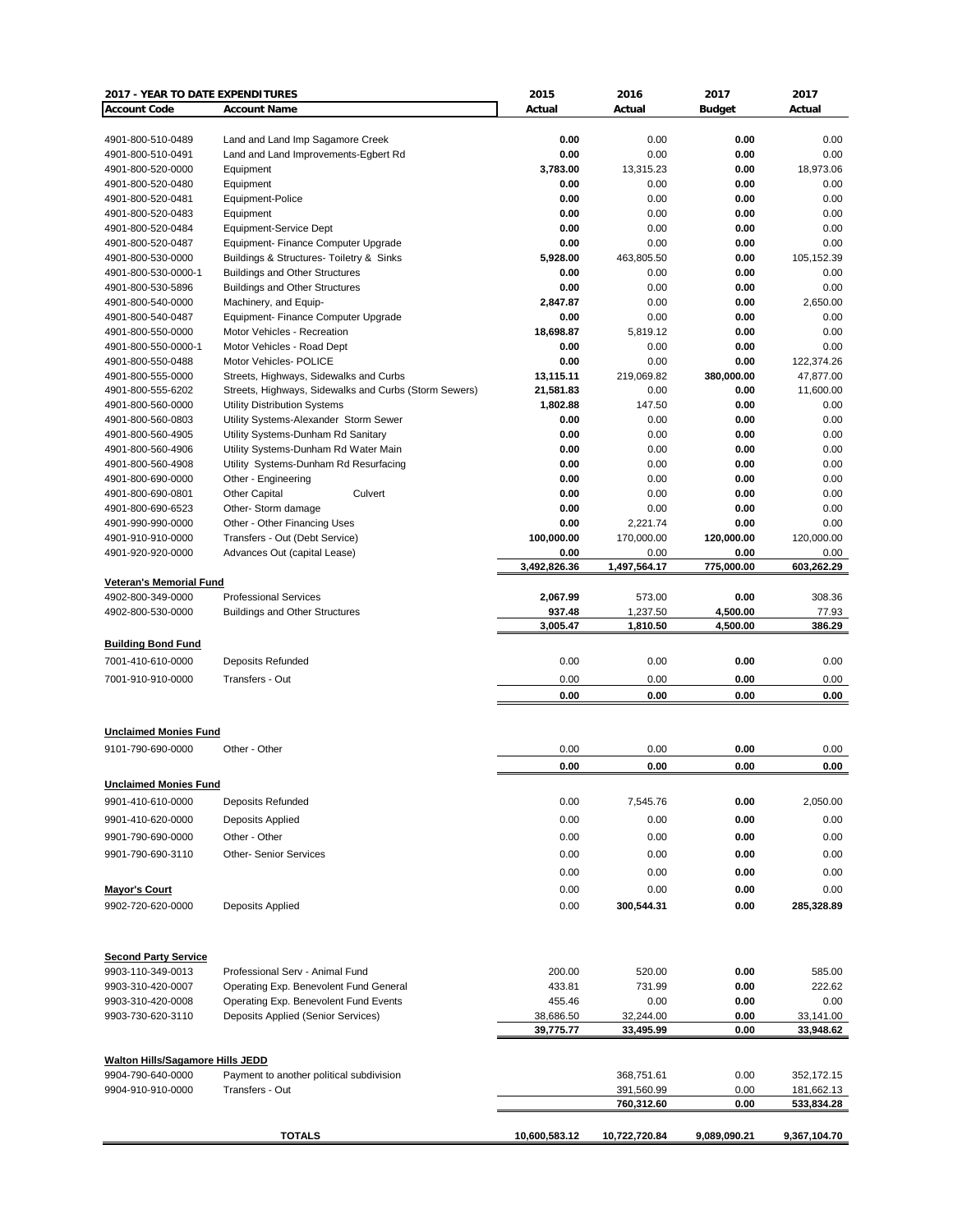| 2017 - YEAR TO DATE EXPENDITURES        |                                                                                              | 2015                  | 2016                     | 2017                 | 2017                     |
|-----------------------------------------|----------------------------------------------------------------------------------------------|-----------------------|--------------------------|----------------------|--------------------------|
| <b>Account Code</b>                     | <b>Account Name</b>                                                                          | Actual                | Actual                   | <b>Budget</b>        | Actual                   |
|                                         |                                                                                              |                       |                          |                      |                          |
| 4901-800-510-0489                       | Land and Land Imp Sagamore Creek                                                             | 0.00                  | 0.00                     | 0.00                 | 0.00                     |
| 4901-800-510-0491                       | Land and Land Improvements-Egbert Rd                                                         | 0.00                  | 0.00                     | 0.00                 | 0.00                     |
| 4901-800-520-0000                       | Equipment<br>Equipment                                                                       | 3,783.00<br>0.00      | 13,315.23                | 0.00                 | 18,973.06<br>0.00        |
| 4901-800-520-0480<br>4901-800-520-0481  | Equipment-Police                                                                             | 0.00                  | 0.00<br>0.00             | 0.00<br>0.00         | 0.00                     |
| 4901-800-520-0483                       | Equipment                                                                                    | 0.00                  | 0.00                     | 0.00                 | 0.00                     |
| 4901-800-520-0484                       | Equipment-Service Dept                                                                       | 0.00                  | 0.00                     | 0.00                 | 0.00                     |
| 4901-800-520-0487                       | Equipment- Finance Computer Upgrade                                                          | 0.00                  | 0.00                     | 0.00                 | 0.00                     |
| 4901-800-530-0000                       | Buildings & Structures- Toiletry & Sinks                                                     | 5,928.00              | 463,805.50               | 0.00                 | 105,152.39               |
| 4901-800-530-0000-1                     | <b>Buildings and Other Structures</b>                                                        | 0.00                  | 0.00                     | 0.00                 | 0.00                     |
| 4901-800-530-5896                       | <b>Buildings and Other Structures</b>                                                        | 0.00                  | 0.00                     | 0.00                 | 0.00                     |
| 4901-800-540-0000                       | Machinery, and Equip-                                                                        | 2,847.87              | 0.00                     | 0.00                 | 2,650.00                 |
| 4901-800-540-0487                       | Equipment- Finance Computer Upgrade                                                          | 0.00                  | 0.00                     | 0.00                 | 0.00                     |
| 4901-800-550-0000                       | Motor Vehicles - Recreation                                                                  | 18,698.87             | 5,819.12                 | 0.00                 | 0.00                     |
| 4901-800-550-0000-1                     | Motor Vehicles - Road Dept                                                                   | 0.00                  | 0.00                     | 0.00                 | 0.00                     |
| 4901-800-550-0488                       | Motor Vehicles- POLICE                                                                       | 0.00                  | 0.00                     | 0.00                 | 122,374.26               |
| 4901-800-555-0000                       | Streets, Highways, Sidewalks and Curbs                                                       | 13,115.11             | 219,069.82               | 380,000.00           | 47,877.00                |
| 4901-800-555-6202<br>4901-800-560-0000  | Streets, Highways, Sidewalks and Curbs (Storm Sewers)<br><b>Utility Distribution Systems</b> | 21,581.83<br>1,802.88 | 0.00<br>147.50           | 0.00<br>0.00         | 11,600.00<br>0.00        |
| 4901-800-560-0803                       | Utility Systems-Alexander Storm Sewer                                                        | 0.00                  | 0.00                     | 0.00                 | 0.00                     |
| 4901-800-560-4905                       | Utility Systems-Dunham Rd Sanitary                                                           | 0.00                  | 0.00                     | 0.00                 | 0.00                     |
| 4901-800-560-4906                       | Utility Systems-Dunham Rd Water Main                                                         | 0.00                  | 0.00                     | 0.00                 | 0.00                     |
| 4901-800-560-4908                       | Utility Systems-Dunham Rd Resurfacing                                                        | 0.00                  | 0.00                     | 0.00                 | 0.00                     |
| 4901-800-690-0000                       | Other - Engineering                                                                          | 0.00                  | 0.00                     | 0.00                 | 0.00                     |
| 4901-800-690-0801                       | <b>Other Capital</b><br>Culvert                                                              | 0.00                  | 0.00                     | 0.00                 | 0.00                     |
| 4901-800-690-6523                       | Other-Storm damage                                                                           | 0.00                  | 0.00                     | 0.00                 | 0.00                     |
| 4901-990-990-0000                       | Other - Other Financing Uses                                                                 | 0.00                  | 2,221.74                 | 0.00                 | 0.00                     |
| 4901-910-910-0000                       | Transfers - Out (Debt Service)                                                               | 100,000.00            | 170,000.00               | 120,000.00           | 120,000.00               |
| 4901-920-920-0000                       | Advances Out (capital Lease)                                                                 | 0.00                  | 0.00                     | 0.00                 | 0.00                     |
|                                         |                                                                                              | 3,492,826.36          | 1,497,564.17             | 775,000.00           | 603,262.29               |
| <b>Veteran's Memorial Fund</b>          |                                                                                              |                       |                          |                      |                          |
| 4902-800-349-0000                       | <b>Professional Services</b>                                                                 | 2,067.99              | 573.00                   | 0.00                 | 308.36                   |
| 4902-800-530-0000                       | <b>Buildings and Other Structures</b>                                                        | 937.48<br>3,005.47    | 1,237.50<br>1,810.50     | 4,500.00<br>4,500.00 | 77.93<br>386.29          |
|                                         |                                                                                              |                       |                          |                      |                          |
| <b>Building Bond Fund</b>               |                                                                                              |                       |                          |                      |                          |
| 7001-410-610-0000                       | <b>Deposits Refunded</b>                                                                     | 0.00                  | 0.00                     | 0.00                 | 0.00                     |
| 7001-910-910-0000                       | Transfers - Out                                                                              | 0.00                  | 0.00                     | 0.00                 | 0.00                     |
|                                         |                                                                                              | 0.00                  | 0.00                     | 0.00                 | 0.00                     |
|                                         |                                                                                              |                       |                          |                      |                          |
| <b>Unclaimed Monies Fund</b>            |                                                                                              |                       |                          |                      |                          |
| 9101-790-690-0000                       | Other - Other                                                                                | 0.00                  | 0.00                     | 0.00                 | 0.00                     |
|                                         |                                                                                              | 0.00                  | 0.00                     | 0.00                 | 0.00                     |
| <b>Unclaimed Monies Fund</b>            |                                                                                              |                       |                          |                      |                          |
| 9901-410-610-0000                       | <b>Deposits Refunded</b>                                                                     | 0.00                  | 7,545.76                 | 0.00                 | 2,050.00                 |
|                                         |                                                                                              |                       |                          |                      |                          |
| 9901-410-620-0000                       | Deposits Applied                                                                             | 0.00                  | 0.00                     | 0.00                 | 0.00                     |
| 9901-790-690-0000                       | Other - Other                                                                                | 0.00                  | 0.00                     | 0.00                 | 0.00                     |
| 9901-790-690-3110                       | <b>Other- Senior Services</b>                                                                | 0.00                  | 0.00                     | 0.00                 | 0.00                     |
|                                         |                                                                                              | 0.00                  | 0.00                     | 0.00                 | 0.00                     |
| <b>Mayor's Court</b>                    |                                                                                              | 0.00                  | 0.00                     | 0.00                 | 0.00                     |
| 9902-720-620-0000                       | Deposits Applied                                                                             | 0.00                  | 300,544.31               | 0.00                 | 285,328.89               |
|                                         |                                                                                              |                       |                          |                      |                          |
|                                         |                                                                                              |                       |                          |                      |                          |
| <b>Second Party Service</b>             |                                                                                              |                       |                          |                      |                          |
| 9903-110-349-0013                       | Professional Serv - Animal Fund                                                              | 200.00                | 520.00                   | 0.00                 | 585.00                   |
| 9903-310-420-0007                       | Operating Exp. Benevolent Fund General                                                       | 433.81                | 731.99                   | 0.00                 | 222.62                   |
| 9903-310-420-0008                       | Operating Exp. Benevolent Fund Events                                                        | 455.46                | 0.00                     | 0.00                 | 0.00                     |
| 9903-730-620-3110                       | Deposits Applied (Senior Services)                                                           | 38,686.50             | 32,244.00                | 0.00                 | 33,141.00                |
|                                         |                                                                                              | 39,775.77             | 33,495.99                | 0.00                 | 33,948.62                |
|                                         |                                                                                              |                       |                          |                      |                          |
| <b>Walton Hills/Sagamore Hills JEDD</b> |                                                                                              |                       |                          |                      |                          |
| 9904-790-640-0000                       | Payment to another political subdivision                                                     |                       | 368,751.61               | 0.00                 | 352,172.15               |
| 9904-910-910-0000                       | Transfers - Out                                                                              |                       | 391,560.99<br>760,312.60 | 0.00<br>0.00         | 181,662.13<br>533,834.28 |
|                                         |                                                                                              |                       |                          |                      |                          |
|                                         | <b>TOTALS</b>                                                                                | 10,600,583.12         | 10,722,720.84            | 9,089,090.21         | 9,367,104.70             |
|                                         |                                                                                              |                       |                          |                      |                          |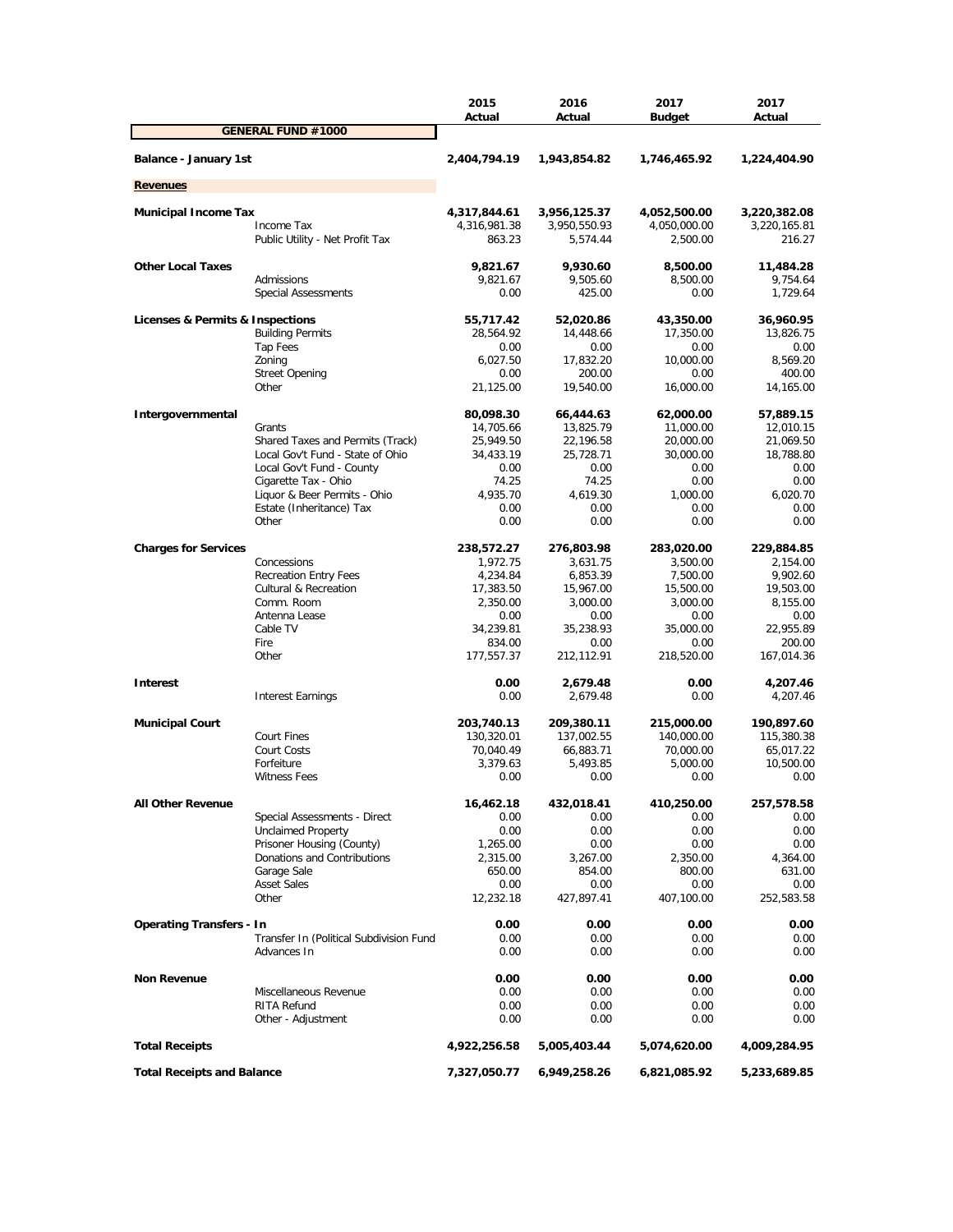|                                         | 2015<br>Actual | 2016<br>Actual | 2017<br><b>Budget</b> | 2017<br>Actual |
|-----------------------------------------|----------------|----------------|-----------------------|----------------|
| <b>GENERAL FUND #1000</b>               |                |                |                       |                |
| Balance - January 1st                   | 2,404,794.19   | 1,943,854.82   | 1,746,465.92          | 1,224,404.90   |
| <b>Revenues</b>                         |                |                |                       |                |
| <b>Municipal Income Tax</b>             | 4,317,844.61   | 3,956,125.37   | 4,052,500.00          | 3,220,382.08   |
| Income Tax                              | 4,316,981.38   | 3,950,550.93   | 4,050,000.00          | 3,220,165.81   |
| Public Utility - Net Profit Tax         | 863.23         | 5,574.44       | 2,500.00              | 216.27         |
| <b>Other Local Taxes</b>                | 9,821.67       | 9,930.60       | 8,500.00              | 11,484.28      |
| Admissions                              | 9,821.67       | 9,505.60       | 8,500.00              | 9,754.64       |
| <b>Special Assessments</b>              | 0.00           | 425.00         | 0.00                  | 1,729.64       |
| Licenses & Permits & Inspections        | 55,717.42      | 52,020.86      | 43,350.00             | 36,960.95      |
| <b>Building Permits</b>                 | 28,564.92      | 14,448.66      | 17,350.00             | 13,826.75      |
| Tap Fees                                | 0.00           | 0.00           | 0.00                  | 0.00           |
| Zoning                                  | 6,027.50       | 17,832.20      | 10,000.00             | 8,569.20       |
| <b>Street Opening</b>                   | 0.00           | 200.00         | 0.00                  | 400.00         |
| Other                                   | 21,125.00      | 19,540.00      | 16,000.00             | 14,165.00      |
| Intergovernmental                       | 80,098.30      | 66,444.63      | 62,000.00             | 57,889.15      |
| Grants                                  | 14,705.66      | 13,825.79      | 11,000.00             | 12,010.15      |
| Shared Taxes and Permits (Track)        | 25,949.50      | 22,196.58      | 20,000.00             | 21,069.50      |
| Local Gov't Fund - State of Ohio        | 34,433.19      | 25,728.71      | 30,000.00             | 18,788.80      |
| Local Gov't Fund - County               | 0.00           | 0.00           | 0.00                  | 0.00           |
| Cigarette Tax - Ohio                    | 74.25          | 74.25          | 0.00                  | 0.00           |
| Liquor & Beer Permits - Ohio            | 4,935.70       | 4,619.30       | 1.000.00              | 6,020.70       |
| Estate (Inheritance) Tax                | 0.00           | 0.00           | 0.00                  | 0.00           |
| Other                                   | 0.00           | 0.00           | 0.00                  | 0.00           |
| <b>Charges for Services</b>             | 238,572.27     | 276,803.98     | 283,020.00            | 229,884.85     |
| Concessions                             | 1,972.75       | 3,631.75       | 3,500.00              | 2,154.00       |
| <b>Recreation Entry Fees</b>            | 4,234.84       | 6,853.39       | 7,500.00              | 9,902.60       |
| <b>Cultural &amp; Recreation</b>        | 17,383.50      | 15,967.00      | 15,500.00             | 19,503.00      |
| Comm. Room                              | 2,350.00       | 3,000.00       | 3,000.00              | 8,155.00       |
| Antenna Lease                           | 0.00           | 0.00           | 0.00                  | 0.00           |
| Cable TV                                | 34,239.81      | 35,238.93      | 35,000.00             | 22,955.89      |
| Fire                                    | 834.00         | 0.00           | 0.00                  | 200.00         |
| Other                                   | 177,557.37     | 212,112.91     | 218,520.00            | 167,014.36     |
| <b>Interest</b>                         | 0.00           | 2,679.48       | 0.00                  | 4,207.46       |
| <b>Interest Earnings</b>                | 0.00           | 2,679.48       | 0.00                  | 4,207.46       |
| <b>Municipal Court</b>                  | 203,740.13     | 209,380.11     | 215,000.00            | 190,897.60     |
| Court Fines                             | 130,320.01     | 137,002.55     | 140,000.00            | 115,380.38     |
| Court Costs                             | 70,040.49      | 66,883.71      | 70,000.00             | 65,017.22      |
| Forfeiture                              | 3,379.63       | 5,493.85       | 5,000.00              | 10,500.00      |
| <b>Witness Fees</b>                     | 0.00           | 0.00           | 0.00                  | 0.00           |
| <b>All Other Revenue</b>                | 16,462.18      | 432,018.41     | 410,250.00            | 257,578.58     |
| Special Assessments - Direct            | 0.00           | 0.00           | 0.00                  | 0.00           |
| <b>Unclaimed Property</b>               | 0.00           | 0.00           | 0.00                  | 0.00           |
| Prisoner Housing (County)               | 1,265.00       | 0.00           | 0.00                  | 0.00           |
| Donations and Contributions             | 2,315.00       | 3,267.00       | 2,350.00              | 4,364.00       |
| Garage Sale                             | 650.00         | 854.00         | 800.00                | 631.00         |
| <b>Asset Sales</b>                      | 0.00           | 0.00           | 0.00                  | 0.00           |
| Other                                   | 12,232.18      | 427,897.41     | 407,100.00            | 252,583.58     |
| <b>Operating Transfers - In</b>         | 0.00           | 0.00           | 0.00                  | 0.00           |
| Transfer In (Political Subdivision Fund | 0.00           | 0.00           | 0.00                  | 0.00           |
| Advances In                             | 0.00           | 0.00           | 0.00                  | 0.00           |
| <b>Non Revenue</b>                      | 0.00           | 0.00           | 0.00                  | 0.00           |
| Miscellaneous Revenue                   | 0.00           | 0.00           | 0.00                  | 0.00           |
| RITA Refund                             | 0.00           | 0.00           | 0.00                  | 0.00           |
| Other - Adjustment                      | 0.00           | 0.00           | 0.00                  | 0.00           |
| <b>Total Receipts</b>                   | 4,922,256.58   | 5,005,403.44   | 5,074,620.00          | 4,009,284.95   |
| <b>Total Receipts and Balance</b>       | 7,327,050.77   | 6,949,258.26   | 6,821,085.92          | 5,233,689.85   |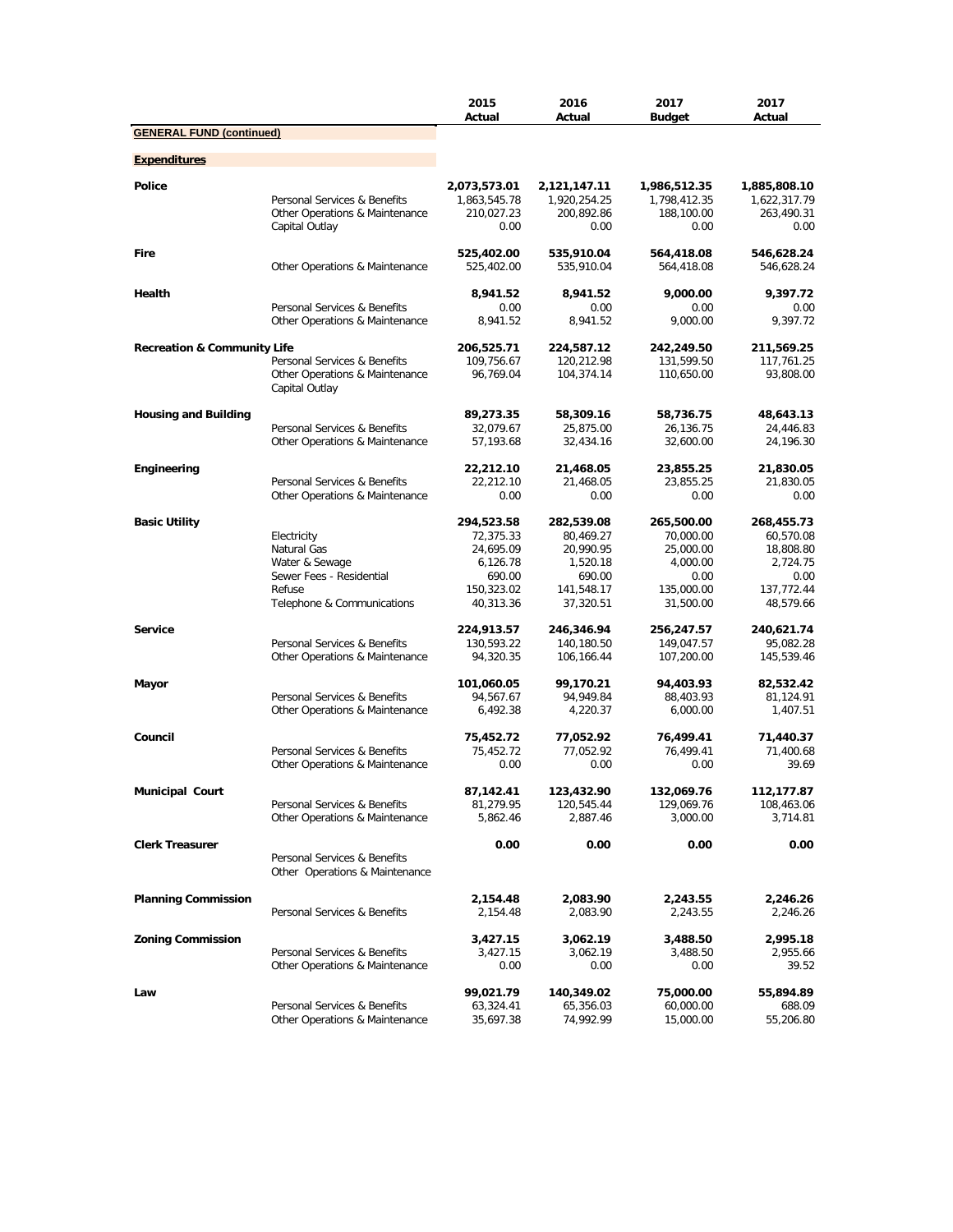|                                        |                                                                | 2015<br>Actual           | 2016<br>Actual           | 2017<br><b>Budget</b>    | 2017<br>Actual           |
|----------------------------------------|----------------------------------------------------------------|--------------------------|--------------------------|--------------------------|--------------------------|
| <b>GENERAL FUND (continued)</b>        |                                                                |                          |                          |                          |                          |
| <b>Expenditures</b>                    |                                                                |                          |                          |                          |                          |
|                                        |                                                                |                          |                          |                          |                          |
| <b>Police</b>                          |                                                                | 2,073,573.01             | 2,121,147.11             | 1,986,512.35             | 1,885,808.10             |
|                                        | Personal Services & Benefits                                   | 1,863,545.78             | 1,920,254.25             | 1,798,412.35             | 1,622,317.79             |
|                                        | Other Operations & Maintenance<br>Capital Outlay               | 210,027.23<br>0.00       | 200,892.86<br>0.00       | 188,100.00<br>0.00       | 263,490.31<br>0.00       |
|                                        |                                                                |                          |                          |                          |                          |
| Fire                                   |                                                                | 525,402.00               | 535,910.04               | 564,418.08               | 546,628.24               |
|                                        | Other Operations & Maintenance                                 | 525,402.00               | 535,910.04               | 564,418.08               | 546,628.24               |
| Health                                 |                                                                | 8,941.52                 | 8,941.52                 | 9,000.00                 | 9,397.72                 |
|                                        | Personal Services & Benefits                                   | 0.00                     | 0.00                     | 0.00                     | 0.00                     |
|                                        | Other Operations & Maintenance                                 | 8,941.52                 | 8,941.52                 | 9,000.00                 | 9,397.72                 |
|                                        |                                                                |                          |                          |                          |                          |
| <b>Recreation &amp; Community Life</b> | Personal Services & Benefits                                   | 206,525.71<br>109,756.67 | 224,587.12               | 242,249.50               | 211,569.25<br>117,761.25 |
|                                        | Other Operations & Maintenance                                 | 96,769.04                | 120,212.98<br>104,374.14 | 131,599.50<br>110,650.00 | 93,808.00                |
|                                        | Capital Outlay                                                 |                          |                          |                          |                          |
|                                        |                                                                |                          |                          |                          |                          |
| <b>Housing and Building</b>            |                                                                | 89,273.35                | 58,309.16                | 58,736.75                | 48,643.13                |
|                                        | Personal Services & Benefits                                   | 32,079.67                | 25,875.00                | 26,136.75                | 24,446.83                |
|                                        | Other Operations & Maintenance                                 | 57,193.68                | 32,434.16                | 32,600.00                | 24,196.30                |
| <b>Engineering</b>                     |                                                                | 22,212.10                | 21,468.05                | 23,855.25                | 21,830.05                |
|                                        | Personal Services & Benefits                                   | 22,212.10                | 21,468.05                | 23,855.25                | 21,830.05                |
|                                        | Other Operations & Maintenance                                 | 0.00                     | 0.00                     | 0.00                     | 0.00                     |
|                                        |                                                                |                          |                          |                          |                          |
| <b>Basic Utility</b>                   |                                                                | 294,523.58               | 282,539.08               | 265,500.00               | 268,455.73               |
|                                        | Electricity                                                    | 72,375.33                | 80,469.27                | 70,000.00                | 60,570.08                |
|                                        | Natural Gas                                                    | 24,695.09                | 20,990.95                | 25,000.00                | 18,808.80<br>2,724.75    |
|                                        | Water & Sewage<br>Sewer Fees - Residential                     | 6,126.78<br>690.00       | 1,520.18<br>690.00       | 4,000.00<br>0.00         | 0.00                     |
|                                        | Refuse                                                         | 150,323.02               | 141,548.17               | 135,000.00               | 137,772.44               |
|                                        | Telephone & Communications                                     | 40,313.36                | 37,320.51                | 31,500.00                | 48,579.66                |
|                                        |                                                                |                          |                          |                          |                          |
| <b>Service</b>                         |                                                                | 224,913.57               | 246,346.94               | 256,247.57               | 240,621.74               |
|                                        | Personal Services & Benefits                                   | 130,593.22               | 140,180.50               | 149,047.57               | 95,082.28                |
|                                        | Other Operations & Maintenance                                 | 94,320.35                | 106,166.44               | 107,200.00               | 145,539.46               |
| Mayor                                  |                                                                | 101,060.05               | 99,170.21                | 94,403.93                | 82,532.42                |
|                                        | Personal Services & Benefits                                   | 94,567.67                | 94,949.84                | 88,403.93                | 81,124.91                |
|                                        | Other Operations & Maintenance                                 | 6,492.38                 | 4,220.37                 | 6,000.00                 | 1,407.51                 |
|                                        |                                                                |                          |                          |                          |                          |
| Council                                |                                                                | 75,452.72                | 77,052.92                | 76,499.41                | 71,440.37                |
|                                        | Personal Services & Benefits<br>Other Operations & Maintenance | 75,452.72<br>0.00        | 77,052.92<br>0.00        | 76,499.41<br>0.00        | 71,400.68<br>39.69       |
|                                        |                                                                |                          |                          |                          |                          |
| <b>Municipal Court</b>                 |                                                                | 87,142.41                | 123,432.90               | 132,069.76               | 112,177.87               |
|                                        | Personal Services & Benefits                                   | 81,279.95                | 120,545.44               | 129,069.76               | 108,463.06               |
|                                        | Other Operations & Maintenance                                 | 5,862.46                 | 2,887.46                 | 3,000.00                 | 3,714.81                 |
| <b>Clerk Treasurer</b>                 |                                                                | 0.00                     | 0.00                     | 0.00                     | 0.00                     |
|                                        | Personal Services & Benefits                                   |                          |                          |                          |                          |
|                                        | Other Operations & Maintenance                                 |                          |                          |                          |                          |
|                                        |                                                                |                          |                          |                          |                          |
| <b>Planning Commission</b>             |                                                                | 2,154.48                 | 2,083.90                 | 2,243.55                 | 2,246.26                 |
|                                        | Personal Services & Benefits                                   | 2,154.48                 | 2,083.90                 | 2,243.55                 | 2,246.26                 |
| <b>Zoning Commission</b>               |                                                                | 3,427.15                 | 3,062.19                 | 3,488.50                 | 2,995.18                 |
|                                        | Personal Services & Benefits                                   | 3,427.15                 | 3,062.19                 | 3,488.50                 | 2,955.66                 |
|                                        | Other Operations & Maintenance                                 | 0.00                     | 0.00                     | 0.00                     | 39.52                    |
|                                        |                                                                |                          |                          |                          |                          |
| Law                                    |                                                                | 99,021.79                | 140,349.02               | 75,000.00                | 55,894.89                |
|                                        | Personal Services & Benefits                                   | 63,324.41                | 65,356.03                | 60,000.00                | 688.09                   |
|                                        | Other Operations & Maintenance                                 | 35,697.38                | 74,992.99                | 15,000.00                | 55,206.80                |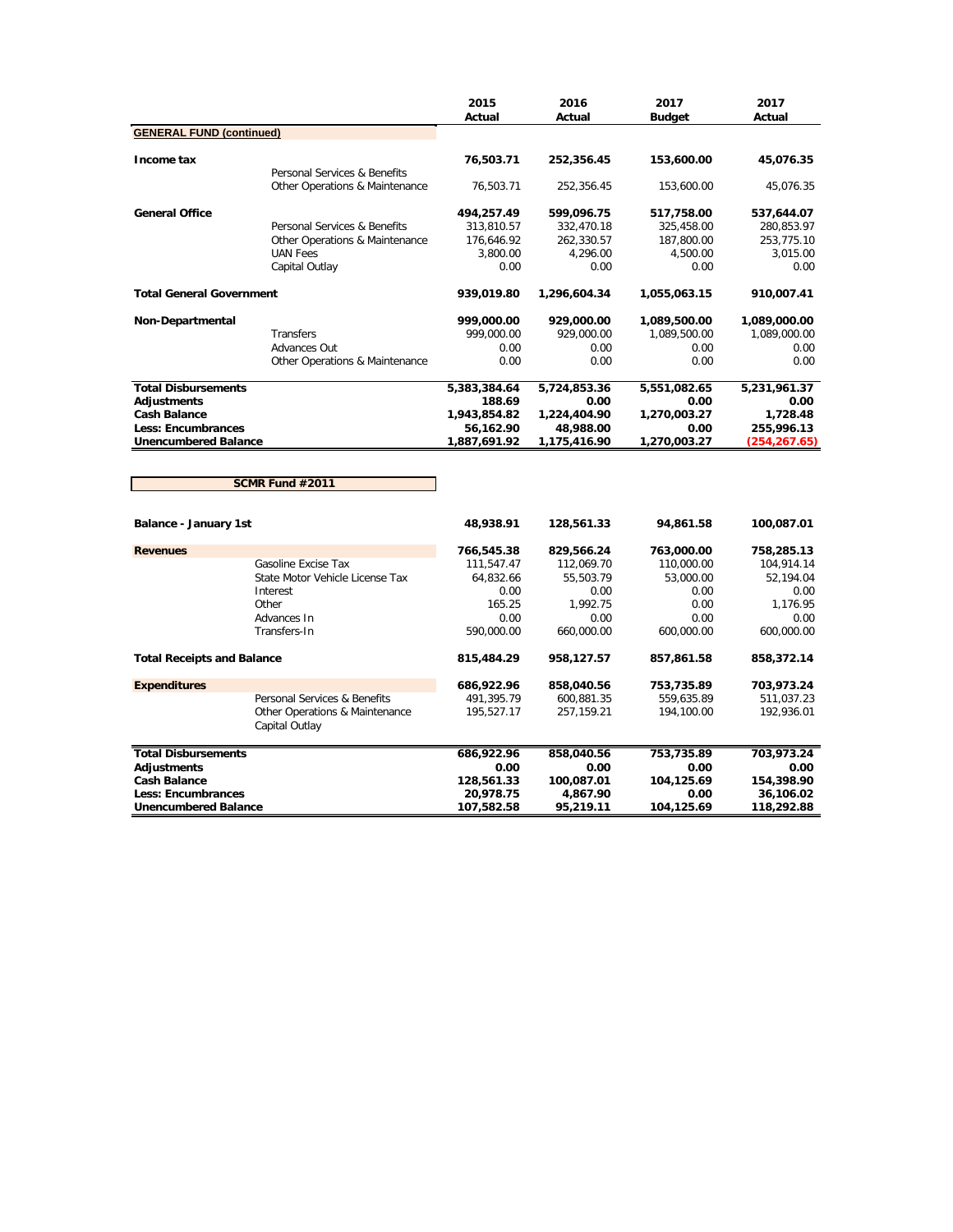|                                   |                                 | 2015<br>Actual | 2016<br>Actual | 2017<br><b>Budget</b> | 2017<br>Actual |
|-----------------------------------|---------------------------------|----------------|----------------|-----------------------|----------------|
| <b>GENERAL FUND (continued)</b>   |                                 |                |                |                       |                |
| Income tax                        |                                 | 76,503.71      |                | 153,600.00            |                |
|                                   | Personal Services & Benefits    |                | 252,356.45     |                       | 45,076.35      |
|                                   | Other Operations & Maintenance  | 76,503.71      | 252,356.45     | 153,600.00            | 45,076.35      |
| <b>General Office</b>             |                                 | 494,257.49     | 599,096.75     | 517,758.00            | 537,644.07     |
|                                   | Personal Services & Benefits    | 313,810.57     | 332,470.18     | 325,458.00            | 280,853.97     |
|                                   | Other Operations & Maintenance  | 176,646.92     | 262,330.57     | 187,800.00            | 253,775.10     |
|                                   | <b>UAN Fees</b>                 | 3,800.00       | 4,296.00       | 4,500.00              | 3,015.00       |
|                                   | Capital Outlay                  | 0.00           | 0.00           | 0.00                  | 0.00           |
| <b>Total General Government</b>   |                                 | 939,019.80     | 1,296,604.34   | 1,055,063.15          | 910,007.41     |
| Non-Departmental                  |                                 | 999,000.00     | 929,000.00     | 1,089,500.00          | 1,089,000.00   |
|                                   | Transfers                       | 999,000.00     | 929,000.00     | 1,089,500.00          | 1,089,000.00   |
|                                   | Advances Out                    | 0.00           | 0.00           | 0.00                  | 0.00           |
|                                   | Other Operations & Maintenance  | 0.00           | 0.00           | 0.00                  | 0.00           |
| <b>Total Disbursements</b>        |                                 | 5,383,384.64   | 5,724,853.36   | 5,551,082.65          | 5,231,961.37   |
| <b>Adjustments</b>                |                                 | 188.69         | 0.00           | 0.00                  | 0.00           |
| <b>Cash Balance</b>               |                                 | 1,943,854.82   | 1,224,404.90   | 1,270,003.27          | 1,728.48       |
| <b>Less: Encumbrances</b>         |                                 | 56,162.90      | 48,988.00      | 0.00                  | 255,996.13     |
| <b>Unencumbered Balance</b>       |                                 | 1,887,691.92   | 1,175,416.90   | 1,270,003.27          | (254, 267.65)  |
|                                   |                                 |                |                |                       |                |
|                                   | SCMR Fund #2011                 |                |                |                       |                |
| <b>Balance - January 1st</b>      |                                 | 48,938.91      | 128,561.33     | 94,861.58             | 100,087.01     |
|                                   |                                 |                |                |                       |                |
| <b>Revenues</b>                   |                                 | 766,545.38     | 829,566.24     | 763,000.00            | 758,285.13     |
|                                   | Gasoline Excise Tax             | 111,547.47     | 112,069.70     | 110,000.00            | 104,914.14     |
|                                   | State Motor Vehicle License Tax | 64,832.66      | 55,503.79      | 53,000.00             | 52,194.04      |
|                                   | Interest                        | 0.00           | 0.00           | 0.00                  | 0.00           |
|                                   | Other                           | 165.25         | 1,992.75       | 0.00                  | 1,176.95       |
|                                   | Advances In                     | 0.00           | 0.00           | 0.00                  | 0.00           |
|                                   | Transfers-In                    | 590,000.00     | 660,000.00     | 600,000.00            | 600,000.00     |
| <b>Total Receipts and Balance</b> |                                 | 815,484.29     | 958,127.57     | 857,861.58            | 858,372.14     |
| <b>Expenditures</b>               |                                 | 686,922.96     | 858,040.56     | 753,735.89            | 703,973.24     |
|                                   | Personal Services & Benefits    | 491,395.79     | 600,881.35     | 559,635.89            | 511,037.23     |

|                             | Other Operations & Maintenance<br>Capital Outlay | 195.527.17 | 257.159.21 | 194.100.00 | 192.936.01 |
|-----------------------------|--------------------------------------------------|------------|------------|------------|------------|
| <b>Total Disbursements</b>  |                                                  | 686,922.96 | 858,040.56 | 753.735.89 | 703,973.24 |
| Adjustments                 |                                                  | 0.00       | 0.00       | 0.00       | 0.00       |
| <b>Cash Balance</b>         |                                                  | 128,561.33 | 100.087.01 | 104.125.69 | 154,398.90 |
| <b>Less: Encumbrances</b>   |                                                  | 20,978.75  | 4.867.90   | 0.00       | 36,106.02  |
| <b>Unencumbered Balance</b> |                                                  | 107.582.58 | 95,219.11  | 104.125.69 | 118,292.88 |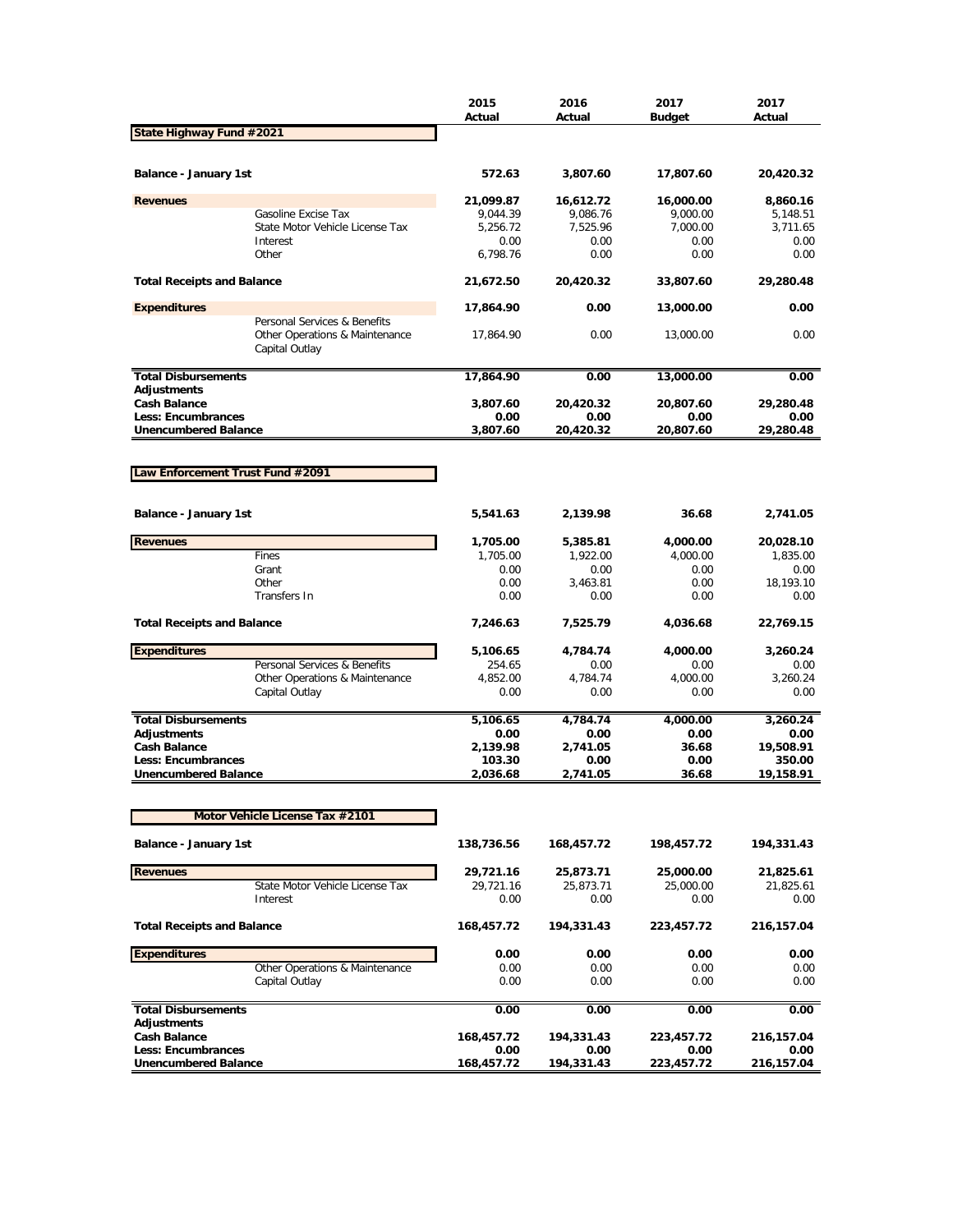|                                                          |                                                                                  | 2015<br>Actual     | 2016<br>Actual     | 2017<br>Budget     | 2017<br>Actual     |
|----------------------------------------------------------|----------------------------------------------------------------------------------|--------------------|--------------------|--------------------|--------------------|
| State Highway Fund #2021                                 |                                                                                  |                    |                    |                    |                    |
| Balance - January 1st                                    |                                                                                  | 572.63             | 3,807.60           | 17,807.60          | 20,420.32          |
| <b>Revenues</b>                                          |                                                                                  | 21,099.87          | 16,612.72          | 16,000.00          | 8,860.16           |
|                                                          | Gasoline Excise Tax                                                              | 9,044.39           | 9,086.76           | 9,000.00           | 5,148.51           |
|                                                          | State Motor Vehicle License Tax                                                  | 5,256.72           | 7,525.96           | 7,000.00           | 3,711.65           |
|                                                          | Interest                                                                         | 0.00               | 0.00               | 0.00               | 0.00               |
|                                                          | Other                                                                            | 6,798.76           | 0.00               | 0.00               | 0.00               |
| <b>Total Receipts and Balance</b>                        |                                                                                  | 21,672.50          | 20,420.32          | 33,807.60          | 29,280.48          |
| <b>Expenditures</b>                                      |                                                                                  | 17,864.90          | 0.00               | 13,000.00          | 0.00               |
|                                                          | Personal Services & Benefits<br>Other Operations & Maintenance<br>Capital Outlay | 17,864.90          | 0.00               | 13,000.00          | 0.00               |
| <b>Total Disbursements</b>                               |                                                                                  | 17,864.90          | 0.00               | 13,000.00          | 0.00               |
| Adjustments                                              |                                                                                  |                    |                    |                    |                    |
| <b>Cash Balance</b>                                      |                                                                                  | 3,807.60           | 20,420.32          | 20,807.60          | 29,280.48          |
| <b>Less: Encumbrances</b><br><b>Unencumbered Balance</b> |                                                                                  | 0.00<br>3,807.60   | 0.00<br>20,420.32  | 0.00<br>20,807.60  | 0.00<br>29,280.48  |
|                                                          |                                                                                  |                    |                    |                    |                    |
|                                                          |                                                                                  |                    |                    |                    |                    |
| Law Enforcement Trust Fund #2091                         |                                                                                  |                    |                    |                    |                    |
|                                                          |                                                                                  |                    |                    |                    |                    |
| Balance - January 1st                                    |                                                                                  | 5,541.63           | 2,139.98           | 36.68              | 2,741.05           |
| <b>Revenues</b>                                          |                                                                                  | 1,705.00           | 5,385.81           | 4,000.00           | 20,028.10          |
|                                                          | Fines                                                                            | 1,705.00           | 1,922.00           | 4,000.00           | 1,835.00           |
|                                                          | Grant                                                                            | 0.00               | 0.00               | 0.00               | 0.00               |
|                                                          | Other                                                                            | 0.00               | 3,463.81           | 0.00               | 18,193.10          |
|                                                          | <b>Transfers In</b>                                                              | 0.00               | 0.00               | 0.00               | 0.00               |
| <b>Total Receipts and Balance</b>                        |                                                                                  | 7,246.63           | 7,525.79           | 4,036.68           | 22,769.15          |
| <b>Expenditures</b>                                      |                                                                                  | 5,106.65           | 4,784.74           | 4,000.00           | 3,260.24           |
|                                                          | Personal Services & Benefits                                                     | 254.65             | 0.00               | 0.00               | 0.00               |
|                                                          | Other Operations & Maintenance                                                   | 4,852.00           | 4,784.74           | 4,000.00           | 3,260.24           |
|                                                          | Capital Outlay                                                                   | 0.00               | 0.00               | 0.00               | 0.00               |
| <b>Total Disbursements</b>                               |                                                                                  | 5,106.65           | 4,784.74           | 4,000.00           | 3,260.24           |
| <b>Adjustments</b>                                       |                                                                                  | 0.00               | 0.00               | 0.00               | 0.00               |
| <b>Cash Balance</b>                                      |                                                                                  | 2,139.98           | 2,741.05           | 36.68              | 19,508.91          |
| <b>Less: Encumbrances</b>                                |                                                                                  | 103.30             | 0.00               | 0.00               | 350.00             |
| <b>Unencumbered Balance</b>                              |                                                                                  | 2,036.68           | 2,741.05           | 36.68              | 19,158.91          |
|                                                          |                                                                                  |                    |                    |                    |                    |
|                                                          | Motor Vehicle License Tax #2101                                                  |                    |                    |                    |                    |
| Balance - January 1st                                    |                                                                                  | 138,736.56         | 168,457.72         | 198,457.72         | 194,331.43         |
| <b>Revenues</b>                                          |                                                                                  | 29,721.16          | 25,873.71          | 25,000.00          | 21,825.61          |
|                                                          | State Motor Vehicle License Tax                                                  | 29,721.16          | 25,873.71          | 25,000.00          | 21,825.61          |
|                                                          | Interest                                                                         | 0.00               | 0.00               | 0.00               | 0.00               |
| <b>Total Receipts and Balance</b>                        |                                                                                  | 168,457.72         | 194,331.43         | 223,457.72         | 216,157.04         |
| <b>Expenditures</b>                                      |                                                                                  | 0.00               | 0.00               | 0.00               | 0.00               |
|                                                          | Other Operations & Maintenance                                                   | 0.00               | 0.00               | 0.00               | 0.00               |
|                                                          | Capital Outlay                                                                   | 0.00               | 0.00               | 0.00               | 0.00               |
| <b>Total Disbursements</b>                               |                                                                                  | 0.00               | 0.00               | 0.00               | 0.00               |
| Adjustments<br><b>Cash Balance</b>                       |                                                                                  |                    |                    |                    |                    |
| Less: Encumbrances                                       |                                                                                  | 168,457.72<br>0.00 | 194,331.43<br>0.00 | 223,457.72<br>0.00 | 216,157.04<br>0.00 |
| <b>Unencumbered Balance</b>                              |                                                                                  | 168,457.72         | 194,331.43         | 223,457.72         | 216,157.04         |
|                                                          |                                                                                  |                    |                    |                    |                    |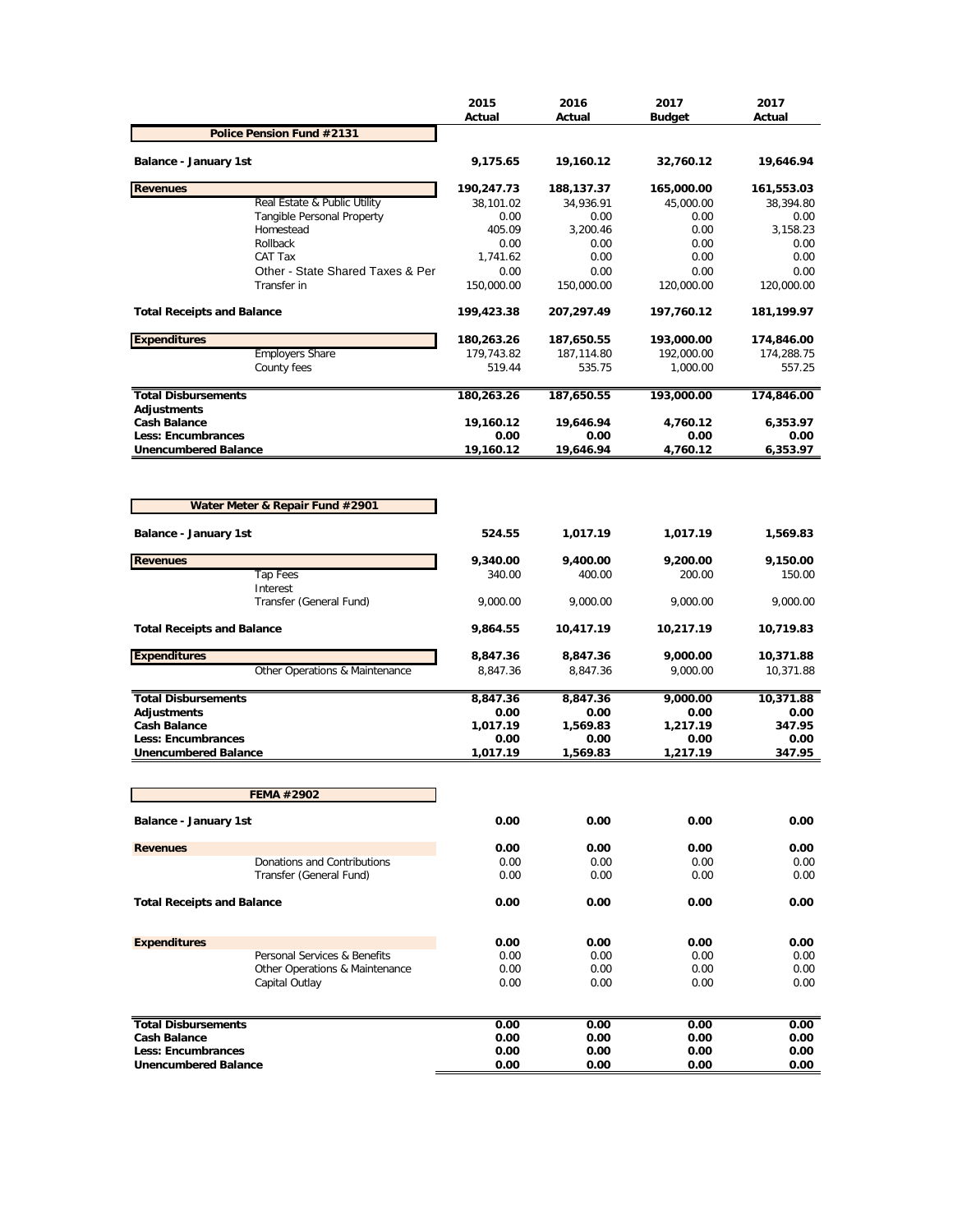|                                                   |                                                        | 2015<br>Actual     | 2016<br>Actual     | 2017<br><b>Budget</b> | 2017<br>Actual     |
|---------------------------------------------------|--------------------------------------------------------|--------------------|--------------------|-----------------------|--------------------|
|                                                   | Police Pension Fund #2131                              |                    |                    |                       |                    |
| Balance - January 1st                             |                                                        | 9,175.65           | 19,160.12          | 32,760.12             | 19,646.94          |
| <b>Revenues</b>                                   |                                                        | 190,247.73         | 188,137.37         | 165,000.00            | 161,553.03         |
|                                                   | Real Estate & Public Utility                           | 38,101.02          | 34,936.91          | 45,000.00             | 38,394.80          |
|                                                   | <b>Tangible Personal Property</b><br>Homestead         | 0.00<br>405.09     | 0.00<br>3,200.46   | 0.00<br>0.00          | 0.00<br>3,158.23   |
|                                                   | Rollback                                               | 0.00               | 0.00               | 0.00                  | 0.00               |
|                                                   | CAT Tax                                                | 1,741.62           | 0.00               | 0.00                  | 0.00               |
|                                                   | Other - State Shared Taxes & Per                       | 0.00               | 0.00               | 0.00                  | 0.00               |
|                                                   | Transfer in                                            | 150,000.00         | 150,000.00         | 120,000.00            | 120,000.00         |
| <b>Total Receipts and Balance</b>                 |                                                        | 199,423.38         | 207,297.49         | 197,760.12            | 181,199.97         |
| <b>Expenditures</b>                               |                                                        | 180,263.26         | 187,650.55         | 193,000.00            | 174,846.00         |
|                                                   | <b>Employers Share</b>                                 | 179,743.82         | 187,114.80         | 192,000.00            | 174,288.75         |
|                                                   | County fees                                            | 519.44             | 535.75             | 1,000.00              | 557.25             |
| <b>Total Disbursements</b>                        |                                                        | 180,263.26         | 187,650.55         | 193,000.00            | 174,846.00         |
| <b>Adjustments</b><br><b>Cash Balance</b>         |                                                        | 19,160.12          | 19,646.94          | 4,760.12              | 6,353.97           |
| Less: Encumbrances                                |                                                        | 0.00               | 0.00               | 0.00                  | 0.00               |
| <b>Unencumbered Balance</b>                       |                                                        | 19,160.12          | 19,646.94          | 4,760.12              | 6,353.97           |
| Balance - January 1st                             | Water Meter & Repair Fund #2901                        | 524.55             | 1,017.19           | 1,017.19              | 1,569.83           |
|                                                   |                                                        |                    |                    |                       |                    |
| <b>Revenues</b>                                   |                                                        | 9,340.00           | 9,400.00           | 9,200.00              | 9,150.00           |
|                                                   | <b>Tap Fees</b><br>Interest<br>Transfer (General Fund) | 340.00<br>9,000.00 | 400.00<br>9,000.00 | 200.00<br>9,000.00    | 150.00<br>9,000.00 |
| <b>Total Receipts and Balance</b>                 |                                                        | 9,864.55           | 10,417.19          | 10,217.19             | 10,719.83          |
| <b>Expenditures</b>                               |                                                        | 8,847.36           | 8,847.36           | 9,000.00              | 10,371.88          |
|                                                   | Other Operations & Maintenance                         | 8,847.36           | 8,847.36           | 9,000.00              | 10,371.88          |
| <b>Total Disbursements</b>                        |                                                        | 8,847.36           | 8,847.36           | 9,000.00              | 10,371.88          |
| <b>Adjustments</b>                                |                                                        | 0.00               | 0.00               | 0.00                  | 0.00               |
| <b>Cash Balance</b>                               |                                                        | 1,017.19           | 1,569.83           | 1,217.19              | 347.95             |
| Less: Encumbrances<br><b>Unencumbered Balance</b> |                                                        | 0.00<br>1,017.19   | 0.00               | 0.00                  | 0.00<br>347.95     |
|                                                   |                                                        |                    | 1,569.83           | 1,217.19              |                    |
|                                                   | <b>FEMA #2902</b>                                      |                    |                    |                       |                    |
| <b>Balance - January 1st</b>                      |                                                        | 0.00               | 0.00               | 0.00                  | 0.00               |
| <b>Revenues</b>                                   |                                                        | 0.00               | 0.00               | 0.00                  | 0.00               |
|                                                   | Donations and Contributions                            | 0.00               | 0.00               | 0.00                  | 0.00               |
|                                                   | Transfer (General Fund)                                | 0.00               | 0.00               | 0.00                  | 0.00               |
| <b>Total Receipts and Balance</b>                 |                                                        | 0.00               | 0.00               | 0.00                  | 0.00               |
| <b>Expenditures</b>                               |                                                        | 0.00               | 0.00               | 0.00                  | 0.00               |
|                                                   | Personal Services & Benefits                           | 0.00               | 0.00               | 0.00                  | 0.00               |
|                                                   | Other Operations & Maintenance                         | 0.00               | 0.00               | 0.00                  | 0.00               |
|                                                   | Capital Outlay                                         | 0.00               | 0.00               | 0.00                  | 0.00               |
| <b>Total Disbursements</b>                        |                                                        | 0.00               | 0.00               | 0.00                  | 0.00               |
| <b>Cash Balance</b>                               |                                                        | 0.00               | 0.00               | 0.00                  | 0.00               |
| Less: Encumbrances                                |                                                        | 0.00               | 0.00               | 0.00                  | 0.00               |
| <b>Unencumbered Balance</b>                       |                                                        | 0.00               | 0.00               | 0.00                  | 0.00               |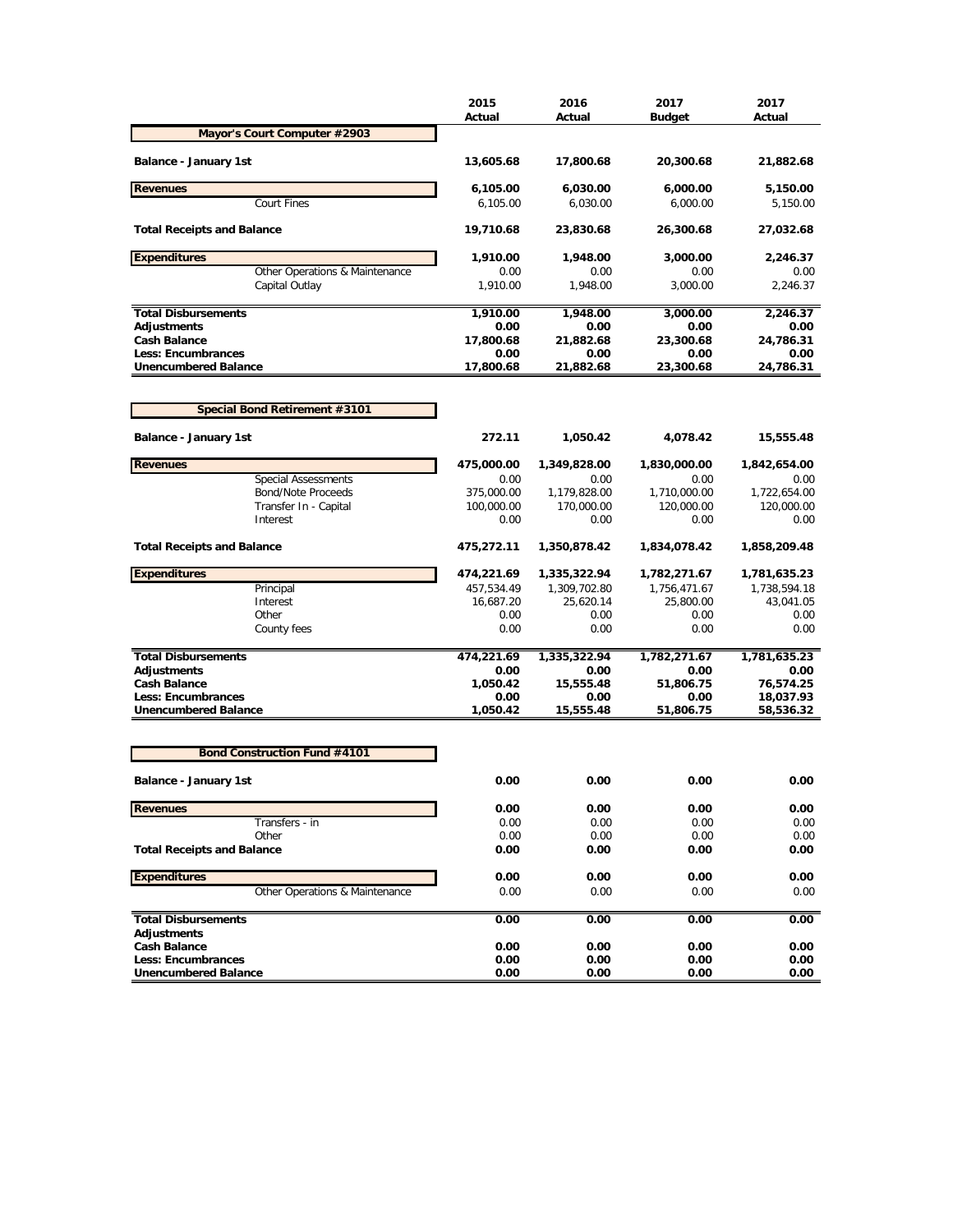|                                                          | 2015<br>Actual     | 2016<br>Actual     | 2017<br><b>Budget</b> | 2017<br>Actual         |
|----------------------------------------------------------|--------------------|--------------------|-----------------------|------------------------|
| Mayor's Court Computer #2903                             |                    |                    |                       |                        |
| Balance - January 1st                                    | 13,605.68          | 17,800.68          | 20,300.68             | 21,882.68              |
| <b>Revenues</b>                                          | 6,105.00           | 6,030.00           | 6,000.00              | 5,150.00               |
| <b>Court Fines</b>                                       | 6,105.00           | 6,030.00           | 6,000.00              | 5,150.00               |
| <b>Total Receipts and Balance</b>                        | 19,710.68          | 23,830.68          | 26,300.68             | 27,032.68              |
| <b>Expenditures</b>                                      | 1,910.00           | 1,948.00           | 3,000.00              | 2,246.37               |
| Other Operations & Maintenance                           | 0.00               | 0.00               | 0.00                  | 0.00                   |
| Capital Outlay                                           | 1,910.00           | 1,948.00           | 3,000.00              | 2,246.37               |
| <b>Total Disbursements</b>                               | 1,910.00           | 1,948.00           | 3,000.00              | 2,246.37               |
| <b>Adjustments</b>                                       | 0.00               | 0.00               | 0.00                  | 0.00                   |
| <b>Cash Balance</b>                                      | 17,800.68          | 21,882.68          | 23,300.68             | 24,786.31              |
| <b>Less: Encumbrances</b>                                | 0.00               | 0.00               | 0.00                  | 0.00                   |
| <b>Unencumbered Balance</b>                              | 17,800.68          | 21,882.68          | 23,300.68             | 24,786.31              |
| Special Bond Retirement #3101                            |                    |                    |                       |                        |
|                                                          |                    |                    |                       |                        |
| Balance - January 1st                                    | 272.11             | 1,050.42           | 4,078.42              | 15,555.48              |
| <b>Revenues</b>                                          | 475,000.00         | 1,349,828.00       | 1,830,000.00          | 1,842,654.00           |
| <b>Special Assessments</b>                               | 0.00               | 0.00               | 0.00                  | 0.00                   |
| <b>Bond/Note Proceeds</b>                                | 375,000.00         | 1,179,828.00       | 1,710,000.00          | 1,722,654.00           |
| Transfer In - Capital<br>Interest                        | 100,000.00<br>0.00 | 170,000.00<br>0.00 | 120,000.00<br>0.00    | 120,000.00<br>0.00     |
|                                                          |                    |                    |                       |                        |
| <b>Total Receipts and Balance</b>                        | 475,272.11         | 1,350,878.42       | 1,834,078.42          | 1,858,209.48           |
| <b>Expenditures</b>                                      | 474,221.69         | 1,335,322.94       | 1,782,271.67          | 1,781,635.23           |
| Principal                                                | 457,534.49         | 1,309,702.80       | 1,756,471.67          | 1,738,594.18           |
| Interest                                                 | 16,687.20          | 25,620.14          | 25,800.00             | 43,041.05              |
| Other                                                    | 0.00               | 0.00               | 0.00                  | 0.00                   |
| County fees                                              | 0.00               | 0.00               | 0.00                  | 0.00                   |
| <b>Total Disbursements</b>                               | 474,221.69         | 1,335,322.94       | 1,782,271.67          | 1,781,635.23           |
| <b>Adjustments</b>                                       | 0.00               | 0.00               | 0.00                  | 0.00                   |
| <b>Cash Balance</b>                                      | 1,050.42           | 15,555.48          | 51,806.75             | 76,574.25              |
| <b>Less: Encumbrances</b><br><b>Unencumbered Balance</b> | 0.00<br>1,050.42   | 0.00<br>15,555.48  | 0.00<br>51,806.75     | 18,037.93<br>58,536.32 |
|                                                          |                    |                    |                       |                        |
| <b>Bond Construction Fund #4101</b>                      |                    |                    |                       |                        |
| Balance - January 1st                                    | 0.00               | 0.00               | 0.00                  | 0.00                   |
| <b>Revenues</b>                                          | 0.00               | 0.00               | 0.00                  | 0.00                   |
| Transfers - in                                           | 0.00               | 0.00               | 0.00                  | 0.00                   |
| Other                                                    | 0.00               | 0.00               | 0.00                  | 0.00                   |
| <b>Total Receipts and Balance</b>                        | 0.00               | 0.00               | 0.00                  | 0.00                   |
| <b>Expenditures</b>                                      | 0.00               | 0.00               | 0.00                  | 0.00                   |
| Other Operations & Maintenance                           | 0.00               | 0.00               | 0.00                  | 0.00                   |
| <b>Total Disbursements</b>                               | 0.00               | 0.00               | 0.00                  | 0.00                   |
| <b>Adjustments</b>                                       |                    |                    |                       |                        |
| <b>Cash Balance</b>                                      | 0.00               | 0.00               | 0.00                  | 0.00                   |
| Less: Encumbrances                                       | 0.00               | 0.00               | 0.00                  | 0.00                   |
| <b>Unencumbered Balance</b>                              | 0.00               | 0.00               | 0.00                  | 0.00                   |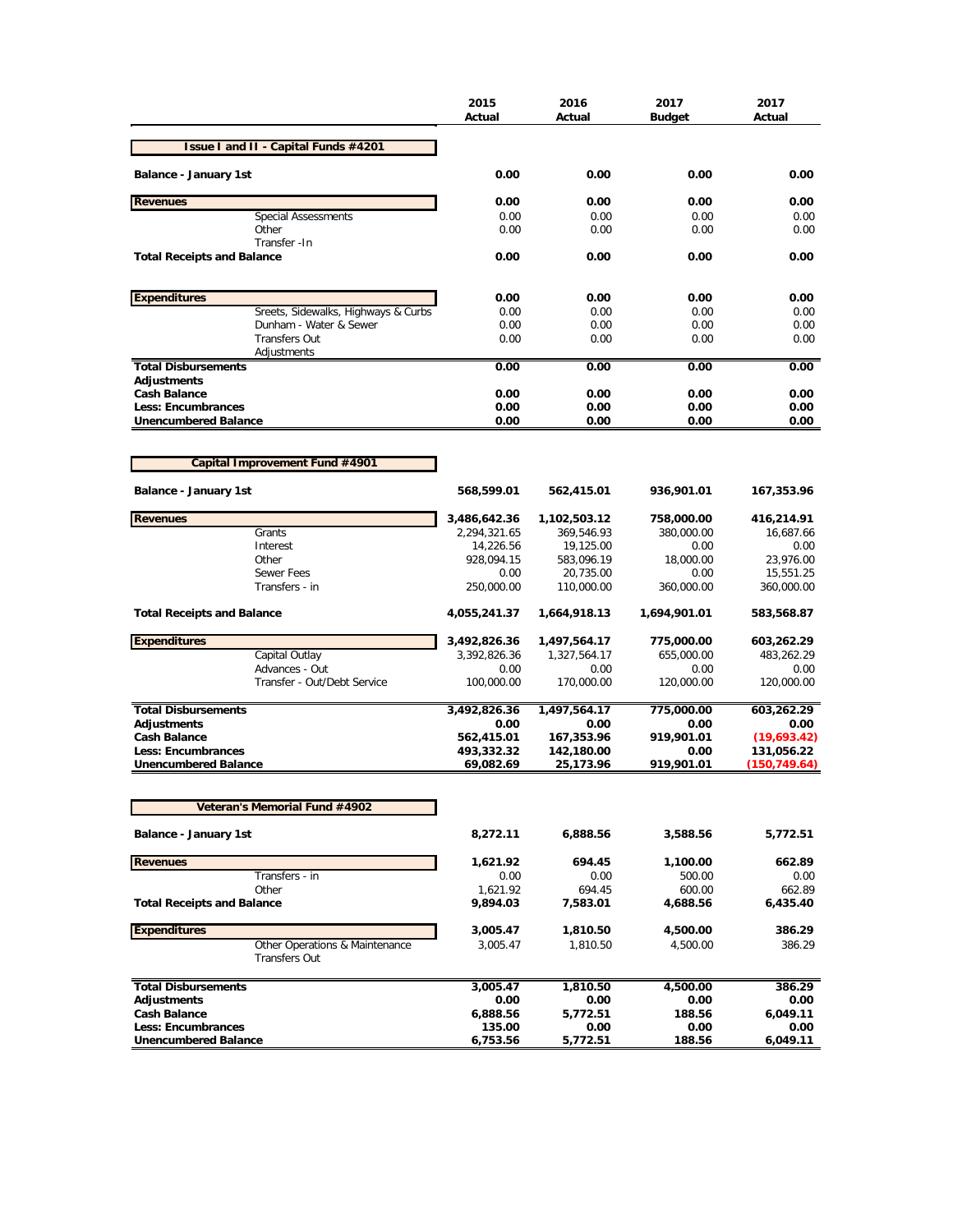|                                                        | 2015<br>Actual          | 2016<br>Actual          | 2017<br><b>Budget</b> | 2017<br>Actual             |
|--------------------------------------------------------|-------------------------|-------------------------|-----------------------|----------------------------|
| Issue I and II - Capital Funds #4201                   |                         |                         |                       |                            |
| Balance - January 1st                                  | 0.00                    | 0.00                    | 0.00                  | 0.00                       |
| <b>Revenues</b>                                        | 0.00                    | 0.00                    | 0.00                  | 0.00                       |
| <b>Special Assessments</b>                             | 0.00                    | 0.00                    | 0.00                  | 0.00                       |
| Other<br>Transfer - In                                 | 0.00                    | 0.00                    | 0.00                  | 0.00                       |
| <b>Total Receipts and Balance</b>                      | 0.00                    | 0.00                    | 0.00                  | 0.00                       |
| <b>Expenditures</b>                                    | 0.00                    | 0.00                    | 0.00                  | 0.00                       |
| Sreets, Sidewalks, Highways & Curbs                    | 0.00                    | 0.00                    | 0.00                  | 0.00                       |
| Dunham - Water & Sewer                                 | 0.00                    | 0.00                    | 0.00                  | 0.00                       |
| <b>Transfers Out</b>                                   | 0.00                    | 0.00                    | 0.00                  | 0.00                       |
| Adjustments<br><b>Total Disbursements</b>              | 0.00                    | 0.00                    | 0.00                  | 0.00                       |
| <b>Adjustments</b>                                     |                         |                         |                       |                            |
| <b>Cash Balance</b>                                    | 0.00                    | 0.00                    | 0.00                  | 0.00                       |
| <b>Less: Encumbrances</b>                              | 0.00                    | 0.00                    | 0.00                  | 0.00                       |
| <b>Unencumbered Balance</b>                            | 0.00                    | 0.00                    | 0.00                  | 0.00                       |
|                                                        |                         |                         |                       |                            |
| Capital Improvement Fund #4901                         |                         |                         |                       |                            |
| <b>Balance - January 1st</b>                           | 568,599.01              | 562,415.01              | 936,901.01            | 167,353.96                 |
| <b>Revenues</b>                                        | 3,486,642.36            | 1,102,503.12            | 758,000.00            | 416,214.91                 |
| Grants                                                 | 2,294,321.65            | 369,546.93              | 380,000.00            | 16,687.66                  |
| Interest                                               | 14,226.56               | 19,125.00               | 0.00                  | 0.00                       |
| Other<br><b>Sewer Fees</b>                             | 928,094.15<br>0.00      | 583,096.19<br>20,735.00 | 18,000.00<br>0.00     | 23,976.00<br>15,551.25     |
| Transfers - in                                         | 250,000.00              | 110,000.00              | 360,000.00            | 360,000.00                 |
| <b>Total Receipts and Balance</b>                      | 4,055,241.37            | 1,664,918.13            | 1,694,901.01          | 583,568.87                 |
| <b>Expenditures</b>                                    | 3,492,826.36            | 1,497,564.17            | 775,000.00            | 603,262.29                 |
| Capital Outlay                                         | 3,392,826.36            | 1,327,564.17            | 655,000.00            | 483,262.29                 |
| Advances - Out                                         | 0.00                    | 0.00                    | 0.00                  | 0.00                       |
| Transfer - Out/Debt Service                            | 100,000.00              | 170,000.00              | 120,000.00            | 120,000.00                 |
| <b>Total Disbursements</b>                             | 3,492,826.36            | 1,497,564.17            | 775,000.00            | 603,262.29                 |
| <b>Adjustments</b>                                     | 0.00                    | 0.00                    | 0.00                  | 0.00                       |
| <b>Cash Balance</b>                                    | 562,415.01              | 167,353.96              | 919,901.01            | (19,693.42)                |
| Less: Encumbrances<br><b>Unencumbered Balance</b>      | 493,332.32<br>69,082.69 | 142,180.00<br>25,173.96 | 0.00<br>919,901.01    | 131,056.22<br>(150,749.64) |
| Veteran's Memorial Fund #4902                          |                         |                         |                       |                            |
| Balance - January 1st                                  | 8,272.11                | 6,888.56                | 3,588.56              | 5,772.51                   |
| <b>Revenues</b>                                        | 1,621.92                | 694.45                  | 1,100.00              | 662.89                     |
| Transfers - in                                         | 0.00                    | 0.00                    | 500.00                | 0.00                       |
| Other<br><b>Total Receipts and Balance</b>             | 1,621.92<br>9,894.03    | 694.45<br>7,583.01      | 600.00<br>4,688.56    | 662.89<br>6,435.40         |
|                                                        |                         |                         |                       |                            |
| <b>Expenditures</b>                                    | 3,005.47                | 1,810.50                | 4,500.00              | 386.29                     |
| Other Operations & Maintenance<br><b>Transfers Out</b> | 3,005.47                | 1,810.50                | 4,500.00              | 386.29                     |
| <b>Total Disbursements</b>                             | 3,005.47                | 1,810.50                | 4,500.00              | 386.29                     |
| <b>Adjustments</b>                                     | 0.00                    | 0.00                    | 0.00                  | 0.00                       |
| <b>Cash Balance</b>                                    | 6,888.56                | 5,772.51                | 188.56                | 6,049.11                   |
| Less: Encumbrances                                     | 135.00                  | 0.00                    | 0.00                  | 0.00                       |
| <b>Unencumbered Balance</b>                            | 6,753.56                | 5,772.51                | 188.56                | 6,049.11                   |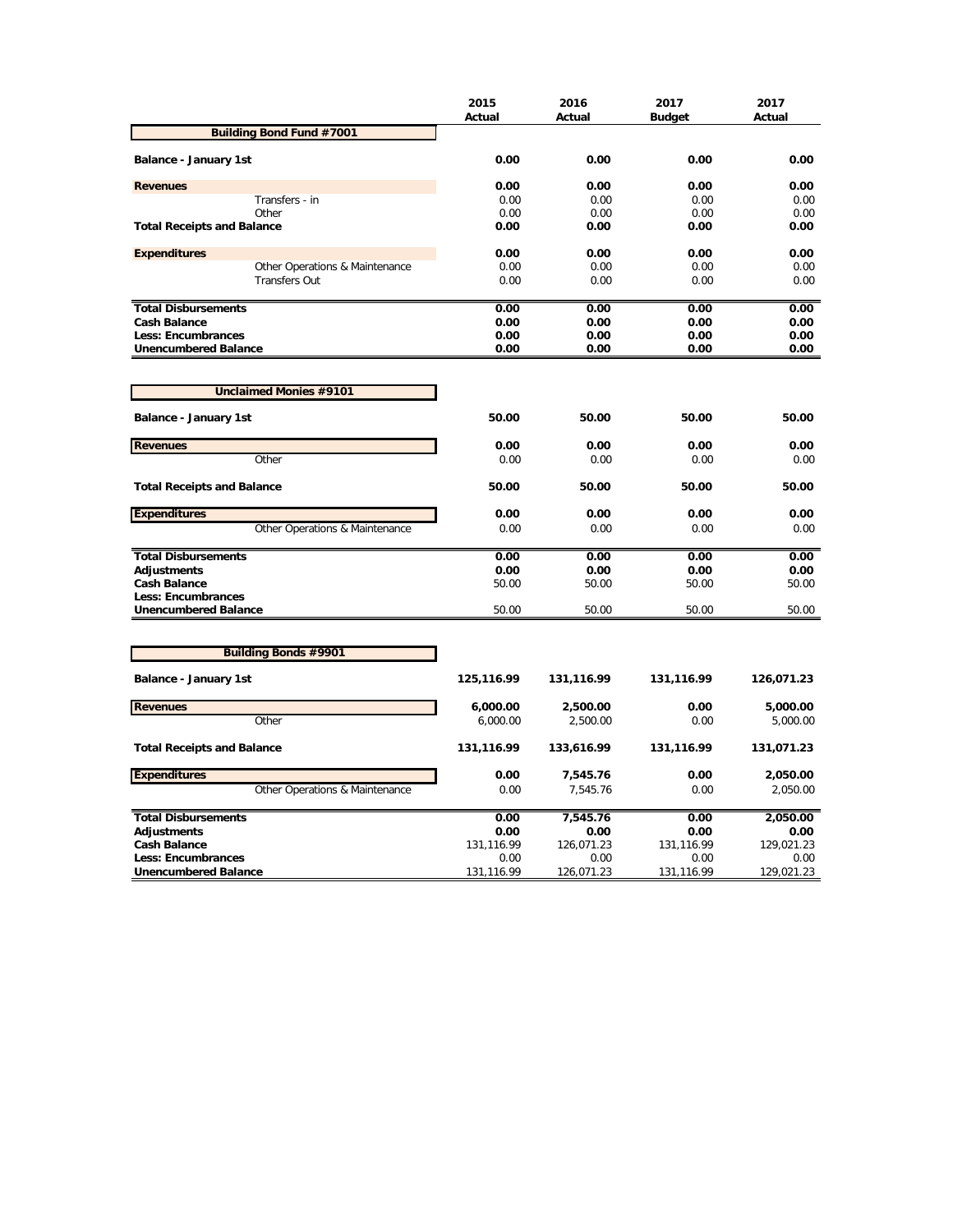|                                                          | 2015<br>Actual     | 2016<br>Actual     | 2017<br><b>Budget</b> | 2017<br>Actual     |
|----------------------------------------------------------|--------------------|--------------------|-----------------------|--------------------|
| <b>Building Bond Fund #7001</b>                          |                    |                    |                       |                    |
| Balance - January 1st                                    | 0.00               | 0.00               | 0.00                  | 0.00               |
| <b>Revenues</b>                                          | 0.00               | 0.00               | 0.00                  | 0.00               |
| Transfers - in                                           | 0.00               | 0.00               | 0.00                  | 0.00               |
| Other                                                    | 0.00               | 0.00               | 0.00                  | 0.00               |
| <b>Total Receipts and Balance</b>                        | 0.00               | 0.00               | 0.00                  | 0.00               |
| <b>Expenditures</b>                                      | 0.00               | 0.00               | 0.00                  | 0.00               |
| Other Operations & Maintenance                           | 0.00               | 0.00               | 0.00                  | 0.00               |
| <b>Transfers Out</b>                                     | 0.00               | 0.00               | 0.00                  | 0.00               |
| <b>Total Disbursements</b>                               | 0.00               | 0.00               | 0.00                  | 0.00               |
| <b>Cash Balance</b>                                      | 0.00               | 0.00               | 0.00                  | 0.00               |
| <b>Less: Encumbrances</b>                                | 0.00               | 0.00               | 0.00                  | 0.00               |
| <b>Unencumbered Balance</b>                              | 0.00               | 0.00               | 0.00                  | 0.00               |
|                                                          |                    |                    |                       |                    |
| Unclaimed Monies #9101                                   |                    |                    |                       |                    |
| Balance - January 1st                                    | 50.00              | 50.00              | 50.00                 | 50.00              |
| <b>Revenues</b>                                          | 0.00               | 0.00               | 0.00                  | 0.00               |
| Other                                                    | 0.00               | 0.00               | 0.00                  | 0.00               |
| <b>Total Receipts and Balance</b>                        | 50.00              | 50.00              | 50.00                 | 50.00              |
| <b>Expenditures</b>                                      | 0.00               | 0.00               | 0.00                  | 0.00               |
| Other Operations & Maintenance                           | 0.00               | 0.00               | 0.00                  | 0.00               |
| <b>Total Disbursements</b>                               | 0.00               | 0.00               | 0.00                  | 0.00               |
| <b>Adjustments</b>                                       | 0.00               | 0.00               | 0.00                  | 0.00               |
| <b>Cash Balance</b>                                      | 50.00              | 50.00              | 50.00                 | 50.00              |
| Less: Encumbrances                                       |                    |                    |                       |                    |
| <b>Unencumbered Balance</b>                              | 50.00              | 50.00              | 50.00                 | 50.00              |
|                                                          |                    |                    |                       |                    |
| <b>Building Bonds #9901</b>                              |                    |                    |                       |                    |
| Balance - January 1st                                    | 125,116.99         | 131,116.99         | 131,116.99            | 126,071.23         |
| <b>Revenues</b>                                          | 6,000.00           | 2,500.00           | 0.00                  | 5,000.00           |
| Other                                                    | 6,000.00           | 2,500.00           | 0.00                  | 5,000.00           |
| <b>Total Receipts and Balance</b>                        | 131,116.99         | 133,616.99         | 131,116.99            | 131,071.23         |
| <b>Expenditures</b>                                      | 0.00               | 7,545.76           | 0.00                  | 2,050.00           |
| Other Operations & Maintenance                           | 0.00               | 7,545.76           | 0.00                  | 2,050.00           |
| <b>Total Disbursements</b>                               | 0.00               | 7,545.76           | 0.00                  | 2,050.00           |
| <b>Adjustments</b>                                       | 0.00               | 0.00               | 0.00                  | 0.00               |
| <b>Cash Balance</b>                                      | 131,116.99         | 126,071.23         | 131,116.99            | 129,021.23         |
| <b>Less: Encumbrances</b><br><b>Unencumbered Balance</b> | 0.00<br>131,116.99 | 0.00<br>126,071.23 | 0.00<br>131,116.99    | 0.00<br>129,021.23 |